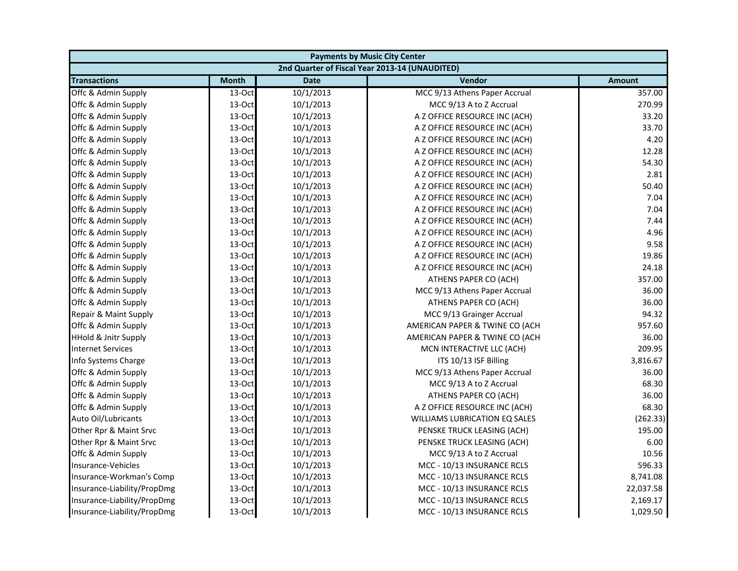| <b>Payments by Music City Center</b> |              |             |                                                |               |
|--------------------------------------|--------------|-------------|------------------------------------------------|---------------|
|                                      |              |             | 2nd Quarter of Fiscal Year 2013-14 (UNAUDITED) |               |
| <b>Transactions</b>                  | <b>Month</b> | <b>Date</b> | Vendor                                         | <b>Amount</b> |
| Offc & Admin Supply                  | 13-Oct       | 10/1/2013   | MCC 9/13 Athens Paper Accrual                  | 357.00        |
| Offc & Admin Supply                  | 13-Oct       | 10/1/2013   | MCC 9/13 A to Z Accrual                        | 270.99        |
| Offc & Admin Supply                  | 13-Oct       | 10/1/2013   | A Z OFFICE RESOURCE INC (ACH)                  | 33.20         |
| Offc & Admin Supply                  | 13-Oct       | 10/1/2013   | A Z OFFICE RESOURCE INC (ACH)                  | 33.70         |
| Offc & Admin Supply                  | 13-Oct       | 10/1/2013   | A Z OFFICE RESOURCE INC (ACH)                  | 4.20          |
| Offc & Admin Supply                  | 13-Oct       | 10/1/2013   | A Z OFFICE RESOURCE INC (ACH)                  | 12.28         |
| Offc & Admin Supply                  | 13-Oct       | 10/1/2013   | A Z OFFICE RESOURCE INC (ACH)                  | 54.30         |
| Offc & Admin Supply                  | 13-Oct       | 10/1/2013   | A Z OFFICE RESOURCE INC (ACH)                  | 2.81          |
| Offc & Admin Supply                  | 13-Oct       | 10/1/2013   | A Z OFFICE RESOURCE INC (ACH)                  | 50.40         |
| Offc & Admin Supply                  | 13-Oct       | 10/1/2013   | A Z OFFICE RESOURCE INC (ACH)                  | 7.04          |
| Offc & Admin Supply                  | 13-Oct       | 10/1/2013   | A Z OFFICE RESOURCE INC (ACH)                  | 7.04          |
| Offc & Admin Supply                  | 13-Oct       | 10/1/2013   | A Z OFFICE RESOURCE INC (ACH)                  | 7.44          |
| Offc & Admin Supply                  | 13-Oct       | 10/1/2013   | A Z OFFICE RESOURCE INC (ACH)                  | 4.96          |
| Offc & Admin Supply                  | 13-Oct       | 10/1/2013   | A Z OFFICE RESOURCE INC (ACH)                  | 9.58          |
| Offc & Admin Supply                  | 13-Oct       | 10/1/2013   | A Z OFFICE RESOURCE INC (ACH)                  | 19.86         |
| Offc & Admin Supply                  | 13-Oct       | 10/1/2013   | A Z OFFICE RESOURCE INC (ACH)                  | 24.18         |
| Offc & Admin Supply                  | 13-Oct       | 10/1/2013   | ATHENS PAPER CO (ACH)                          | 357.00        |
| Offc & Admin Supply                  | 13-Oct       | 10/1/2013   | MCC 9/13 Athens Paper Accrual                  | 36.00         |
| Offc & Admin Supply                  | 13-Oct       | 10/1/2013   | ATHENS PAPER CO (ACH)                          | 36.00         |
| Repair & Maint Supply                | 13-Oct       | 10/1/2013   | MCC 9/13 Grainger Accrual                      | 94.32         |
| Offc & Admin Supply                  | 13-Oct       | 10/1/2013   | AMERICAN PAPER & TWINE CO (ACH                 | 957.60        |
| <b>HHold &amp; Jnitr Supply</b>      | 13-Oct       | 10/1/2013   | AMERICAN PAPER & TWINE CO (ACH                 | 36.00         |
| <b>Internet Services</b>             | 13-Oct       | 10/1/2013   | MCN INTERACTIVE LLC (ACH)                      | 209.95        |
| Info Systems Charge                  | 13-Oct       | 10/1/2013   | ITS 10/13 ISF Billing                          | 3,816.67      |
| Offc & Admin Supply                  | 13-Oct       | 10/1/2013   | MCC 9/13 Athens Paper Accrual                  | 36.00         |
| Offc & Admin Supply                  | 13-Oct       | 10/1/2013   | MCC 9/13 A to Z Accrual                        | 68.30         |
| Offc & Admin Supply                  | 13-Oct       | 10/1/2013   | ATHENS PAPER CO (ACH)                          | 36.00         |
| Offc & Admin Supply                  | 13-Oct       | 10/1/2013   | A Z OFFICE RESOURCE INC (ACH)                  | 68.30         |
| Auto Oil/Lubricants                  | 13-Oct       | 10/1/2013   | WILLIAMS LUBRICATION EQ SALES                  | (262.33)      |
| Other Rpr & Maint Srvc               | 13-Oct       | 10/1/2013   | PENSKE TRUCK LEASING (ACH)                     | 195.00        |
| Other Rpr & Maint Srvc               | 13-Oct       | 10/1/2013   | PENSKE TRUCK LEASING (ACH)                     | 6.00          |
| Offc & Admin Supply                  | 13-Oct       | 10/1/2013   | MCC 9/13 A to Z Accrual                        | 10.56         |
| Insurance-Vehicles                   | 13-Oct       | 10/1/2013   | MCC - 10/13 INSURANCE RCLS                     | 596.33        |
| Insurance-Workman's Comp             | 13-Oct       | 10/1/2013   | MCC - 10/13 INSURANCE RCLS                     | 8,741.08      |
| Insurance-Liability/PropDmg          | 13-Oct       | 10/1/2013   | MCC - 10/13 INSURANCE RCLS                     | 22,037.58     |
| Insurance-Liability/PropDmg          | 13-Oct       | 10/1/2013   | MCC - 10/13 INSURANCE RCLS                     | 2,169.17      |
| Insurance-Liability/PropDmg          | 13-Oct       | 10/1/2013   | MCC - 10/13 INSURANCE RCLS                     | 1,029.50      |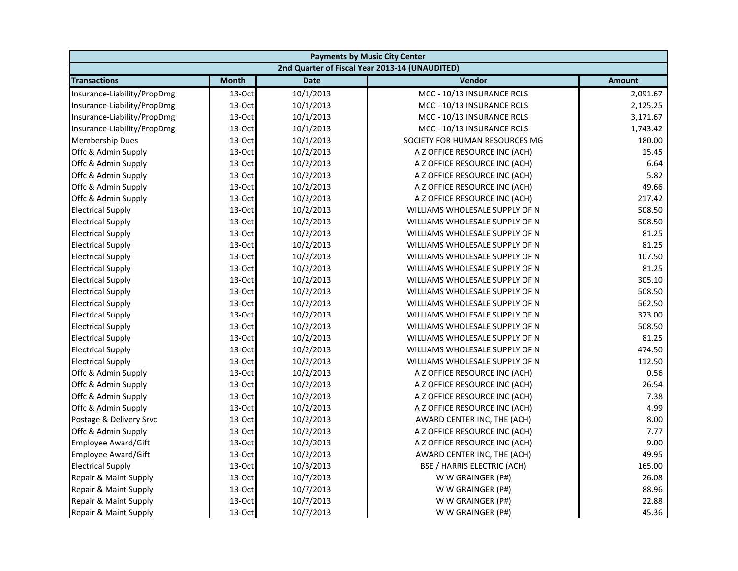| <b>Payments by Music City Center</b> |              |             |                                                |               |
|--------------------------------------|--------------|-------------|------------------------------------------------|---------------|
|                                      |              |             | 2nd Quarter of Fiscal Year 2013-14 (UNAUDITED) |               |
| <b>Transactions</b>                  | <b>Month</b> | <b>Date</b> | Vendor                                         | <b>Amount</b> |
| Insurance-Liability/PropDmg          | 13-Oct       | 10/1/2013   | MCC - 10/13 INSURANCE RCLS                     | 2,091.67      |
| Insurance-Liability/PropDmg          | 13-Oct       | 10/1/2013   | MCC - 10/13 INSURANCE RCLS                     | 2,125.25      |
| Insurance-Liability/PropDmg          | 13-Oct       | 10/1/2013   | MCC - 10/13 INSURANCE RCLS                     | 3,171.67      |
| Insurance-Liability/PropDmg          | 13-Oct       | 10/1/2013   | MCC - 10/13 INSURANCE RCLS                     | 1,743.42      |
| <b>Membership Dues</b>               | 13-Oct       | 10/1/2013   | SOCIETY FOR HUMAN RESOURCES MG                 | 180.00        |
| Offc & Admin Supply                  | 13-Oct       | 10/2/2013   | A Z OFFICE RESOURCE INC (ACH)                  | 15.45         |
| Offc & Admin Supply                  | 13-Oct       | 10/2/2013   | A Z OFFICE RESOURCE INC (ACH)                  | 6.64          |
| Offc & Admin Supply                  | 13-Oct       | 10/2/2013   | A Z OFFICE RESOURCE INC (ACH)                  | 5.82          |
| Offc & Admin Supply                  | 13-Oct       | 10/2/2013   | A Z OFFICE RESOURCE INC (ACH)                  | 49.66         |
| Offc & Admin Supply                  | 13-Oct       | 10/2/2013   | A Z OFFICE RESOURCE INC (ACH)                  | 217.42        |
| <b>Electrical Supply</b>             | 13-Oct       | 10/2/2013   | WILLIAMS WHOLESALE SUPPLY OF N                 | 508.50        |
| <b>Electrical Supply</b>             | 13-Oct       | 10/2/2013   | WILLIAMS WHOLESALE SUPPLY OF N                 | 508.50        |
| <b>Electrical Supply</b>             | 13-Oct       | 10/2/2013   | WILLIAMS WHOLESALE SUPPLY OF N                 | 81.25         |
| <b>Electrical Supply</b>             | 13-Oct       | 10/2/2013   | WILLIAMS WHOLESALE SUPPLY OF N                 | 81.25         |
| <b>Electrical Supply</b>             | 13-Oct       | 10/2/2013   | WILLIAMS WHOLESALE SUPPLY OF N                 | 107.50        |
| <b>Electrical Supply</b>             | 13-Oct       | 10/2/2013   | WILLIAMS WHOLESALE SUPPLY OF N                 | 81.25         |
| <b>Electrical Supply</b>             | 13-Oct       | 10/2/2013   | WILLIAMS WHOLESALE SUPPLY OF N                 | 305.10        |
| <b>Electrical Supply</b>             | 13-Oct       | 10/2/2013   | WILLIAMS WHOLESALE SUPPLY OF N                 | 508.50        |
| <b>Electrical Supply</b>             | 13-Oct       | 10/2/2013   | WILLIAMS WHOLESALE SUPPLY OF N                 | 562.50        |
| <b>Electrical Supply</b>             | 13-Oct       | 10/2/2013   | WILLIAMS WHOLESALE SUPPLY OF N                 | 373.00        |
| <b>Electrical Supply</b>             | 13-Oct       | 10/2/2013   | WILLIAMS WHOLESALE SUPPLY OF N                 | 508.50        |
| <b>Electrical Supply</b>             | 13-Oct       | 10/2/2013   | WILLIAMS WHOLESALE SUPPLY OF N                 | 81.25         |
| <b>Electrical Supply</b>             | 13-Oct       | 10/2/2013   | WILLIAMS WHOLESALE SUPPLY OF N                 | 474.50        |
| <b>Electrical Supply</b>             | 13-Oct       | 10/2/2013   | WILLIAMS WHOLESALE SUPPLY OF N                 | 112.50        |
| Offc & Admin Supply                  | 13-Oct       | 10/2/2013   | A Z OFFICE RESOURCE INC (ACH)                  | 0.56          |
| Offc & Admin Supply                  | 13-Oct       | 10/2/2013   | A Z OFFICE RESOURCE INC (ACH)                  | 26.54         |
| Offc & Admin Supply                  | 13-Oct       | 10/2/2013   | A Z OFFICE RESOURCE INC (ACH)                  | 7.38          |
| Offc & Admin Supply                  | 13-Oct       | 10/2/2013   | A Z OFFICE RESOURCE INC (ACH)                  | 4.99          |
| Postage & Delivery Srvc              | 13-Oct       | 10/2/2013   | AWARD CENTER INC, THE (ACH)                    | 8.00          |
| Offc & Admin Supply                  | 13-Oct       | 10/2/2013   | A Z OFFICE RESOURCE INC (ACH)                  | 7.77          |
| Employee Award/Gift                  | 13-Oct       | 10/2/2013   | A Z OFFICE RESOURCE INC (ACH)                  | 9.00          |
| <b>Employee Award/Gift</b>           | 13-Oct       | 10/2/2013   | AWARD CENTER INC, THE (ACH)                    | 49.95         |
| <b>Electrical Supply</b>             | 13-Oct       | 10/3/2013   | <b>BSE / HARRIS ELECTRIC (ACH)</b>             | 165.00        |
| Repair & Maint Supply                | 13-Oct       | 10/7/2013   | W W GRAINGER (P#)                              | 26.08         |
| Repair & Maint Supply                | 13-Oct       | 10/7/2013   | W W GRAINGER (P#)                              | 88.96         |
| Repair & Maint Supply                | 13-Oct       | 10/7/2013   | W W GRAINGER (P#)                              | 22.88         |
| Repair & Maint Supply                | 13-Oct       | 10/7/2013   | W W GRAINGER (P#)                              | 45.36         |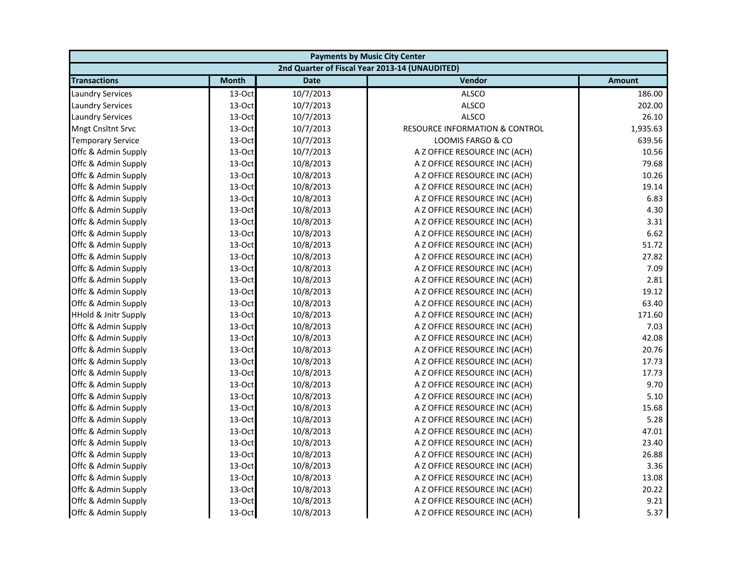| <b>Payments by Music City Center</b> |              |             |                                                |               |
|--------------------------------------|--------------|-------------|------------------------------------------------|---------------|
|                                      |              |             | 2nd Quarter of Fiscal Year 2013-14 (UNAUDITED) |               |
| <b>Transactions</b>                  | <b>Month</b> | <b>Date</b> | Vendor                                         | <b>Amount</b> |
| <b>Laundry Services</b>              | 13-Oct       | 10/7/2013   | <b>ALSCO</b>                                   | 186.00        |
| <b>Laundry Services</b>              | 13-Oct       | 10/7/2013   | <b>ALSCO</b>                                   | 202.00        |
| <b>Laundry Services</b>              | 13-Oct       | 10/7/2013   | <b>ALSCO</b>                                   | 26.10         |
| Mngt Cnsltnt Srvc                    | 13-Oct       | 10/7/2013   | <b>RESOURCE INFORMATION &amp; CONTROL</b>      | 1,935.63      |
| <b>Temporary Service</b>             | 13-Oct       | 10/7/2013   | LOOMIS FARGO & CO                              | 639.56        |
| Offc & Admin Supply                  | 13-Oct       | 10/7/2013   | A Z OFFICE RESOURCE INC (ACH)                  | 10.56         |
| Offc & Admin Supply                  | 13-Oct       | 10/8/2013   | A Z OFFICE RESOURCE INC (ACH)                  | 79.68         |
| Offc & Admin Supply                  | 13-Oct       | 10/8/2013   | A Z OFFICE RESOURCE INC (ACH)                  | 10.26         |
| Offc & Admin Supply                  | 13-Oct       | 10/8/2013   | A Z OFFICE RESOURCE INC (ACH)                  | 19.14         |
| Offc & Admin Supply                  | 13-Oct       | 10/8/2013   | A Z OFFICE RESOURCE INC (ACH)                  | 6.83          |
| Offc & Admin Supply                  | 13-Oct       | 10/8/2013   | A Z OFFICE RESOURCE INC (ACH)                  | 4.30          |
| Offc & Admin Supply                  | 13-Oct       | 10/8/2013   | A Z OFFICE RESOURCE INC (ACH)                  | 3.31          |
| Offc & Admin Supply                  | 13-Oct       | 10/8/2013   | A Z OFFICE RESOURCE INC (ACH)                  | 6.62          |
| Offc & Admin Supply                  | 13-Oct       | 10/8/2013   | A Z OFFICE RESOURCE INC (ACH)                  | 51.72         |
| Offc & Admin Supply                  | 13-Oct       | 10/8/2013   | A Z OFFICE RESOURCE INC (ACH)                  | 27.82         |
| Offc & Admin Supply                  | 13-Oct       | 10/8/2013   | A Z OFFICE RESOURCE INC (ACH)                  | 7.09          |
| Offc & Admin Supply                  | 13-Oct       | 10/8/2013   | A Z OFFICE RESOURCE INC (ACH)                  | 2.81          |
| Offc & Admin Supply                  | 13-Oct       | 10/8/2013   | A Z OFFICE RESOURCE INC (ACH)                  | 19.12         |
| Offc & Admin Supply                  | 13-Oct       | 10/8/2013   | A Z OFFICE RESOURCE INC (ACH)                  | 63.40         |
| <b>HHold &amp; Jnitr Supply</b>      | 13-Oct       | 10/8/2013   | A Z OFFICE RESOURCE INC (ACH)                  | 171.60        |
| Offc & Admin Supply                  | 13-Oct       | 10/8/2013   | A Z OFFICE RESOURCE INC (ACH)                  | 7.03          |
| Offc & Admin Supply                  | 13-Oct       | 10/8/2013   | A Z OFFICE RESOURCE INC (ACH)                  | 42.08         |
| Offc & Admin Supply                  | 13-Oct       | 10/8/2013   | A Z OFFICE RESOURCE INC (ACH)                  | 20.76         |
| Offc & Admin Supply                  | 13-Oct       | 10/8/2013   | A Z OFFICE RESOURCE INC (ACH)                  | 17.73         |
| Offc & Admin Supply                  | 13-Oct       | 10/8/2013   | A Z OFFICE RESOURCE INC (ACH)                  | 17.73         |
| Offc & Admin Supply                  | 13-Oct       | 10/8/2013   | A Z OFFICE RESOURCE INC (ACH)                  | 9.70          |
| Offc & Admin Supply                  | 13-Oct       | 10/8/2013   | A Z OFFICE RESOURCE INC (ACH)                  | 5.10          |
| Offc & Admin Supply                  | 13-Oct       | 10/8/2013   | A Z OFFICE RESOURCE INC (ACH)                  | 15.68         |
| Offc & Admin Supply                  | 13-Oct       | 10/8/2013   | A Z OFFICE RESOURCE INC (ACH)                  | 5.28          |
| Offc & Admin Supply                  | 13-Oct       | 10/8/2013   | A Z OFFICE RESOURCE INC (ACH)                  | 47.01         |
| Offc & Admin Supply                  | 13-Oct       | 10/8/2013   | A Z OFFICE RESOURCE INC (ACH)                  | 23.40         |
| Offc & Admin Supply                  | 13-Oct       | 10/8/2013   | A Z OFFICE RESOURCE INC (ACH)                  | 26.88         |
| Offc & Admin Supply                  | 13-Oct       | 10/8/2013   | A Z OFFICE RESOURCE INC (ACH)                  | 3.36          |
| Offc & Admin Supply                  | 13-Oct       | 10/8/2013   | A Z OFFICE RESOURCE INC (ACH)                  | 13.08         |
| Offc & Admin Supply                  | 13-Oct       | 10/8/2013   | A Z OFFICE RESOURCE INC (ACH)                  | 20.22         |
| Offc & Admin Supply                  | 13-Oct       | 10/8/2013   | A Z OFFICE RESOURCE INC (ACH)                  | 9.21          |
| Offc & Admin Supply                  | 13-Oct       | 10/8/2013   | A Z OFFICE RESOURCE INC (ACH)                  | 5.37          |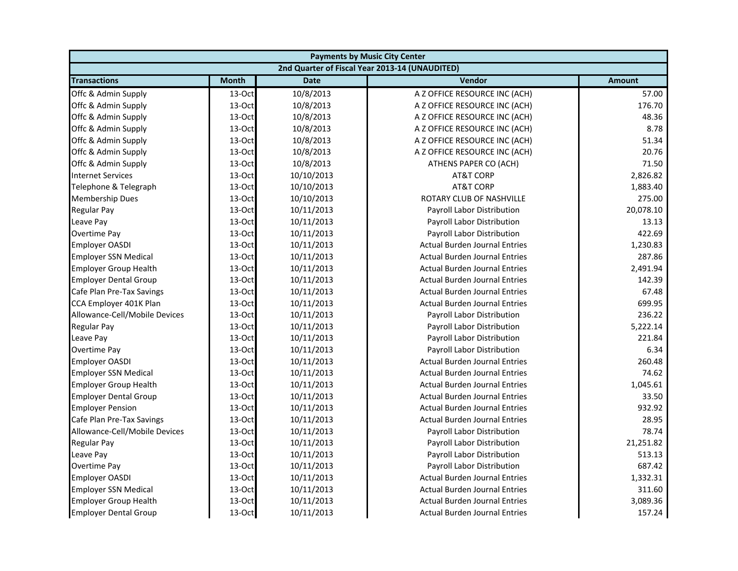| <b>Payments by Music City Center</b> |              |             |                                                |               |
|--------------------------------------|--------------|-------------|------------------------------------------------|---------------|
|                                      |              |             | 2nd Quarter of Fiscal Year 2013-14 (UNAUDITED) |               |
| <b>Transactions</b>                  | <b>Month</b> | <b>Date</b> | Vendor                                         | <b>Amount</b> |
| Offc & Admin Supply                  | 13-Oct       | 10/8/2013   | A Z OFFICE RESOURCE INC (ACH)                  | 57.00         |
| Offc & Admin Supply                  | 13-Oct       | 10/8/2013   | A Z OFFICE RESOURCE INC (ACH)                  | 176.70        |
| Offc & Admin Supply                  | 13-Oct       | 10/8/2013   | A Z OFFICE RESOURCE INC (ACH)                  | 48.36         |
| Offc & Admin Supply                  | 13-Oct       | 10/8/2013   | A Z OFFICE RESOURCE INC (ACH)                  | 8.78          |
| Offc & Admin Supply                  | 13-Oct       | 10/8/2013   | A Z OFFICE RESOURCE INC (ACH)                  | 51.34         |
| Offc & Admin Supply                  | 13-Oct       | 10/8/2013   | A Z OFFICE RESOURCE INC (ACH)                  | 20.76         |
| Offc & Admin Supply                  | 13-Oct       | 10/8/2013   | ATHENS PAPER CO (ACH)                          | 71.50         |
| <b>Internet Services</b>             | 13-Oct       | 10/10/2013  | <b>AT&amp;T CORP</b>                           | 2,826.82      |
| Telephone & Telegraph                | 13-Oct       | 10/10/2013  | <b>AT&amp;T CORP</b>                           | 1,883.40      |
| <b>Membership Dues</b>               | 13-Oct       | 10/10/2013  | ROTARY CLUB OF NASHVILLE                       | 275.00        |
| <b>Regular Pay</b>                   | 13-Oct       | 10/11/2013  | Payroll Labor Distribution                     | 20,078.10     |
| Leave Pay                            | 13-Oct       | 10/11/2013  | Payroll Labor Distribution                     | 13.13         |
| Overtime Pay                         | 13-Oct       | 10/11/2013  | Payroll Labor Distribution                     | 422.69        |
| <b>Employer OASDI</b>                | 13-Oct       | 10/11/2013  | <b>Actual Burden Journal Entries</b>           | 1,230.83      |
| <b>Employer SSN Medical</b>          | 13-Oct       | 10/11/2013  | <b>Actual Burden Journal Entries</b>           | 287.86        |
| <b>Employer Group Health</b>         | 13-Oct       | 10/11/2013  | <b>Actual Burden Journal Entries</b>           | 2,491.94      |
| <b>Employer Dental Group</b>         | 13-Oct       | 10/11/2013  | <b>Actual Burden Journal Entries</b>           | 142.39        |
| Cafe Plan Pre-Tax Savings            | 13-Oct       | 10/11/2013  | <b>Actual Burden Journal Entries</b>           | 67.48         |
| CCA Employer 401K Plan               | 13-Oct       | 10/11/2013  | <b>Actual Burden Journal Entries</b>           | 699.95        |
| Allowance-Cell/Mobile Devices        | 13-Oct       | 10/11/2013  | Payroll Labor Distribution                     | 236.22        |
| <b>Regular Pay</b>                   | 13-Oct       | 10/11/2013  | Payroll Labor Distribution                     | 5,222.14      |
| Leave Pay                            | 13-Oct       | 10/11/2013  | Payroll Labor Distribution                     | 221.84        |
| Overtime Pay                         | 13-Oct       | 10/11/2013  | Payroll Labor Distribution                     | 6.34          |
| <b>Employer OASDI</b>                | 13-Oct       | 10/11/2013  | <b>Actual Burden Journal Entries</b>           | 260.48        |
| <b>Employer SSN Medical</b>          | 13-Oct       | 10/11/2013  | <b>Actual Burden Journal Entries</b>           | 74.62         |
| <b>Employer Group Health</b>         | 13-Oct       | 10/11/2013  | <b>Actual Burden Journal Entries</b>           | 1,045.61      |
| <b>Employer Dental Group</b>         | 13-Oct       | 10/11/2013  | <b>Actual Burden Journal Entries</b>           | 33.50         |
| <b>Employer Pension</b>              | 13-Oct       | 10/11/2013  | <b>Actual Burden Journal Entries</b>           | 932.92        |
| Cafe Plan Pre-Tax Savings            | 13-Oct       | 10/11/2013  | <b>Actual Burden Journal Entries</b>           | 28.95         |
| Allowance-Cell/Mobile Devices        | 13-Oct       | 10/11/2013  | Payroll Labor Distribution                     | 78.74         |
| <b>Regular Pay</b>                   | 13-Oct       | 10/11/2013  | Payroll Labor Distribution                     | 21,251.82     |
| Leave Pay                            | 13-Oct       | 10/11/2013  | Payroll Labor Distribution                     | 513.13        |
| Overtime Pay                         | 13-Oct       | 10/11/2013  | Payroll Labor Distribution                     | 687.42        |
| <b>Employer OASDI</b>                | 13-Oct       | 10/11/2013  | <b>Actual Burden Journal Entries</b>           | 1,332.31      |
| <b>Employer SSN Medical</b>          | 13-Oct       | 10/11/2013  | <b>Actual Burden Journal Entries</b>           | 311.60        |
| <b>Employer Group Health</b>         | 13-Oct       | 10/11/2013  | <b>Actual Burden Journal Entries</b>           | 3,089.36      |
| <b>Employer Dental Group</b>         | 13-Oct       | 10/11/2013  | <b>Actual Burden Journal Entries</b>           | 157.24        |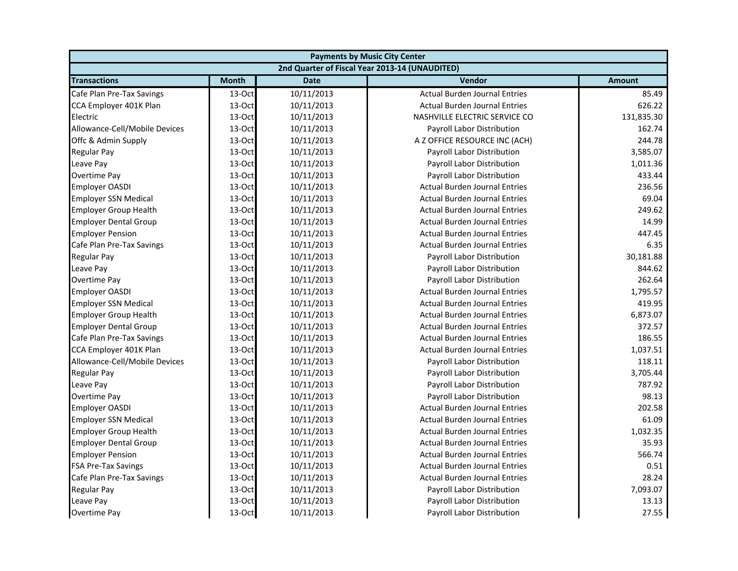| <b>Payments by Music City Center</b> |              |             |                                                |               |
|--------------------------------------|--------------|-------------|------------------------------------------------|---------------|
|                                      |              |             | 2nd Quarter of Fiscal Year 2013-14 (UNAUDITED) |               |
| <b>Transactions</b>                  | <b>Month</b> | <b>Date</b> | Vendor                                         | <b>Amount</b> |
| Cafe Plan Pre-Tax Savings            | 13-Oct       | 10/11/2013  | <b>Actual Burden Journal Entries</b>           | 85.49         |
| CCA Employer 401K Plan               | 13-Oct       | 10/11/2013  | <b>Actual Burden Journal Entries</b>           | 626.22        |
| Electric                             | 13-Oct       | 10/11/2013  | NASHVILLE ELECTRIC SERVICE CO                  | 131,835.30    |
| Allowance-Cell/Mobile Devices        | $13-Oct$     | 10/11/2013  | Payroll Labor Distribution                     | 162.74        |
| Offc & Admin Supply                  | 13-Oct       | 10/11/2013  | A Z OFFICE RESOURCE INC (ACH)                  | 244.78        |
| <b>Regular Pay</b>                   | 13-Oct       | 10/11/2013  | Payroll Labor Distribution                     | 3,585.07      |
| Leave Pay                            | 13-Oct       | 10/11/2013  | Payroll Labor Distribution                     | 1,011.36      |
| Overtime Pay                         | 13-Oct       | 10/11/2013  | Payroll Labor Distribution                     | 433.44        |
| <b>Employer OASDI</b>                | 13-Oct       | 10/11/2013  | <b>Actual Burden Journal Entries</b>           | 236.56        |
| <b>Employer SSN Medical</b>          | 13-Oct       | 10/11/2013  | <b>Actual Burden Journal Entries</b>           | 69.04         |
| <b>Employer Group Health</b>         | 13-Oct       | 10/11/2013  | <b>Actual Burden Journal Entries</b>           | 249.62        |
| <b>Employer Dental Group</b>         | 13-Oct       | 10/11/2013  | <b>Actual Burden Journal Entries</b>           | 14.99         |
| <b>Employer Pension</b>              | 13-Oct       | 10/11/2013  | <b>Actual Burden Journal Entries</b>           | 447.45        |
| Cafe Plan Pre-Tax Savings            | 13-Oct       | 10/11/2013  | <b>Actual Burden Journal Entries</b>           | 6.35          |
| <b>Regular Pay</b>                   | 13-Oct       | 10/11/2013  | <b>Payroll Labor Distribution</b>              | 30,181.88     |
| Leave Pay                            | 13-Oct       | 10/11/2013  | Payroll Labor Distribution                     | 844.62        |
| Overtime Pay                         | 13-Oct       | 10/11/2013  | Payroll Labor Distribution                     | 262.64        |
| <b>Employer OASDI</b>                | 13-Oct       | 10/11/2013  | <b>Actual Burden Journal Entries</b>           | 1,795.57      |
| <b>Employer SSN Medical</b>          | 13-Oct       | 10/11/2013  | <b>Actual Burden Journal Entries</b>           | 419.95        |
| <b>Employer Group Health</b>         | 13-Oct       | 10/11/2013  | <b>Actual Burden Journal Entries</b>           | 6,873.07      |
| <b>Employer Dental Group</b>         | 13-Oct       | 10/11/2013  | <b>Actual Burden Journal Entries</b>           | 372.57        |
| Cafe Plan Pre-Tax Savings            | 13-Oct       | 10/11/2013  | <b>Actual Burden Journal Entries</b>           | 186.55        |
| CCA Employer 401K Plan               | 13-Oct       | 10/11/2013  | <b>Actual Burden Journal Entries</b>           | 1,037.51      |
| Allowance-Cell/Mobile Devices        | 13-Oct       | 10/11/2013  | Payroll Labor Distribution                     | 118.11        |
| <b>Regular Pay</b>                   | 13-Oct       | 10/11/2013  | Payroll Labor Distribution                     | 3,705.44      |
| Leave Pay                            | 13-Oct       | 10/11/2013  | Payroll Labor Distribution                     | 787.92        |
| <b>Overtime Pay</b>                  | 13-Oct       | 10/11/2013  | Payroll Labor Distribution                     | 98.13         |
| <b>Employer OASDI</b>                | 13-Oct       | 10/11/2013  | <b>Actual Burden Journal Entries</b>           | 202.58        |
| <b>Employer SSN Medical</b>          | 13-Oct       | 10/11/2013  | <b>Actual Burden Journal Entries</b>           | 61.09         |
| <b>Employer Group Health</b>         | 13-Oct       | 10/11/2013  | <b>Actual Burden Journal Entries</b>           | 1,032.35      |
| <b>Employer Dental Group</b>         | 13-Oct       | 10/11/2013  | <b>Actual Burden Journal Entries</b>           | 35.93         |
| <b>Employer Pension</b>              | 13-Oct       | 10/11/2013  | <b>Actual Burden Journal Entries</b>           | 566.74        |
| <b>FSA Pre-Tax Savings</b>           | $13-Oct$     | 10/11/2013  | <b>Actual Burden Journal Entries</b>           | 0.51          |
| Cafe Plan Pre-Tax Savings            | 13-Oct       | 10/11/2013  | <b>Actual Burden Journal Entries</b>           | 28.24         |
| <b>Regular Pay</b>                   | 13-Oct       | 10/11/2013  | Payroll Labor Distribution                     | 7,093.07      |
| Leave Pay                            | 13-Oct       | 10/11/2013  | Payroll Labor Distribution                     | 13.13         |
| Overtime Pay                         | 13-Oct       | 10/11/2013  | <b>Payroll Labor Distribution</b>              | 27.55         |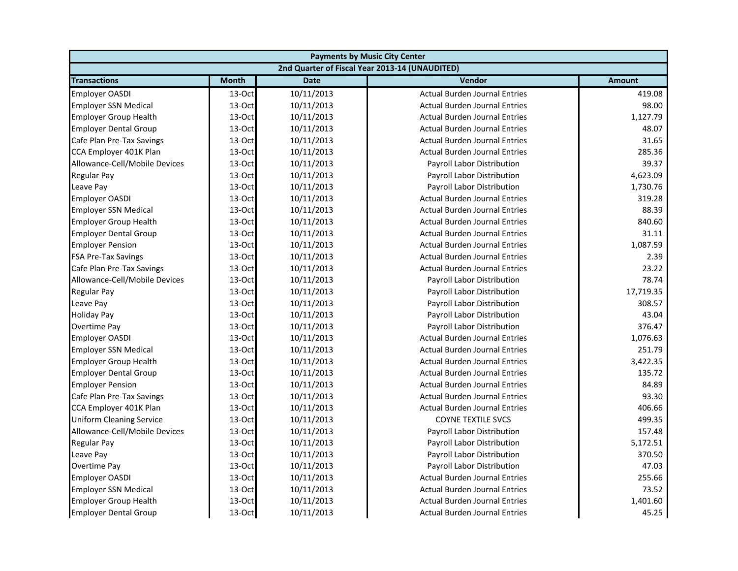| <b>Payments by Music City Center</b> |              |             |                                                |               |
|--------------------------------------|--------------|-------------|------------------------------------------------|---------------|
|                                      |              |             | 2nd Quarter of Fiscal Year 2013-14 (UNAUDITED) |               |
| <b>Transactions</b>                  | <b>Month</b> | <b>Date</b> | Vendor                                         | <b>Amount</b> |
| <b>Employer OASDI</b>                | 13-Oct       | 10/11/2013  | <b>Actual Burden Journal Entries</b>           | 419.08        |
| <b>Employer SSN Medical</b>          | 13-Oct       | 10/11/2013  | <b>Actual Burden Journal Entries</b>           | 98.00         |
| <b>Employer Group Health</b>         | 13-Oct       | 10/11/2013  | <b>Actual Burden Journal Entries</b>           | 1,127.79      |
| <b>Employer Dental Group</b>         | 13-Oct       | 10/11/2013  | <b>Actual Burden Journal Entries</b>           | 48.07         |
| Cafe Plan Pre-Tax Savings            | 13-Oct       | 10/11/2013  | <b>Actual Burden Journal Entries</b>           | 31.65         |
| CCA Employer 401K Plan               | 13-Oct       | 10/11/2013  | <b>Actual Burden Journal Entries</b>           | 285.36        |
| Allowance-Cell/Mobile Devices        | 13-Oct       | 10/11/2013  | Payroll Labor Distribution                     | 39.37         |
| <b>Regular Pay</b>                   | 13-Oct       | 10/11/2013  | Payroll Labor Distribution                     | 4,623.09      |
| Leave Pay                            | 13-Oct       | 10/11/2013  | Payroll Labor Distribution                     | 1,730.76      |
| <b>Employer OASDI</b>                | 13-Oct       | 10/11/2013  | <b>Actual Burden Journal Entries</b>           | 319.28        |
| <b>Employer SSN Medical</b>          | 13-Oct       | 10/11/2013  | <b>Actual Burden Journal Entries</b>           | 88.39         |
| <b>Employer Group Health</b>         | 13-Oct       | 10/11/2013  | <b>Actual Burden Journal Entries</b>           | 840.60        |
| <b>Employer Dental Group</b>         | 13-Oct       | 10/11/2013  | <b>Actual Burden Journal Entries</b>           | 31.11         |
| <b>Employer Pension</b>              | 13-Oct       | 10/11/2013  | <b>Actual Burden Journal Entries</b>           | 1,087.59      |
| <b>FSA Pre-Tax Savings</b>           | 13-Oct       | 10/11/2013  | <b>Actual Burden Journal Entries</b>           | 2.39          |
| Cafe Plan Pre-Tax Savings            | 13-Oct       | 10/11/2013  | <b>Actual Burden Journal Entries</b>           | 23.22         |
| Allowance-Cell/Mobile Devices        | 13-Oct       | 10/11/2013  | Payroll Labor Distribution                     | 78.74         |
| <b>Regular Pay</b>                   | 13-Oct       | 10/11/2013  | Payroll Labor Distribution                     | 17,719.35     |
| Leave Pay                            | 13-Oct       | 10/11/2013  | Payroll Labor Distribution                     | 308.57        |
| <b>Holiday Pay</b>                   | 13-Oct       | 10/11/2013  | Payroll Labor Distribution                     | 43.04         |
| <b>Overtime Pay</b>                  | 13-Oct       | 10/11/2013  | Payroll Labor Distribution                     | 376.47        |
| <b>Employer OASDI</b>                | 13-Oct       | 10/11/2013  | <b>Actual Burden Journal Entries</b>           | 1,076.63      |
| <b>Employer SSN Medical</b>          | 13-Oct       | 10/11/2013  | <b>Actual Burden Journal Entries</b>           | 251.79        |
| <b>Employer Group Health</b>         | 13-Oct       | 10/11/2013  | <b>Actual Burden Journal Entries</b>           | 3,422.35      |
| <b>Employer Dental Group</b>         | 13-Oct       | 10/11/2013  | <b>Actual Burden Journal Entries</b>           | 135.72        |
| <b>Employer Pension</b>              | 13-Oct       | 10/11/2013  | <b>Actual Burden Journal Entries</b>           | 84.89         |
| Cafe Plan Pre-Tax Savings            | 13-Oct       | 10/11/2013  | <b>Actual Burden Journal Entries</b>           | 93.30         |
| CCA Employer 401K Plan               | 13-Oct       | 10/11/2013  | <b>Actual Burden Journal Entries</b>           | 406.66        |
| <b>Uniform Cleaning Service</b>      | 13-Oct       | 10/11/2013  | <b>COYNE TEXTILE SVCS</b>                      | 499.35        |
| Allowance-Cell/Mobile Devices        | 13-Oct       | 10/11/2013  | Payroll Labor Distribution                     | 157.48        |
| <b>Regular Pay</b>                   | 13-Oct       | 10/11/2013  | Payroll Labor Distribution                     | 5,172.51      |
| Leave Pay                            | 13-Oct       | 10/11/2013  | Payroll Labor Distribution                     | 370.50        |
| <b>Overtime Pay</b>                  | 13-Oct       | 10/11/2013  | <b>Payroll Labor Distribution</b>              | 47.03         |
| <b>Employer OASDI</b>                | 13-Oct       | 10/11/2013  | <b>Actual Burden Journal Entries</b>           | 255.66        |
| <b>Employer SSN Medical</b>          | 13-Oct       | 10/11/2013  | <b>Actual Burden Journal Entries</b>           | 73.52         |
| <b>Employer Group Health</b>         | 13-Oct       | 10/11/2013  | <b>Actual Burden Journal Entries</b>           | 1,401.60      |
| <b>Employer Dental Group</b>         | 13-Oct       | 10/11/2013  | <b>Actual Burden Journal Entries</b>           | 45.25         |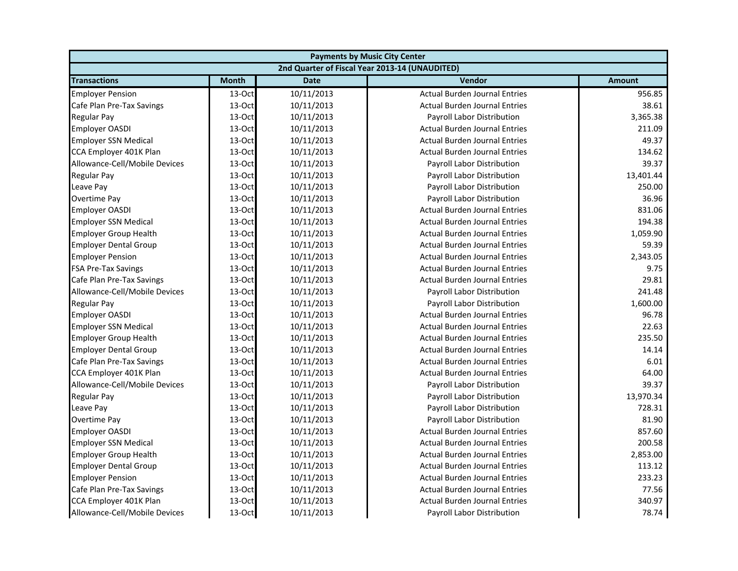| <b>Payments by Music City Center</b> |              |             |                                                |               |
|--------------------------------------|--------------|-------------|------------------------------------------------|---------------|
|                                      |              |             | 2nd Quarter of Fiscal Year 2013-14 (UNAUDITED) |               |
| <b>Transactions</b>                  | <b>Month</b> | <b>Date</b> | Vendor                                         | <b>Amount</b> |
| <b>Employer Pension</b>              | 13-Oct       | 10/11/2013  | <b>Actual Burden Journal Entries</b>           | 956.85        |
| Cafe Plan Pre-Tax Savings            | 13-Oct       | 10/11/2013  | <b>Actual Burden Journal Entries</b>           | 38.61         |
| <b>Regular Pay</b>                   | 13-Oct       | 10/11/2013  | <b>Payroll Labor Distribution</b>              | 3,365.38      |
| <b>Employer OASDI</b>                | $13-Oct$     | 10/11/2013  | <b>Actual Burden Journal Entries</b>           | 211.09        |
| <b>Employer SSN Medical</b>          | 13-Oct       | 10/11/2013  | <b>Actual Burden Journal Entries</b>           | 49.37         |
| CCA Employer 401K Plan               | 13-Oct       | 10/11/2013  | <b>Actual Burden Journal Entries</b>           | 134.62        |
| Allowance-Cell/Mobile Devices        | 13-Oct       | 10/11/2013  | Payroll Labor Distribution                     | 39.37         |
| <b>Regular Pay</b>                   | 13-Oct       | 10/11/2013  | Payroll Labor Distribution                     | 13,401.44     |
| Leave Pay                            | 13-Oct       | 10/11/2013  | Payroll Labor Distribution                     | 250.00        |
| Overtime Pay                         | 13-Oct       | 10/11/2013  | Payroll Labor Distribution                     | 36.96         |
| <b>Employer OASDI</b>                | 13-Oct       | 10/11/2013  | <b>Actual Burden Journal Entries</b>           | 831.06        |
| <b>Employer SSN Medical</b>          | 13-Oct       | 10/11/2013  | <b>Actual Burden Journal Entries</b>           | 194.38        |
| <b>Employer Group Health</b>         | 13-Oct       | 10/11/2013  | <b>Actual Burden Journal Entries</b>           | 1,059.90      |
| <b>Employer Dental Group</b>         | 13-Oct       | 10/11/2013  | <b>Actual Burden Journal Entries</b>           | 59.39         |
| <b>Employer Pension</b>              | 13-Oct       | 10/11/2013  | <b>Actual Burden Journal Entries</b>           | 2,343.05      |
| <b>FSA Pre-Tax Savings</b>           | 13-Oct       | 10/11/2013  | <b>Actual Burden Journal Entries</b>           | 9.75          |
| Cafe Plan Pre-Tax Savings            | 13-Oct       | 10/11/2013  | <b>Actual Burden Journal Entries</b>           | 29.81         |
| Allowance-Cell/Mobile Devices        | 13-Oct       | 10/11/2013  | Payroll Labor Distribution                     | 241.48        |
| <b>Regular Pay</b>                   | 13-Oct       | 10/11/2013  | Payroll Labor Distribution                     | 1,600.00      |
| <b>Employer OASDI</b>                | 13-Oct       | 10/11/2013  | <b>Actual Burden Journal Entries</b>           | 96.78         |
| <b>Employer SSN Medical</b>          | 13-Oct       | 10/11/2013  | <b>Actual Burden Journal Entries</b>           | 22.63         |
| <b>Employer Group Health</b>         | 13-Oct       | 10/11/2013  | <b>Actual Burden Journal Entries</b>           | 235.50        |
| <b>Employer Dental Group</b>         | 13-Oct       | 10/11/2013  | <b>Actual Burden Journal Entries</b>           | 14.14         |
| Cafe Plan Pre-Tax Savings            | 13-Oct       | 10/11/2013  | <b>Actual Burden Journal Entries</b>           | 6.01          |
| CCA Employer 401K Plan               | 13-Oct       | 10/11/2013  | <b>Actual Burden Journal Entries</b>           | 64.00         |
| Allowance-Cell/Mobile Devices        | 13-Oct       | 10/11/2013  | Payroll Labor Distribution                     | 39.37         |
| <b>Regular Pay</b>                   | 13-Oct       | 10/11/2013  | Payroll Labor Distribution                     | 13,970.34     |
| Leave Pay                            | 13-Oct       | 10/11/2013  | Payroll Labor Distribution                     | 728.31        |
| Overtime Pay                         | 13-Oct       | 10/11/2013  | Payroll Labor Distribution                     | 81.90         |
| <b>Employer OASDI</b>                | 13-Oct       | 10/11/2013  | <b>Actual Burden Journal Entries</b>           | 857.60        |
| <b>Employer SSN Medical</b>          | 13-Oct       | 10/11/2013  | <b>Actual Burden Journal Entries</b>           | 200.58        |
| <b>Employer Group Health</b>         | 13-Oct       | 10/11/2013  | <b>Actual Burden Journal Entries</b>           | 2,853.00      |
| <b>Employer Dental Group</b>         | $13-Oct$     | 10/11/2013  | <b>Actual Burden Journal Entries</b>           | 113.12        |
| <b>Employer Pension</b>              | 13-Oct       | 10/11/2013  | <b>Actual Burden Journal Entries</b>           | 233.23        |
| Cafe Plan Pre-Tax Savings            | 13-Oct       | 10/11/2013  | <b>Actual Burden Journal Entries</b>           | 77.56         |
| CCA Employer 401K Plan               | 13-Oct       | 10/11/2013  | <b>Actual Burden Journal Entries</b>           | 340.97        |
| Allowance-Cell/Mobile Devices        | 13-Oct       | 10/11/2013  | Payroll Labor Distribution                     | 78.74         |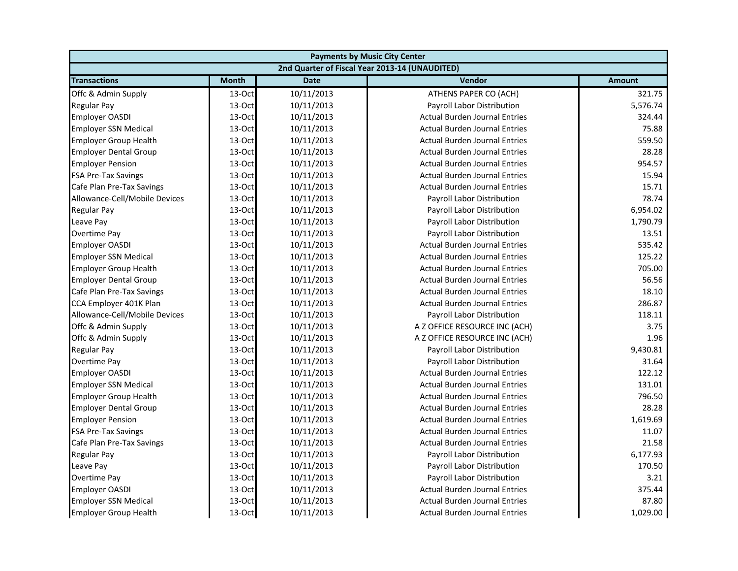| <b>Payments by Music City Center</b> |              |             |                                                |               |
|--------------------------------------|--------------|-------------|------------------------------------------------|---------------|
|                                      |              |             | 2nd Quarter of Fiscal Year 2013-14 (UNAUDITED) |               |
| <b>Transactions</b>                  | <b>Month</b> | <b>Date</b> | Vendor                                         | <b>Amount</b> |
| Offc & Admin Supply                  | 13-Oct       | 10/11/2013  | ATHENS PAPER CO (ACH)                          | 321.75        |
| <b>Regular Pay</b>                   | 13-Oct       | 10/11/2013  | Payroll Labor Distribution                     | 5,576.74      |
| <b>Employer OASDI</b>                | 13-Oct       | 10/11/2013  | <b>Actual Burden Journal Entries</b>           | 324.44        |
| <b>Employer SSN Medical</b>          | 13-Oct       | 10/11/2013  | <b>Actual Burden Journal Entries</b>           | 75.88         |
| <b>Employer Group Health</b>         | 13-Oct       | 10/11/2013  | <b>Actual Burden Journal Entries</b>           | 559.50        |
| <b>Employer Dental Group</b>         | 13-Oct       | 10/11/2013  | <b>Actual Burden Journal Entries</b>           | 28.28         |
| <b>Employer Pension</b>              | 13-Oct       | 10/11/2013  | <b>Actual Burden Journal Entries</b>           | 954.57        |
| <b>FSA Pre-Tax Savings</b>           | 13-Oct       | 10/11/2013  | <b>Actual Burden Journal Entries</b>           | 15.94         |
| Cafe Plan Pre-Tax Savings            | 13-Oct       | 10/11/2013  | <b>Actual Burden Journal Entries</b>           | 15.71         |
| Allowance-Cell/Mobile Devices        | 13-Oct       | 10/11/2013  | Payroll Labor Distribution                     | 78.74         |
| <b>Regular Pay</b>                   | 13-Oct       | 10/11/2013  | Payroll Labor Distribution                     | 6,954.02      |
| Leave Pay                            | 13-Oct       | 10/11/2013  | Payroll Labor Distribution                     | 1,790.79      |
| Overtime Pay                         | 13-Oct       | 10/11/2013  | Payroll Labor Distribution                     | 13.51         |
| <b>Employer OASDI</b>                | 13-Oct       | 10/11/2013  | <b>Actual Burden Journal Entries</b>           | 535.42        |
| <b>Employer SSN Medical</b>          | 13-Oct       | 10/11/2013  | <b>Actual Burden Journal Entries</b>           | 125.22        |
| <b>Employer Group Health</b>         | 13-Oct       | 10/11/2013  | <b>Actual Burden Journal Entries</b>           | 705.00        |
| <b>Employer Dental Group</b>         | 13-Oct       | 10/11/2013  | <b>Actual Burden Journal Entries</b>           | 56.56         |
| Cafe Plan Pre-Tax Savings            | 13-Oct       | 10/11/2013  | <b>Actual Burden Journal Entries</b>           | 18.10         |
| CCA Employer 401K Plan               | 13-Oct       | 10/11/2013  | <b>Actual Burden Journal Entries</b>           | 286.87        |
| Allowance-Cell/Mobile Devices        | 13-Oct       | 10/11/2013  | Payroll Labor Distribution                     | 118.11        |
| Offc & Admin Supply                  | 13-Oct       | 10/11/2013  | A Z OFFICE RESOURCE INC (ACH)                  | 3.75          |
| Offc & Admin Supply                  | 13-Oct       | 10/11/2013  | A Z OFFICE RESOURCE INC (ACH)                  | 1.96          |
| <b>Regular Pay</b>                   | 13-Oct       | 10/11/2013  | Payroll Labor Distribution                     | 9,430.81      |
| Overtime Pay                         | 13-Oct       | 10/11/2013  | Payroll Labor Distribution                     | 31.64         |
| <b>Employer OASDI</b>                | 13-Oct       | 10/11/2013  | <b>Actual Burden Journal Entries</b>           | 122.12        |
| <b>Employer SSN Medical</b>          | 13-Oct       | 10/11/2013  | <b>Actual Burden Journal Entries</b>           | 131.01        |
| <b>Employer Group Health</b>         | 13-Oct       | 10/11/2013  | <b>Actual Burden Journal Entries</b>           | 796.50        |
| <b>Employer Dental Group</b>         | 13-Oct       | 10/11/2013  | <b>Actual Burden Journal Entries</b>           | 28.28         |
| <b>Employer Pension</b>              | 13-Oct       | 10/11/2013  | <b>Actual Burden Journal Entries</b>           | 1,619.69      |
| <b>FSA Pre-Tax Savings</b>           | 13-Oct       | 10/11/2013  | <b>Actual Burden Journal Entries</b>           | 11.07         |
| Cafe Plan Pre-Tax Savings            | 13-Oct       | 10/11/2013  | <b>Actual Burden Journal Entries</b>           | 21.58         |
| <b>Regular Pay</b>                   | 13-Oct       | 10/11/2013  | Payroll Labor Distribution                     | 6,177.93      |
| Leave Pay                            | 13-Oct       | 10/11/2013  | Payroll Labor Distribution                     | 170.50        |
| Overtime Pay                         | 13-Oct       | 10/11/2013  | Payroll Labor Distribution                     | 3.21          |
| <b>Employer OASDI</b>                | 13-Oct       | 10/11/2013  | <b>Actual Burden Journal Entries</b>           | 375.44        |
| <b>Employer SSN Medical</b>          | 13-Oct       | 10/11/2013  | <b>Actual Burden Journal Entries</b>           | 87.80         |
| <b>Employer Group Health</b>         | 13-Oct       | 10/11/2013  | <b>Actual Burden Journal Entries</b>           | 1,029.00      |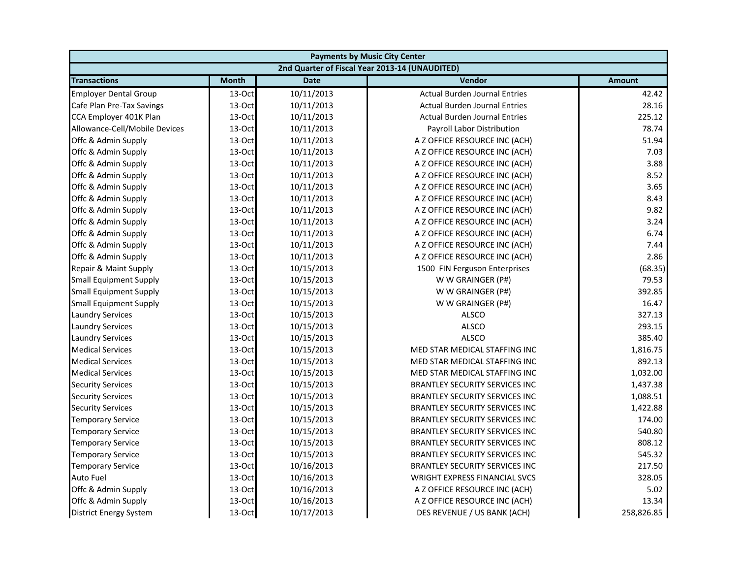| <b>Payments by Music City Center</b> |              |             |                                                |               |
|--------------------------------------|--------------|-------------|------------------------------------------------|---------------|
|                                      |              |             | 2nd Quarter of Fiscal Year 2013-14 (UNAUDITED) |               |
| <b>Transactions</b>                  | <b>Month</b> | <b>Date</b> | Vendor                                         | <b>Amount</b> |
| <b>Employer Dental Group</b>         | 13-Oct       | 10/11/2013  | <b>Actual Burden Journal Entries</b>           | 42.42         |
| Cafe Plan Pre-Tax Savings            | 13-Oct       | 10/11/2013  | <b>Actual Burden Journal Entries</b>           | 28.16         |
| CCA Employer 401K Plan               | 13-Oct       | 10/11/2013  | <b>Actual Burden Journal Entries</b>           | 225.12        |
| Allowance-Cell/Mobile Devices        | 13-Oct       | 10/11/2013  | Payroll Labor Distribution                     | 78.74         |
| Offc & Admin Supply                  | 13-Oct       | 10/11/2013  | A Z OFFICE RESOURCE INC (ACH)                  | 51.94         |
| Offc & Admin Supply                  | 13-Oct       | 10/11/2013  | A Z OFFICE RESOURCE INC (ACH)                  | 7.03          |
| Offc & Admin Supply                  | 13-Oct       | 10/11/2013  | A Z OFFICE RESOURCE INC (ACH)                  | 3.88          |
| Offc & Admin Supply                  | 13-Oct       | 10/11/2013  | A Z OFFICE RESOURCE INC (ACH)                  | 8.52          |
| Offc & Admin Supply                  | 13-Oct       | 10/11/2013  | A Z OFFICE RESOURCE INC (ACH)                  | 3.65          |
| Offc & Admin Supply                  | 13-Oct       | 10/11/2013  | A Z OFFICE RESOURCE INC (ACH)                  | 8.43          |
| Offc & Admin Supply                  | 13-Oct       | 10/11/2013  | A Z OFFICE RESOURCE INC (ACH)                  | 9.82          |
| Offc & Admin Supply                  | 13-Oct       | 10/11/2013  | A Z OFFICE RESOURCE INC (ACH)                  | 3.24          |
| Offc & Admin Supply                  | 13-Oct       | 10/11/2013  | A Z OFFICE RESOURCE INC (ACH)                  | 6.74          |
| Offc & Admin Supply                  | 13-Oct       | 10/11/2013  | A Z OFFICE RESOURCE INC (ACH)                  | 7.44          |
| Offc & Admin Supply                  | 13-Oct       | 10/11/2013  | A Z OFFICE RESOURCE INC (ACH)                  | 2.86          |
| Repair & Maint Supply                | 13-Oct       | 10/15/2013  | 1500 FIN Ferguson Enterprises                  | (68.35)       |
| <b>Small Equipment Supply</b>        | 13-Oct       | 10/15/2013  | W W GRAINGER (P#)                              | 79.53         |
| <b>Small Equipment Supply</b>        | 13-Oct       | 10/15/2013  | W W GRAINGER (P#)                              | 392.85        |
| <b>Small Equipment Supply</b>        | 13-Oct       | 10/15/2013  | W W GRAINGER (P#)                              | 16.47         |
| <b>Laundry Services</b>              | 13-Oct       | 10/15/2013  | <b>ALSCO</b>                                   | 327.13        |
| <b>Laundry Services</b>              | 13-Oct       | 10/15/2013  | <b>ALSCO</b>                                   | 293.15        |
| <b>Laundry Services</b>              | 13-Oct       | 10/15/2013  | <b>ALSCO</b>                                   | 385.40        |
| <b>Medical Services</b>              | 13-Oct       | 10/15/2013  | MED STAR MEDICAL STAFFING INC                  | 1,816.75      |
| <b>Medical Services</b>              | 13-Oct       | 10/15/2013  | MED STAR MEDICAL STAFFING INC                  | 892.13        |
| <b>Medical Services</b>              | 13-Oct       | 10/15/2013  | MED STAR MEDICAL STAFFING INC                  | 1,032.00      |
| <b>Security Services</b>             | 13-Oct       | 10/15/2013  | <b>BRANTLEY SECURITY SERVICES INC</b>          | 1,437.38      |
| <b>Security Services</b>             | 13-Oct       | 10/15/2013  | BRANTLEY SECURITY SERVICES INC                 | 1,088.51      |
| <b>Security Services</b>             | 13-Oct       | 10/15/2013  | BRANTLEY SECURITY SERVICES INC                 | 1,422.88      |
| <b>Temporary Service</b>             | 13-Oct       | 10/15/2013  | <b>BRANTLEY SECURITY SERVICES INC</b>          | 174.00        |
| <b>Temporary Service</b>             | 13-Oct       | 10/15/2013  | <b>BRANTLEY SECURITY SERVICES INC</b>          | 540.80        |
| <b>Temporary Service</b>             | 13-Oct       | 10/15/2013  | <b>BRANTLEY SECURITY SERVICES INC</b>          | 808.12        |
| <b>Temporary Service</b>             | 13-Oct       | 10/15/2013  | <b>BRANTLEY SECURITY SERVICES INC</b>          | 545.32        |
| <b>Temporary Service</b>             | 13-Oct       | 10/16/2013  | <b>BRANTLEY SECURITY SERVICES INC</b>          | 217.50        |
| Auto Fuel                            | 13-Oct       | 10/16/2013  | WRIGHT EXPRESS FINANCIAL SVCS                  | 328.05        |
| Offc & Admin Supply                  | 13-Oct       | 10/16/2013  | A Z OFFICE RESOURCE INC (ACH)                  | 5.02          |
| Offc & Admin Supply                  | 13-Oct       | 10/16/2013  | A Z OFFICE RESOURCE INC (ACH)                  | 13.34         |
| <b>District Energy System</b>        | 13-Oct       | 10/17/2013  | DES REVENUE / US BANK (ACH)                    | 258,826.85    |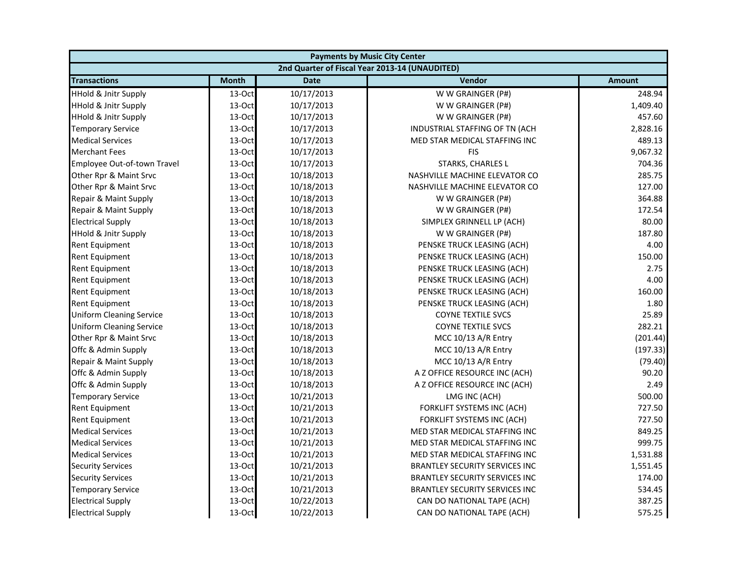| <b>Payments by Music City Center</b> |              |             |                                                |               |
|--------------------------------------|--------------|-------------|------------------------------------------------|---------------|
|                                      |              |             | 2nd Quarter of Fiscal Year 2013-14 (UNAUDITED) |               |
| <b>Transactions</b>                  | <b>Month</b> | <b>Date</b> | Vendor                                         | <b>Amount</b> |
| <b>HHold &amp; Jnitr Supply</b>      | 13-Oct       | 10/17/2013  | W W GRAINGER (P#)                              | 248.94        |
| <b>HHold &amp; Jnitr Supply</b>      | 13-Oct       | 10/17/2013  | W W GRAINGER (P#)                              | 1,409.40      |
| <b>HHold &amp; Jnitr Supply</b>      | 13-Oct       | 10/17/2013  | W W GRAINGER (P#)                              | 457.60        |
| <b>Temporary Service</b>             | 13-Oct       | 10/17/2013  | INDUSTRIAL STAFFING OF TN (ACH                 | 2,828.16      |
| <b>Medical Services</b>              | 13-Oct       | 10/17/2013  | MED STAR MEDICAL STAFFING INC                  | 489.13        |
| <b>Merchant Fees</b>                 | 13-Oct       | 10/17/2013  | <b>FIS</b>                                     | 9,067.32      |
| Employee Out-of-town Travel          | 13-Oct       | 10/17/2013  | STARKS, CHARLES L                              | 704.36        |
| Other Rpr & Maint Srvc               | 13-Oct       | 10/18/2013  | NASHVILLE MACHINE ELEVATOR CO                  | 285.75        |
| Other Rpr & Maint Srvc               | 13-Oct       | 10/18/2013  | NASHVILLE MACHINE ELEVATOR CO                  | 127.00        |
| Repair & Maint Supply                | 13-Oct       | 10/18/2013  | W W GRAINGER (P#)                              | 364.88        |
| Repair & Maint Supply                | 13-Oct       | 10/18/2013  | W W GRAINGER (P#)                              | 172.54        |
| <b>Electrical Supply</b>             | 13-Oct       | 10/18/2013  | SIMPLEX GRINNELL LP (ACH)                      | 80.00         |
| <b>HHold &amp; Jnitr Supply</b>      | 13-Oct       | 10/18/2013  | W W GRAINGER (P#)                              | 187.80        |
| <b>Rent Equipment</b>                | 13-Oct       | 10/18/2013  | PENSKE TRUCK LEASING (ACH)                     | 4.00          |
| <b>Rent Equipment</b>                | 13-Oct       | 10/18/2013  | PENSKE TRUCK LEASING (ACH)                     | 150.00        |
| <b>Rent Equipment</b>                | 13-Oct       | 10/18/2013  | PENSKE TRUCK LEASING (ACH)                     | 2.75          |
| Rent Equipment                       | 13-Oct       | 10/18/2013  | PENSKE TRUCK LEASING (ACH)                     | 4.00          |
| <b>Rent Equipment</b>                | 13-Oct       | 10/18/2013  | PENSKE TRUCK LEASING (ACH)                     | 160.00        |
| <b>Rent Equipment</b>                | 13-Oct       | 10/18/2013  | PENSKE TRUCK LEASING (ACH)                     | 1.80          |
| <b>Uniform Cleaning Service</b>      | 13-Oct       | 10/18/2013  | <b>COYNE TEXTILE SVCS</b>                      | 25.89         |
| <b>Uniform Cleaning Service</b>      | 13-Oct       | 10/18/2013  | <b>COYNE TEXTILE SVCS</b>                      | 282.21        |
| Other Rpr & Maint Srvc               | 13-Oct       | 10/18/2013  | MCC 10/13 A/R Entry                            | (201.44)      |
| Offc & Admin Supply                  | $13-Oct$     | 10/18/2013  | MCC 10/13 A/R Entry                            | (197.33)      |
| Repair & Maint Supply                | 13-Oct       | 10/18/2013  | MCC 10/13 A/R Entry                            | (79.40)       |
| Offc & Admin Supply                  | 13-Oct       | 10/18/2013  | A Z OFFICE RESOURCE INC (ACH)                  | 90.20         |
| Offc & Admin Supply                  | 13-Oct       | 10/18/2013  | A Z OFFICE RESOURCE INC (ACH)                  | 2.49          |
| <b>Temporary Service</b>             | 13-Oct       | 10/21/2013  | LMG INC (ACH)                                  | 500.00        |
| Rent Equipment                       | 13-Oct       | 10/21/2013  | FORKLIFT SYSTEMS INC (ACH)                     | 727.50        |
| <b>Rent Equipment</b>                | 13-Oct       | 10/21/2013  | FORKLIFT SYSTEMS INC (ACH)                     | 727.50        |
| <b>Medical Services</b>              | 13-Oct       | 10/21/2013  | MED STAR MEDICAL STAFFING INC                  | 849.25        |
| <b>Medical Services</b>              | 13-Oct       | 10/21/2013  | MED STAR MEDICAL STAFFING INC                  | 999.75        |
| <b>Medical Services</b>              | 13-Oct       | 10/21/2013  | MED STAR MEDICAL STAFFING INC                  | 1,531.88      |
| <b>Security Services</b>             | 13-Oct       | 10/21/2013  | <b>BRANTLEY SECURITY SERVICES INC</b>          | 1,551.45      |
| <b>Security Services</b>             | 13-Oct       | 10/21/2013  | <b>BRANTLEY SECURITY SERVICES INC</b>          | 174.00        |
| <b>Temporary Service</b>             | 13-Oct       | 10/21/2013  | <b>BRANTLEY SECURITY SERVICES INC</b>          | 534.45        |
| <b>Electrical Supply</b>             | 13-Oct       | 10/22/2013  | CAN DO NATIONAL TAPE (ACH)                     | 387.25        |
| <b>Electrical Supply</b>             | 13-Oct       | 10/22/2013  | CAN DO NATIONAL TAPE (ACH)                     | 575.25        |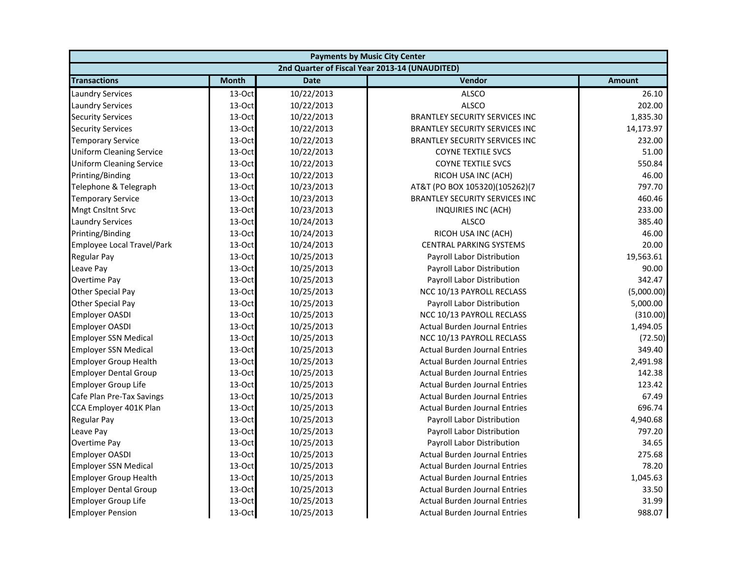| <b>Payments by Music City Center</b> |              |             |                                                |               |
|--------------------------------------|--------------|-------------|------------------------------------------------|---------------|
|                                      |              |             | 2nd Quarter of Fiscal Year 2013-14 (UNAUDITED) |               |
| <b>Transactions</b>                  | <b>Month</b> | <b>Date</b> | Vendor                                         | <b>Amount</b> |
| <b>Laundry Services</b>              | $13-Oct$     | 10/22/2013  | <b>ALSCO</b>                                   | 26.10         |
| <b>Laundry Services</b>              | 13-Oct       | 10/22/2013  | <b>ALSCO</b>                                   | 202.00        |
| <b>Security Services</b>             | 13-Oct       | 10/22/2013  | <b>BRANTLEY SECURITY SERVICES INC</b>          | 1,835.30      |
| <b>Security Services</b>             | 13-Oct       | 10/22/2013  | <b>BRANTLEY SECURITY SERVICES INC</b>          | 14,173.97     |
| <b>Temporary Service</b>             | 13-Oct       | 10/22/2013  | <b>BRANTLEY SECURITY SERVICES INC</b>          | 232.00        |
| <b>Uniform Cleaning Service</b>      | 13-Oct       | 10/22/2013  | <b>COYNE TEXTILE SVCS</b>                      | 51.00         |
| <b>Uniform Cleaning Service</b>      | 13-Oct       | 10/22/2013  | <b>COYNE TEXTILE SVCS</b>                      | 550.84        |
| Printing/Binding                     | 13-Oct       | 10/22/2013  | RICOH USA INC (ACH)                            | 46.00         |
| Telephone & Telegraph                | 13-Oct       | 10/23/2013  | AT&T (PO BOX 105320)(105262)(7                 | 797.70        |
| <b>Temporary Service</b>             | 13-Oct       | 10/23/2013  | <b>BRANTLEY SECURITY SERVICES INC</b>          | 460.46        |
| <b>Mngt Cnsltnt Srvc</b>             | 13-Oct       | 10/23/2013  | INQUIRIES INC (ACH)                            | 233.00        |
| <b>Laundry Services</b>              | 13-Oct       | 10/24/2013  | <b>ALSCO</b>                                   | 385.40        |
| Printing/Binding                     | 13-Oct       | 10/24/2013  | RICOH USA INC (ACH)                            | 46.00         |
| Employee Local Travel/Park           | 13-Oct       | 10/24/2013  | <b>CENTRAL PARKING SYSTEMS</b>                 | 20.00         |
| Regular Pay                          | 13-Oct       | 10/25/2013  | Payroll Labor Distribution                     | 19,563.61     |
| Leave Pay                            | 13-Oct       | 10/25/2013  | Payroll Labor Distribution                     | 90.00         |
| Overtime Pay                         | 13-Oct       | 10/25/2013  | Payroll Labor Distribution                     | 342.47        |
| <b>Other Special Pay</b>             | 13-Oct       | 10/25/2013  | NCC 10/13 PAYROLL RECLASS                      | (5,000.00)    |
| Other Special Pay                    | 13-Oct       | 10/25/2013  | Payroll Labor Distribution                     | 5,000.00      |
| <b>Employer OASDI</b>                | 13-Oct       | 10/25/2013  | NCC 10/13 PAYROLL RECLASS                      | (310.00)      |
| <b>Employer OASDI</b>                | 13-Oct       | 10/25/2013  | <b>Actual Burden Journal Entries</b>           | 1,494.05      |
| <b>Employer SSN Medical</b>          | 13-Oct       | 10/25/2013  | NCC 10/13 PAYROLL RECLASS                      | (72.50)       |
| <b>Employer SSN Medical</b>          | 13-Oct       | 10/25/2013  | <b>Actual Burden Journal Entries</b>           | 349.40        |
| <b>Employer Group Health</b>         | 13-Oct       | 10/25/2013  | <b>Actual Burden Journal Entries</b>           | 2,491.98      |
| <b>Employer Dental Group</b>         | 13-Oct       | 10/25/2013  | <b>Actual Burden Journal Entries</b>           | 142.38        |
| <b>Employer Group Life</b>           | 13-Oct       | 10/25/2013  | <b>Actual Burden Journal Entries</b>           | 123.42        |
| Cafe Plan Pre-Tax Savings            | 13-Oct       | 10/25/2013  | <b>Actual Burden Journal Entries</b>           | 67.49         |
| CCA Employer 401K Plan               | 13-Oct       | 10/25/2013  | <b>Actual Burden Journal Entries</b>           | 696.74        |
| Regular Pay                          | 13-Oct       | 10/25/2013  | Payroll Labor Distribution                     | 4,940.68      |
| Leave Pay                            | 13-Oct       | 10/25/2013  | Payroll Labor Distribution                     | 797.20        |
| Overtime Pay                         | 13-Oct       | 10/25/2013  | Payroll Labor Distribution                     | 34.65         |
| <b>Employer OASDI</b>                | 13-Oct       | 10/25/2013  | <b>Actual Burden Journal Entries</b>           | 275.68        |
| <b>Employer SSN Medical</b>          | 13-Oct       | 10/25/2013  | <b>Actual Burden Journal Entries</b>           | 78.20         |
| <b>Employer Group Health</b>         | 13-Oct       | 10/25/2013  | <b>Actual Burden Journal Entries</b>           | 1,045.63      |
| <b>Employer Dental Group</b>         | 13-Oct       | 10/25/2013  | <b>Actual Burden Journal Entries</b>           | 33.50         |
| Employer Group Life                  | 13-Oct       | 10/25/2013  | <b>Actual Burden Journal Entries</b>           | 31.99         |
| <b>Employer Pension</b>              | 13-Oct       | 10/25/2013  | <b>Actual Burden Journal Entries</b>           | 988.07        |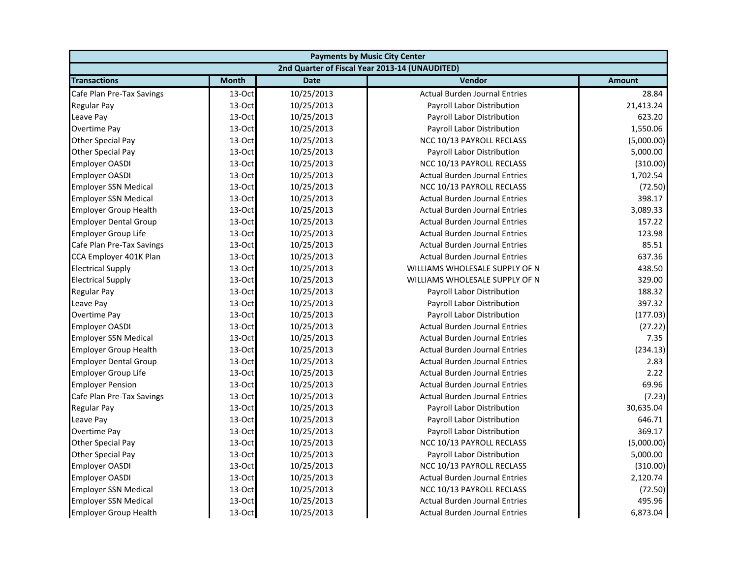| <b>Payments by Music City Center</b> |              |             |                                                |               |
|--------------------------------------|--------------|-------------|------------------------------------------------|---------------|
|                                      |              |             | 2nd Quarter of Fiscal Year 2013-14 (UNAUDITED) |               |
| <b>Transactions</b>                  | <b>Month</b> | <b>Date</b> | Vendor                                         | <b>Amount</b> |
| Cafe Plan Pre-Tax Savings            | 13-Oct       | 10/25/2013  | <b>Actual Burden Journal Entries</b>           | 28.84         |
| <b>Regular Pay</b>                   | 13-Oct       | 10/25/2013  | Payroll Labor Distribution                     | 21,413.24     |
| Leave Pay                            | 13-Oct       | 10/25/2013  | Payroll Labor Distribution                     | 623.20        |
| Overtime Pay                         | 13-Oct       | 10/25/2013  | Payroll Labor Distribution                     | 1,550.06      |
| <b>Other Special Pay</b>             | 13-Oct       | 10/25/2013  | NCC 10/13 PAYROLL RECLASS                      | (5,000.00)    |
| Other Special Pay                    | 13-Oct       | 10/25/2013  | Payroll Labor Distribution                     | 5,000.00      |
| <b>Employer OASDI</b>                | 13-Oct       | 10/25/2013  | NCC 10/13 PAYROLL RECLASS                      | (310.00)      |
| <b>Employer OASDI</b>                | 13-Oct       | 10/25/2013  | <b>Actual Burden Journal Entries</b>           | 1,702.54      |
| <b>Employer SSN Medical</b>          | 13-Oct       | 10/25/2013  | NCC 10/13 PAYROLL RECLASS                      | (72.50)       |
| <b>Employer SSN Medical</b>          | 13-Oct       | 10/25/2013  | <b>Actual Burden Journal Entries</b>           | 398.17        |
| <b>Employer Group Health</b>         | 13-Oct       | 10/25/2013  | <b>Actual Burden Journal Entries</b>           | 3,089.33      |
| <b>Employer Dental Group</b>         | 13-Oct       | 10/25/2013  | <b>Actual Burden Journal Entries</b>           | 157.22        |
| <b>Employer Group Life</b>           | 13-Oct       | 10/25/2013  | <b>Actual Burden Journal Entries</b>           | 123.98        |
| Cafe Plan Pre-Tax Savings            | 13-Oct       | 10/25/2013  | <b>Actual Burden Journal Entries</b>           | 85.51         |
| CCA Employer 401K Plan               | 13-Oct       | 10/25/2013  | <b>Actual Burden Journal Entries</b>           | 637.36        |
| <b>Electrical Supply</b>             | 13-Oct       | 10/25/2013  | WILLIAMS WHOLESALE SUPPLY OF N                 | 438.50        |
| <b>Electrical Supply</b>             | 13-Oct       | 10/25/2013  | WILLIAMS WHOLESALE SUPPLY OF N                 | 329.00        |
| <b>Regular Pay</b>                   | 13-Oct       | 10/25/2013  | Payroll Labor Distribution                     | 188.32        |
| Leave Pay                            | 13-Oct       | 10/25/2013  | Payroll Labor Distribution                     | 397.32        |
| Overtime Pay                         | 13-Oct       | 10/25/2013  | Payroll Labor Distribution                     | (177.03)      |
| <b>Employer OASDI</b>                | 13-Oct       | 10/25/2013  | <b>Actual Burden Journal Entries</b>           | (27.22)       |
| <b>Employer SSN Medical</b>          | 13-Oct       | 10/25/2013  | <b>Actual Burden Journal Entries</b>           | 7.35          |
| <b>Employer Group Health</b>         | 13-Oct       | 10/25/2013  | <b>Actual Burden Journal Entries</b>           | (234.13)      |
| <b>Employer Dental Group</b>         | 13-Oct       | 10/25/2013  | <b>Actual Burden Journal Entries</b>           | 2.83          |
| <b>Employer Group Life</b>           | 13-Oct       | 10/25/2013  | <b>Actual Burden Journal Entries</b>           | 2.22          |
| <b>Employer Pension</b>              | 13-Oct       | 10/25/2013  | <b>Actual Burden Journal Entries</b>           | 69.96         |
| Cafe Plan Pre-Tax Savings            | 13-Oct       | 10/25/2013  | <b>Actual Burden Journal Entries</b>           | (7.23)        |
| <b>Regular Pay</b>                   | 13-Oct       | 10/25/2013  | Payroll Labor Distribution                     | 30,635.04     |
| Leave Pay                            | 13-Oct       | 10/25/2013  | Payroll Labor Distribution                     | 646.71        |
| Overtime Pay                         | 13-Oct       | 10/25/2013  | Payroll Labor Distribution                     | 369.17        |
| <b>Other Special Pay</b>             | 13-Oct       | 10/25/2013  | NCC 10/13 PAYROLL RECLASS                      | (5,000.00)    |
| <b>Other Special Pay</b>             | 13-Oct       | 10/25/2013  | Payroll Labor Distribution                     | 5,000.00      |
| <b>Employer OASDI</b>                | 13-Oct       | 10/25/2013  | NCC 10/13 PAYROLL RECLASS                      | (310.00)      |
| <b>Employer OASDI</b>                | 13-Oct       | 10/25/2013  | <b>Actual Burden Journal Entries</b>           | 2,120.74      |
| <b>Employer SSN Medical</b>          | 13-Oct       | 10/25/2013  | NCC 10/13 PAYROLL RECLASS                      | (72.50)       |
| <b>Employer SSN Medical</b>          | 13-Oct       | 10/25/2013  | <b>Actual Burden Journal Entries</b>           | 495.96        |
| <b>Employer Group Health</b>         | 13-Oct       | 10/25/2013  | <b>Actual Burden Journal Entries</b>           | 6,873.04      |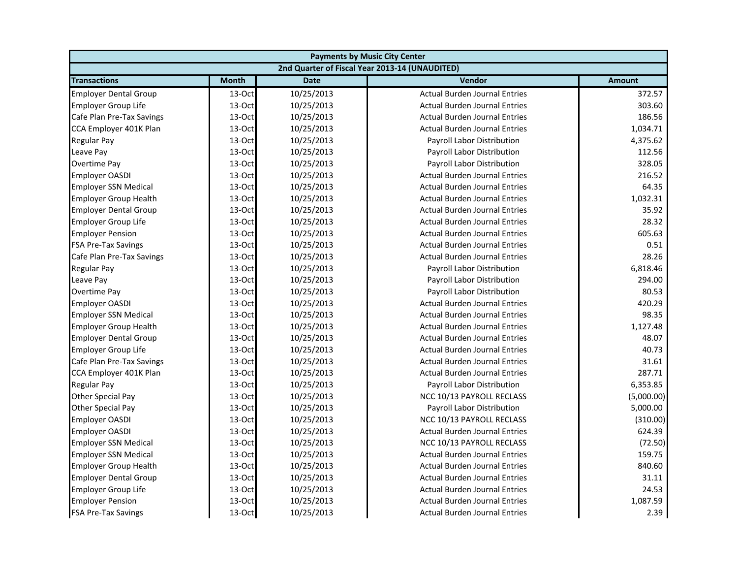| <b>Payments by Music City Center</b> |              |             |                                                |               |
|--------------------------------------|--------------|-------------|------------------------------------------------|---------------|
|                                      |              |             | 2nd Quarter of Fiscal Year 2013-14 (UNAUDITED) |               |
| <b>Transactions</b>                  | <b>Month</b> | <b>Date</b> | Vendor                                         | <b>Amount</b> |
| <b>Employer Dental Group</b>         | 13-Oct       | 10/25/2013  | <b>Actual Burden Journal Entries</b>           | 372.57        |
| <b>Employer Group Life</b>           | 13-Oct       | 10/25/2013  | <b>Actual Burden Journal Entries</b>           | 303.60        |
| Cafe Plan Pre-Tax Savings            | 13-Oct       | 10/25/2013  | <b>Actual Burden Journal Entries</b>           | 186.56        |
| CCA Employer 401K Plan               | 13-Oct       | 10/25/2013  | <b>Actual Burden Journal Entries</b>           | 1,034.71      |
| <b>Regular Pay</b>                   | 13-Oct       | 10/25/2013  | Payroll Labor Distribution                     | 4,375.62      |
| Leave Pay                            | 13-Oct       | 10/25/2013  | Payroll Labor Distribution                     | 112.56        |
| Overtime Pay                         | 13-Oct       | 10/25/2013  | Payroll Labor Distribution                     | 328.05        |
| <b>Employer OASDI</b>                | 13-Oct       | 10/25/2013  | <b>Actual Burden Journal Entries</b>           | 216.52        |
| <b>Employer SSN Medical</b>          | 13-Oct       | 10/25/2013  | <b>Actual Burden Journal Entries</b>           | 64.35         |
| <b>Employer Group Health</b>         | 13-Oct       | 10/25/2013  | <b>Actual Burden Journal Entries</b>           | 1,032.31      |
| <b>Employer Dental Group</b>         | 13-Oct       | 10/25/2013  | <b>Actual Burden Journal Entries</b>           | 35.92         |
| <b>Employer Group Life</b>           | 13-Oct       | 10/25/2013  | <b>Actual Burden Journal Entries</b>           | 28.32         |
| <b>Employer Pension</b>              | 13-Oct       | 10/25/2013  | <b>Actual Burden Journal Entries</b>           | 605.63        |
| <b>FSA Pre-Tax Savings</b>           | 13-Oct       | 10/25/2013  | <b>Actual Burden Journal Entries</b>           | 0.51          |
| Cafe Plan Pre-Tax Savings            | 13-Oct       | 10/25/2013  | <b>Actual Burden Journal Entries</b>           | 28.26         |
| <b>Regular Pay</b>                   | 13-Oct       | 10/25/2013  | Payroll Labor Distribution                     | 6,818.46      |
| Leave Pay                            | 13-Oct       | 10/25/2013  | Payroll Labor Distribution                     | 294.00        |
| Overtime Pay                         | 13-Oct       | 10/25/2013  | Payroll Labor Distribution                     | 80.53         |
| <b>Employer OASDI</b>                | 13-Oct       | 10/25/2013  | <b>Actual Burden Journal Entries</b>           | 420.29        |
| <b>Employer SSN Medical</b>          | 13-Oct       | 10/25/2013  | <b>Actual Burden Journal Entries</b>           | 98.35         |
| <b>Employer Group Health</b>         | 13-Oct       | 10/25/2013  | <b>Actual Burden Journal Entries</b>           | 1,127.48      |
| <b>Employer Dental Group</b>         | 13-Oct       | 10/25/2013  | <b>Actual Burden Journal Entries</b>           | 48.07         |
| <b>Employer Group Life</b>           | 13-Oct       | 10/25/2013  | <b>Actual Burden Journal Entries</b>           | 40.73         |
| Cafe Plan Pre-Tax Savings            | 13-Oct       | 10/25/2013  | <b>Actual Burden Journal Entries</b>           | 31.61         |
| CCA Employer 401K Plan               | 13-Oct       | 10/25/2013  | <b>Actual Burden Journal Entries</b>           | 287.71        |
| <b>Regular Pay</b>                   | 13-Oct       | 10/25/2013  | Payroll Labor Distribution                     | 6,353.85      |
| <b>Other Special Pay</b>             | 13-Oct       | 10/25/2013  | NCC 10/13 PAYROLL RECLASS                      | (5,000.00)    |
| Other Special Pay                    | 13-Oct       | 10/25/2013  | Payroll Labor Distribution                     | 5,000.00      |
| <b>Employer OASDI</b>                | 13-Oct       | 10/25/2013  | NCC 10/13 PAYROLL RECLASS                      | (310.00)      |
| <b>Employer OASDI</b>                | 13-Oct       | 10/25/2013  | <b>Actual Burden Journal Entries</b>           | 624.39        |
| <b>Employer SSN Medical</b>          | 13-Oct       | 10/25/2013  | NCC 10/13 PAYROLL RECLASS                      | (72.50)       |
| <b>Employer SSN Medical</b>          | 13-Oct       | 10/25/2013  | <b>Actual Burden Journal Entries</b>           | 159.75        |
| <b>Employer Group Health</b>         | 13-Oct       | 10/25/2013  | <b>Actual Burden Journal Entries</b>           | 840.60        |
| <b>Employer Dental Group</b>         | 13-Oct       | 10/25/2013  | <b>Actual Burden Journal Entries</b>           | 31.11         |
| <b>Employer Group Life</b>           | 13-Oct       | 10/25/2013  | <b>Actual Burden Journal Entries</b>           | 24.53         |
| <b>Employer Pension</b>              | 13-Oct       | 10/25/2013  | <b>Actual Burden Journal Entries</b>           | 1,087.59      |
| <b>FSA Pre-Tax Savings</b>           | 13-Oct       | 10/25/2013  | <b>Actual Burden Journal Entries</b>           | 2.39          |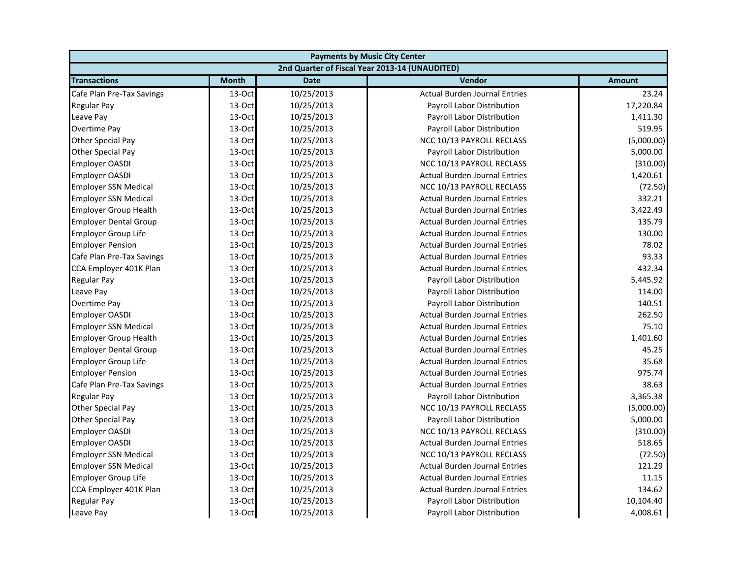| <b>Payments by Music City Center</b> |              |             |                                                |               |
|--------------------------------------|--------------|-------------|------------------------------------------------|---------------|
|                                      |              |             | 2nd Quarter of Fiscal Year 2013-14 (UNAUDITED) |               |
| <b>Transactions</b>                  | <b>Month</b> | <b>Date</b> | Vendor                                         | <b>Amount</b> |
| Cafe Plan Pre-Tax Savings            | 13-Oct       | 10/25/2013  | <b>Actual Burden Journal Entries</b>           | 23.24         |
| <b>Regular Pay</b>                   | 13-Oct       | 10/25/2013  | Payroll Labor Distribution                     | 17,220.84     |
| Leave Pay                            | 13-Oct       | 10/25/2013  | Payroll Labor Distribution                     | 1,411.30      |
| Overtime Pay                         | 13-Oct       | 10/25/2013  | Payroll Labor Distribution                     | 519.95        |
| <b>Other Special Pay</b>             | 13-Oct       | 10/25/2013  | NCC 10/13 PAYROLL RECLASS                      | (5,000.00)    |
| Other Special Pay                    | 13-Oct       | 10/25/2013  | Payroll Labor Distribution                     | 5,000.00      |
| <b>Employer OASDI</b>                | 13-Oct       | 10/25/2013  | NCC 10/13 PAYROLL RECLASS                      | (310.00)      |
| <b>Employer OASDI</b>                | 13-Oct       | 10/25/2013  | <b>Actual Burden Journal Entries</b>           | 1,420.61      |
| <b>Employer SSN Medical</b>          | 13-Oct       | 10/25/2013  | NCC 10/13 PAYROLL RECLASS                      | (72.50)       |
| <b>Employer SSN Medical</b>          | 13-Oct       | 10/25/2013  | <b>Actual Burden Journal Entries</b>           | 332.21        |
| <b>Employer Group Health</b>         | 13-Oct       | 10/25/2013  | <b>Actual Burden Journal Entries</b>           | 3,422.49      |
| <b>Employer Dental Group</b>         | 13-Oct       | 10/25/2013  | <b>Actual Burden Journal Entries</b>           | 135.79        |
| <b>Employer Group Life</b>           | 13-Oct       | 10/25/2013  | <b>Actual Burden Journal Entries</b>           | 130.00        |
| <b>Employer Pension</b>              | 13-Oct       | 10/25/2013  | <b>Actual Burden Journal Entries</b>           | 78.02         |
| Cafe Plan Pre-Tax Savings            | 13-Oct       | 10/25/2013  | <b>Actual Burden Journal Entries</b>           | 93.33         |
| CCA Employer 401K Plan               | 13-Oct       | 10/25/2013  | <b>Actual Burden Journal Entries</b>           | 432.34        |
| <b>Regular Pay</b>                   | 13-Oct       | 10/25/2013  | Payroll Labor Distribution                     | 5,445.92      |
| Leave Pay                            | 13-Oct       | 10/25/2013  | Payroll Labor Distribution                     | 114.00        |
| Overtime Pay                         | 13-Oct       | 10/25/2013  | <b>Payroll Labor Distribution</b>              | 140.51        |
| <b>Employer OASDI</b>                | 13-Oct       | 10/25/2013  | <b>Actual Burden Journal Entries</b>           | 262.50        |
| <b>Employer SSN Medical</b>          | 13-Oct       | 10/25/2013  | <b>Actual Burden Journal Entries</b>           | 75.10         |
| <b>Employer Group Health</b>         | 13-Oct       | 10/25/2013  | <b>Actual Burden Journal Entries</b>           | 1,401.60      |
| <b>Employer Dental Group</b>         | 13-Oct       | 10/25/2013  | <b>Actual Burden Journal Entries</b>           | 45.25         |
| <b>Employer Group Life</b>           | 13-Oct       | 10/25/2013  | <b>Actual Burden Journal Entries</b>           | 35.68         |
| <b>Employer Pension</b>              | 13-Oct       | 10/25/2013  | <b>Actual Burden Journal Entries</b>           | 975.74        |
| Cafe Plan Pre-Tax Savings            | 13-Oct       | 10/25/2013  | <b>Actual Burden Journal Entries</b>           | 38.63         |
| <b>Regular Pay</b>                   | 13-Oct       | 10/25/2013  | Payroll Labor Distribution                     | 3,365.38      |
| <b>Other Special Pay</b>             | 13-Oct       | 10/25/2013  | NCC 10/13 PAYROLL RECLASS                      | (5,000.00)    |
| <b>Other Special Pay</b>             | 13-Oct       | 10/25/2013  | Payroll Labor Distribution                     | 5,000.00      |
| <b>Employer OASDI</b>                | 13-Oct       | 10/25/2013  | NCC 10/13 PAYROLL RECLASS                      | (310.00)      |
| <b>Employer OASDI</b>                | 13-Oct       | 10/25/2013  | <b>Actual Burden Journal Entries</b>           | 518.65        |
| <b>Employer SSN Medical</b>          | 13-Oct       | 10/25/2013  | NCC 10/13 PAYROLL RECLASS                      | (72.50)       |
| <b>Employer SSN Medical</b>          | 13-Oct       | 10/25/2013  | <b>Actual Burden Journal Entries</b>           | 121.29        |
| <b>Employer Group Life</b>           | 13-Oct       | 10/25/2013  | <b>Actual Burden Journal Entries</b>           | 11.15         |
| CCA Employer 401K Plan               | 13-Oct       | 10/25/2013  | <b>Actual Burden Journal Entries</b>           | 134.62        |
| <b>Regular Pay</b>                   | 13-Oct       | 10/25/2013  | Payroll Labor Distribution                     | 10,104.40     |
| Leave Pay                            | 13-Oct       | 10/25/2013  | Payroll Labor Distribution                     | 4,008.61      |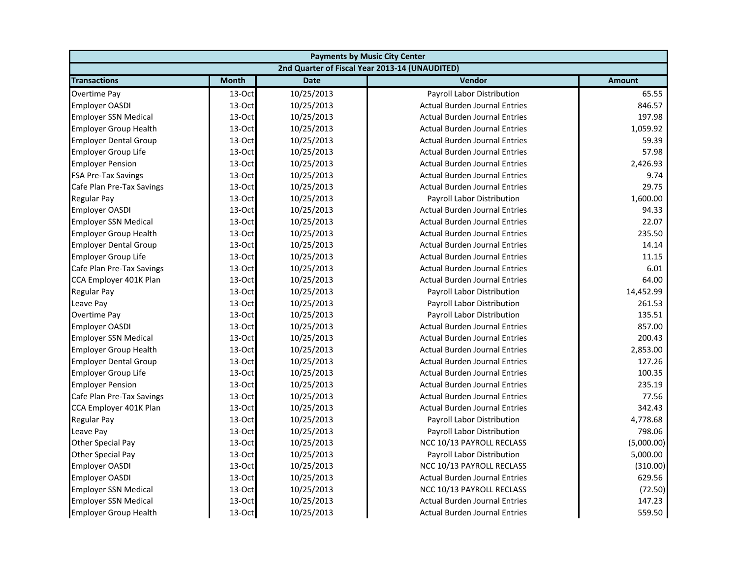| <b>Payments by Music City Center</b> |              |             |                                                |               |
|--------------------------------------|--------------|-------------|------------------------------------------------|---------------|
|                                      |              |             | 2nd Quarter of Fiscal Year 2013-14 (UNAUDITED) |               |
| <b>Transactions</b>                  | <b>Month</b> | <b>Date</b> | Vendor                                         | <b>Amount</b> |
| Overtime Pay                         | 13-Oct       | 10/25/2013  | Payroll Labor Distribution                     | 65.55         |
| <b>Employer OASDI</b>                | 13-Oct       | 10/25/2013  | <b>Actual Burden Journal Entries</b>           | 846.57        |
| <b>Employer SSN Medical</b>          | 13-Oct       | 10/25/2013  | <b>Actual Burden Journal Entries</b>           | 197.98        |
| <b>Employer Group Health</b>         | 13-Oct       | 10/25/2013  | <b>Actual Burden Journal Entries</b>           | 1,059.92      |
| <b>Employer Dental Group</b>         | 13-Oct       | 10/25/2013  | <b>Actual Burden Journal Entries</b>           | 59.39         |
| <b>Employer Group Life</b>           | 13-Oct       | 10/25/2013  | <b>Actual Burden Journal Entries</b>           | 57.98         |
| <b>Employer Pension</b>              | 13-Oct       | 10/25/2013  | <b>Actual Burden Journal Entries</b>           | 2,426.93      |
| <b>FSA Pre-Tax Savings</b>           | 13-Oct       | 10/25/2013  | <b>Actual Burden Journal Entries</b>           | 9.74          |
| Cafe Plan Pre-Tax Savings            | 13-Oct       | 10/25/2013  | <b>Actual Burden Journal Entries</b>           | 29.75         |
| <b>Regular Pay</b>                   | 13-Oct       | 10/25/2013  | Payroll Labor Distribution                     | 1,600.00      |
| <b>Employer OASDI</b>                | 13-Oct       | 10/25/2013  | <b>Actual Burden Journal Entries</b>           | 94.33         |
| <b>Employer SSN Medical</b>          | 13-Oct       | 10/25/2013  | <b>Actual Burden Journal Entries</b>           | 22.07         |
| <b>Employer Group Health</b>         | 13-Oct       | 10/25/2013  | <b>Actual Burden Journal Entries</b>           | 235.50        |
| <b>Employer Dental Group</b>         | 13-Oct       | 10/25/2013  | <b>Actual Burden Journal Entries</b>           | 14.14         |
| <b>Employer Group Life</b>           | $13-Oct$     | 10/25/2013  | <b>Actual Burden Journal Entries</b>           | 11.15         |
| Cafe Plan Pre-Tax Savings            | 13-Oct       | 10/25/2013  | <b>Actual Burden Journal Entries</b>           | 6.01          |
| CCA Employer 401K Plan               | 13-Oct       | 10/25/2013  | <b>Actual Burden Journal Entries</b>           | 64.00         |
| <b>Regular Pay</b>                   | 13-Oct       | 10/25/2013  | Payroll Labor Distribution                     | 14,452.99     |
| Leave Pay                            | 13-Oct       | 10/25/2013  | Payroll Labor Distribution                     | 261.53        |
| Overtime Pay                         | 13-Oct       | 10/25/2013  | Payroll Labor Distribution                     | 135.51        |
| <b>Employer OASDI</b>                | 13-Oct       | 10/25/2013  | <b>Actual Burden Journal Entries</b>           | 857.00        |
| <b>Employer SSN Medical</b>          | 13-Oct       | 10/25/2013  | <b>Actual Burden Journal Entries</b>           | 200.43        |
| <b>Employer Group Health</b>         | 13-Oct       | 10/25/2013  | <b>Actual Burden Journal Entries</b>           | 2,853.00      |
| <b>Employer Dental Group</b>         | 13-Oct       | 10/25/2013  | <b>Actual Burden Journal Entries</b>           | 127.26        |
| <b>Employer Group Life</b>           | 13-Oct       | 10/25/2013  | <b>Actual Burden Journal Entries</b>           | 100.35        |
| <b>Employer Pension</b>              | 13-Oct       | 10/25/2013  | <b>Actual Burden Journal Entries</b>           | 235.19        |
| Cafe Plan Pre-Tax Savings            | 13-Oct       | 10/25/2013  | <b>Actual Burden Journal Entries</b>           | 77.56         |
| CCA Employer 401K Plan               | 13-Oct       | 10/25/2013  | <b>Actual Burden Journal Entries</b>           | 342.43        |
| <b>Regular Pay</b>                   | 13-Oct       | 10/25/2013  | Payroll Labor Distribution                     | 4,778.68      |
| Leave Pay                            | 13-Oct       | 10/25/2013  | Payroll Labor Distribution                     | 798.06        |
| <b>Other Special Pay</b>             | 13-Oct       | 10/25/2013  | NCC 10/13 PAYROLL RECLASS                      | (5,000.00)    |
| <b>Other Special Pay</b>             | 13-Oct       | 10/25/2013  | Payroll Labor Distribution                     | 5,000.00      |
| <b>Employer OASDI</b>                | 13-Oct       | 10/25/2013  | NCC 10/13 PAYROLL RECLASS                      | (310.00)      |
| <b>Employer OASDI</b>                | 13-Oct       | 10/25/2013  | <b>Actual Burden Journal Entries</b>           | 629.56        |
| <b>Employer SSN Medical</b>          | 13-Oct       | 10/25/2013  | NCC 10/13 PAYROLL RECLASS                      | (72.50)       |
| <b>Employer SSN Medical</b>          | 13-Oct       | 10/25/2013  | <b>Actual Burden Journal Entries</b>           | 147.23        |
| <b>Employer Group Health</b>         | 13-Oct       | 10/25/2013  | <b>Actual Burden Journal Entries</b>           | 559.50        |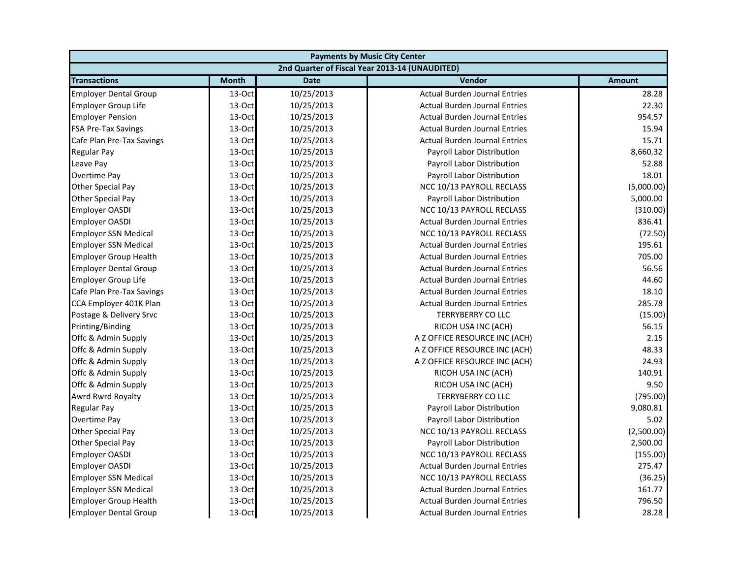| <b>Payments by Music City Center</b> |              |             |                                                |               |
|--------------------------------------|--------------|-------------|------------------------------------------------|---------------|
|                                      |              |             | 2nd Quarter of Fiscal Year 2013-14 (UNAUDITED) |               |
| <b>Transactions</b>                  | <b>Month</b> | <b>Date</b> | Vendor                                         | <b>Amount</b> |
| <b>Employer Dental Group</b>         | 13-Oct       | 10/25/2013  | <b>Actual Burden Journal Entries</b>           | 28.28         |
| <b>Employer Group Life</b>           | 13-Oct       | 10/25/2013  | <b>Actual Burden Journal Entries</b>           | 22.30         |
| <b>Employer Pension</b>              | 13-Oct       | 10/25/2013  | <b>Actual Burden Journal Entries</b>           | 954.57        |
| <b>FSA Pre-Tax Savings</b>           | 13-Oct       | 10/25/2013  | <b>Actual Burden Journal Entries</b>           | 15.94         |
| Cafe Plan Pre-Tax Savings            | 13-Oct       | 10/25/2013  | <b>Actual Burden Journal Entries</b>           | 15.71         |
| <b>Regular Pay</b>                   | 13-Oct       | 10/25/2013  | Payroll Labor Distribution                     | 8,660.32      |
| Leave Pay                            | 13-Oct       | 10/25/2013  | Payroll Labor Distribution                     | 52.88         |
| Overtime Pay                         | 13-Oct       | 10/25/2013  | Payroll Labor Distribution                     | 18.01         |
| Other Special Pay                    | 13-Oct       | 10/25/2013  | NCC 10/13 PAYROLL RECLASS                      | (5,000.00)    |
| Other Special Pay                    | 13-Oct       | 10/25/2013  | Payroll Labor Distribution                     | 5,000.00      |
| <b>Employer OASDI</b>                | 13-Oct       | 10/25/2013  | NCC 10/13 PAYROLL RECLASS                      | (310.00)      |
| <b>Employer OASDI</b>                | 13-Oct       | 10/25/2013  | <b>Actual Burden Journal Entries</b>           | 836.41        |
| <b>Employer SSN Medical</b>          | 13-Oct       | 10/25/2013  | NCC 10/13 PAYROLL RECLASS                      | (72.50)       |
| <b>Employer SSN Medical</b>          | 13-Oct       | 10/25/2013  | <b>Actual Burden Journal Entries</b>           | 195.61        |
| <b>Employer Group Health</b>         | 13-Oct       | 10/25/2013  | <b>Actual Burden Journal Entries</b>           | 705.00        |
| <b>Employer Dental Group</b>         | 13-Oct       | 10/25/2013  | <b>Actual Burden Journal Entries</b>           | 56.56         |
| <b>Employer Group Life</b>           | 13-Oct       | 10/25/2013  | <b>Actual Burden Journal Entries</b>           | 44.60         |
| Cafe Plan Pre-Tax Savings            | 13-Oct       | 10/25/2013  | <b>Actual Burden Journal Entries</b>           | 18.10         |
| CCA Employer 401K Plan               | 13-Oct       | 10/25/2013  | <b>Actual Burden Journal Entries</b>           | 285.78        |
| Postage & Delivery Srvc              | 13-Oct       | 10/25/2013  | <b>TERRYBERRY CO LLC</b>                       | (15.00)       |
| Printing/Binding                     | 13-Oct       | 10/25/2013  | RICOH USA INC (ACH)                            | 56.15         |
| Offc & Admin Supply                  | 13-Oct       | 10/25/2013  | A Z OFFICE RESOURCE INC (ACH)                  | 2.15          |
| Offc & Admin Supply                  | 13-Oct       | 10/25/2013  | A Z OFFICE RESOURCE INC (ACH)                  | 48.33         |
| Offc & Admin Supply                  | 13-Oct       | 10/25/2013  | A Z OFFICE RESOURCE INC (ACH)                  | 24.93         |
| Offc & Admin Supply                  | 13-Oct       | 10/25/2013  | RICOH USA INC (ACH)                            | 140.91        |
| Offc & Admin Supply                  | 13-Oct       | 10/25/2013  | RICOH USA INC (ACH)                            | 9.50          |
| Awrd Rwrd Royalty                    | 13-Oct       | 10/25/2013  | <b>TERRYBERRY CO LLC</b>                       | (795.00)      |
| <b>Regular Pay</b>                   | 13-Oct       | 10/25/2013  | Payroll Labor Distribution                     | 9,080.81      |
| Overtime Pay                         | 13-Oct       | 10/25/2013  | Payroll Labor Distribution                     | 5.02          |
| Other Special Pay                    | 13-Oct       | 10/25/2013  | NCC 10/13 PAYROLL RECLASS                      | (2,500.00)    |
| Other Special Pay                    | 13-Oct       | 10/25/2013  | Payroll Labor Distribution                     | 2,500.00      |
| <b>Employer OASDI</b>                | 13-Oct       | 10/25/2013  | NCC 10/13 PAYROLL RECLASS                      | (155.00)      |
| <b>Employer OASDI</b>                | 13-Oct       | 10/25/2013  | <b>Actual Burden Journal Entries</b>           | 275.47        |
| <b>Employer SSN Medical</b>          | 13-Oct       | 10/25/2013  | NCC 10/13 PAYROLL RECLASS                      | (36.25)       |
| <b>Employer SSN Medical</b>          | 13-Oct       | 10/25/2013  | <b>Actual Burden Journal Entries</b>           | 161.77        |
| <b>Employer Group Health</b>         | 13-Oct       | 10/25/2013  | <b>Actual Burden Journal Entries</b>           | 796.50        |
| <b>Employer Dental Group</b>         | 13-Oct       | 10/25/2013  | <b>Actual Burden Journal Entries</b>           | 28.28         |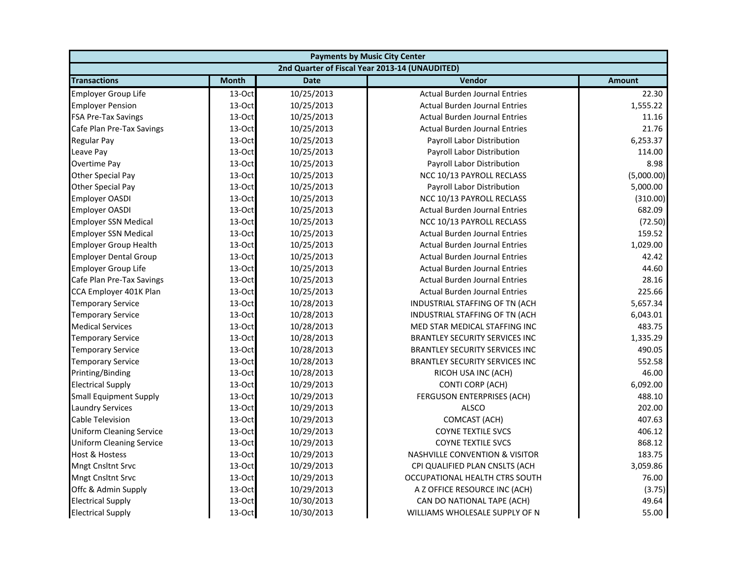| <b>Payments by Music City Center</b> |              |             |                                                |               |
|--------------------------------------|--------------|-------------|------------------------------------------------|---------------|
|                                      |              |             | 2nd Quarter of Fiscal Year 2013-14 (UNAUDITED) |               |
| <b>Transactions</b>                  | <b>Month</b> | <b>Date</b> | Vendor                                         | <b>Amount</b> |
| <b>Employer Group Life</b>           | 13-Oct       | 10/25/2013  | <b>Actual Burden Journal Entries</b>           | 22.30         |
| <b>Employer Pension</b>              | 13-Oct       | 10/25/2013  | <b>Actual Burden Journal Entries</b>           | 1,555.22      |
| <b>FSA Pre-Tax Savings</b>           | 13-Oct       | 10/25/2013  | <b>Actual Burden Journal Entries</b>           | 11.16         |
| Cafe Plan Pre-Tax Savings            | 13-Oct       | 10/25/2013  | <b>Actual Burden Journal Entries</b>           | 21.76         |
| Regular Pay                          | 13-Oct       | 10/25/2013  | Payroll Labor Distribution                     | 6,253.37      |
| Leave Pay                            | 13-Oct       | 10/25/2013  | Payroll Labor Distribution                     | 114.00        |
| Overtime Pay                         | 13-Oct       | 10/25/2013  | Payroll Labor Distribution                     | 8.98          |
| Other Special Pay                    | 13-Oct       | 10/25/2013  | NCC 10/13 PAYROLL RECLASS                      | (5,000.00)    |
| <b>Other Special Pay</b>             | 13-Oct       | 10/25/2013  | Payroll Labor Distribution                     | 5,000.00      |
| <b>Employer OASDI</b>                | 13-Oct       | 10/25/2013  | NCC 10/13 PAYROLL RECLASS                      | (310.00)      |
| <b>Employer OASDI</b>                | 13-Oct       | 10/25/2013  | <b>Actual Burden Journal Entries</b>           | 682.09        |
| <b>Employer SSN Medical</b>          | 13-Oct       | 10/25/2013  | NCC 10/13 PAYROLL RECLASS                      | (72.50)       |
| <b>Employer SSN Medical</b>          | 13-Oct       | 10/25/2013  | <b>Actual Burden Journal Entries</b>           | 159.52        |
| <b>Employer Group Health</b>         | 13-Oct       | 10/25/2013  | <b>Actual Burden Journal Entries</b>           | 1,029.00      |
| <b>Employer Dental Group</b>         | 13-Oct       | 10/25/2013  | <b>Actual Burden Journal Entries</b>           | 42.42         |
| <b>Employer Group Life</b>           | 13-Oct       | 10/25/2013  | <b>Actual Burden Journal Entries</b>           | 44.60         |
| Cafe Plan Pre-Tax Savings            | 13-Oct       | 10/25/2013  | <b>Actual Burden Journal Entries</b>           | 28.16         |
| CCA Employer 401K Plan               | 13-Oct       | 10/25/2013  | <b>Actual Burden Journal Entries</b>           | 225.66        |
| <b>Temporary Service</b>             | 13-Oct       | 10/28/2013  | INDUSTRIAL STAFFING OF TN (ACH                 | 5,657.34      |
| <b>Temporary Service</b>             | 13-Oct       | 10/28/2013  | INDUSTRIAL STAFFING OF TN (ACH                 | 6,043.01      |
| <b>Medical Services</b>              | 13-Oct       | 10/28/2013  | MED STAR MEDICAL STAFFING INC                  | 483.75        |
| <b>Temporary Service</b>             | 13-Oct       | 10/28/2013  | <b>BRANTLEY SECURITY SERVICES INC</b>          | 1,335.29      |
| <b>Temporary Service</b>             | 13-Oct       | 10/28/2013  | <b>BRANTLEY SECURITY SERVICES INC</b>          | 490.05        |
| <b>Temporary Service</b>             | 13-Oct       | 10/28/2013  | <b>BRANTLEY SECURITY SERVICES INC</b>          | 552.58        |
| Printing/Binding                     | 13-Oct       | 10/28/2013  | RICOH USA INC (ACH)                            | 46.00         |
| <b>Electrical Supply</b>             | 13-Oct       | 10/29/2013  | <b>CONTI CORP (ACH)</b>                        | 6,092.00      |
| <b>Small Equipment Supply</b>        | 13-Oct       | 10/29/2013  | FERGUSON ENTERPRISES (ACH)                     | 488.10        |
| <b>Laundry Services</b>              | 13-Oct       | 10/29/2013  | <b>ALSCO</b>                                   | 202.00        |
| <b>Cable Television</b>              | 13-Oct       | 10/29/2013  | COMCAST (ACH)                                  | 407.63        |
| <b>Uniform Cleaning Service</b>      | 13-Oct       | 10/29/2013  | <b>COYNE TEXTILE SVCS</b>                      | 406.12        |
| <b>Uniform Cleaning Service</b>      | 13-Oct       | 10/29/2013  | <b>COYNE TEXTILE SVCS</b>                      | 868.12        |
| Host & Hostess                       | 13-Oct       | 10/29/2013  | <b>NASHVILLE CONVENTION &amp; VISITOR</b>      | 183.75        |
| <b>Mngt Cnsltnt Srvc</b>             | 13-Oct       | 10/29/2013  | CPI QUALIFIED PLAN CNSLTS (ACH                 | 3,059.86      |
| <b>Mngt Cnsltnt Srvc</b>             | 13-Oct       | 10/29/2013  | OCCUPATIONAL HEALTH CTRS SOUTH                 | 76.00         |
| Offc & Admin Supply                  | 13-Oct       | 10/29/2013  | A Z OFFICE RESOURCE INC (ACH)                  | (3.75)        |
| <b>Electrical Supply</b>             | 13-Oct       | 10/30/2013  | CAN DO NATIONAL TAPE (ACH)                     | 49.64         |
| <b>Electrical Supply</b>             | 13-Oct       | 10/30/2013  | WILLIAMS WHOLESALE SUPPLY OF N                 | 55.00         |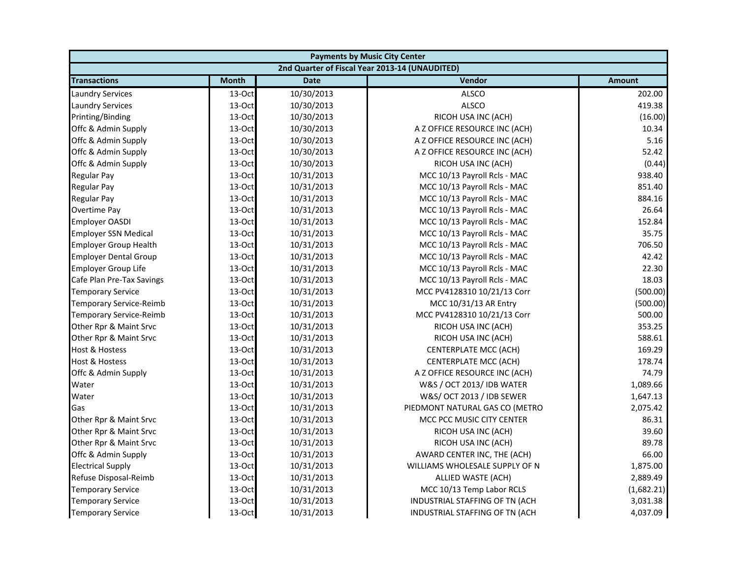| <b>Payments by Music City Center</b> |              |             |                                                |               |
|--------------------------------------|--------------|-------------|------------------------------------------------|---------------|
|                                      |              |             | 2nd Quarter of Fiscal Year 2013-14 (UNAUDITED) |               |
| <b>Transactions</b>                  | <b>Month</b> | <b>Date</b> | Vendor                                         | <b>Amount</b> |
| <b>Laundry Services</b>              | 13-Oct       | 10/30/2013  | <b>ALSCO</b>                                   | 202.00        |
| <b>Laundry Services</b>              | 13-Oct       | 10/30/2013  | <b>ALSCO</b>                                   | 419.38        |
| Printing/Binding                     | 13-Oct       | 10/30/2013  | RICOH USA INC (ACH)                            | (16.00)       |
| Offc & Admin Supply                  | 13-Oct       | 10/30/2013  | A Z OFFICE RESOURCE INC (ACH)                  | 10.34         |
| Offc & Admin Supply                  | 13-Oct       | 10/30/2013  | A Z OFFICE RESOURCE INC (ACH)                  | 5.16          |
| Offc & Admin Supply                  | 13-Oct       | 10/30/2013  | A Z OFFICE RESOURCE INC (ACH)                  | 52.42         |
| Offc & Admin Supply                  | 13-Oct       | 10/30/2013  | RICOH USA INC (ACH)                            | (0.44)        |
| Regular Pay                          | 13-Oct       | 10/31/2013  | MCC 10/13 Payroll Rcls - MAC                   | 938.40        |
| <b>Regular Pay</b>                   | 13-Oct       | 10/31/2013  | MCC 10/13 Payroll Rcls - MAC                   | 851.40        |
| <b>Regular Pay</b>                   | 13-Oct       | 10/31/2013  | MCC 10/13 Payroll Rcls - MAC                   | 884.16        |
| Overtime Pay                         | 13-Oct       | 10/31/2013  | MCC 10/13 Payroll Rcls - MAC                   | 26.64         |
| <b>Employer OASDI</b>                | 13-Oct       | 10/31/2013  | MCC 10/13 Payroll Rcls - MAC                   | 152.84        |
| <b>Employer SSN Medical</b>          | 13-Oct       | 10/31/2013  | MCC 10/13 Payroll Rcls - MAC                   | 35.75         |
| <b>Employer Group Health</b>         | 13-Oct       | 10/31/2013  | MCC 10/13 Payroll Rcls - MAC                   | 706.50        |
| <b>Employer Dental Group</b>         | 13-Oct       | 10/31/2013  | MCC 10/13 Payroll Rcls - MAC                   | 42.42         |
| Employer Group Life                  | 13-Oct       | 10/31/2013  | MCC 10/13 Payroll Rcls - MAC                   | 22.30         |
| Cafe Plan Pre-Tax Savings            | 13-Oct       | 10/31/2013  | MCC 10/13 Payroll Rcls - MAC                   | 18.03         |
| <b>Temporary Service</b>             | 13-Oct       | 10/31/2013  | MCC PV4128310 10/21/13 Corr                    | (500.00)      |
| Temporary Service-Reimb              | 13-Oct       | 10/31/2013  | MCC 10/31/13 AR Entry                          | (500.00)      |
| Temporary Service-Reimb              | 13-Oct       | 10/31/2013  | MCC PV4128310 10/21/13 Corr                    | 500.00        |
| Other Rpr & Maint Srvc               | 13-Oct       | 10/31/2013  | RICOH USA INC (ACH)                            | 353.25        |
| Other Rpr & Maint Srvc               | 13-Oct       | 10/31/2013  | RICOH USA INC (ACH)                            | 588.61        |
| Host & Hostess                       | 13-Oct       | 10/31/2013  | CENTERPLATE MCC (ACH)                          | 169.29        |
| Host & Hostess                       | 13-Oct       | 10/31/2013  | CENTERPLATE MCC (ACH)                          | 178.74        |
| Offc & Admin Supply                  | 13-Oct       | 10/31/2013  | A Z OFFICE RESOURCE INC (ACH)                  | 74.79         |
| Water                                | 13-Oct       | 10/31/2013  | W&S / OCT 2013/ IDB WATER                      | 1,089.66      |
| Water                                | 13-Oct       | 10/31/2013  | W&S/ OCT 2013 / IDB SEWER                      | 1,647.13      |
| Gas                                  | 13-Oct       | 10/31/2013  | PIEDMONT NATURAL GAS CO (METRO                 | 2,075.42      |
| Other Rpr & Maint Srvc               | 13-Oct       | 10/31/2013  | MCC PCC MUSIC CITY CENTER                      | 86.31         |
| Other Rpr & Maint Srvc               | 13-Oct       | 10/31/2013  | RICOH USA INC (ACH)                            | 39.60         |
| Other Rpr & Maint Srvc               | 13-Oct       | 10/31/2013  | RICOH USA INC (ACH)                            | 89.78         |
| Offc & Admin Supply                  | 13-Oct       | 10/31/2013  | AWARD CENTER INC, THE (ACH)                    | 66.00         |
| <b>Electrical Supply</b>             | 13-Oct       | 10/31/2013  | WILLIAMS WHOLESALE SUPPLY OF N                 | 1,875.00      |
| Refuse Disposal-Reimb                | 13-Oct       | 10/31/2013  | ALLIED WASTE (ACH)                             | 2,889.49      |
| <b>Temporary Service</b>             | 13-Oct       | 10/31/2013  | MCC 10/13 Temp Labor RCLS                      | (1,682.21)    |
| <b>Temporary Service</b>             | 13-Oct       | 10/31/2013  | INDUSTRIAL STAFFING OF TN (ACH                 | 3,031.38      |
| <b>Temporary Service</b>             | 13-Oct       | 10/31/2013  | INDUSTRIAL STAFFING OF TN (ACH                 | 4,037.09      |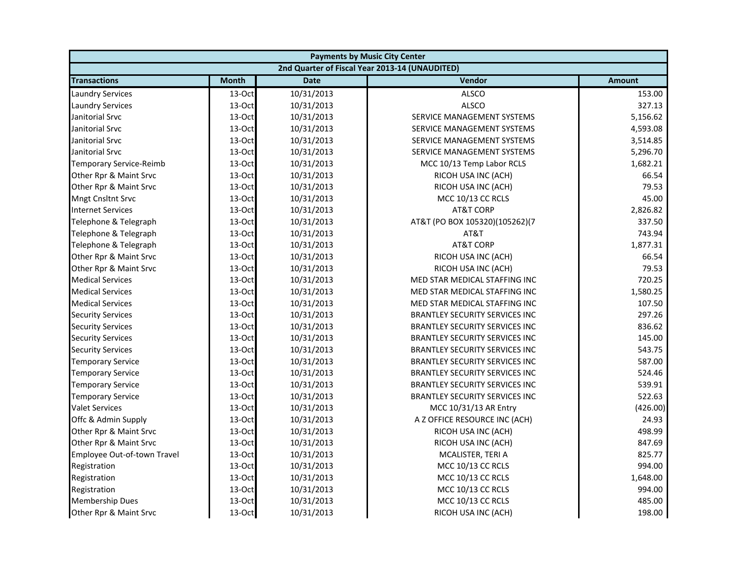| <b>Payments by Music City Center</b> |              |             |                                                |               |
|--------------------------------------|--------------|-------------|------------------------------------------------|---------------|
|                                      |              |             | 2nd Quarter of Fiscal Year 2013-14 (UNAUDITED) |               |
| <b>Transactions</b>                  | <b>Month</b> | <b>Date</b> | Vendor                                         | <b>Amount</b> |
| <b>Laundry Services</b>              | 13-Oct       | 10/31/2013  | <b>ALSCO</b>                                   | 153.00        |
| <b>Laundry Services</b>              | 13-Oct       | 10/31/2013  | <b>ALSCO</b>                                   | 327.13        |
| Janitorial Srvc                      | 13-Oct       | 10/31/2013  | SERVICE MANAGEMENT SYSTEMS                     | 5,156.62      |
| Janitorial Srvc                      | 13-Oct       | 10/31/2013  | SERVICE MANAGEMENT SYSTEMS                     | 4,593.08      |
| Janitorial Srvc                      | 13-Oct       | 10/31/2013  | SERVICE MANAGEMENT SYSTEMS                     | 3,514.85      |
| Janitorial Srvc                      | 13-Oct       | 10/31/2013  | SERVICE MANAGEMENT SYSTEMS                     | 5,296.70      |
| Temporary Service-Reimb              | 13-Oct       | 10/31/2013  | MCC 10/13 Temp Labor RCLS                      | 1,682.21      |
| Other Rpr & Maint Srvc               | 13-Oct       | 10/31/2013  | RICOH USA INC (ACH)                            | 66.54         |
| Other Rpr & Maint Srvc               | 13-Oct       | 10/31/2013  | RICOH USA INC (ACH)                            | 79.53         |
| Mngt Cnsltnt Srvc                    | 13-Oct       | 10/31/2013  | MCC 10/13 CC RCLS                              | 45.00         |
| <b>Internet Services</b>             | 13-Oct       | 10/31/2013  | AT&T CORP                                      | 2,826.82      |
| Telephone & Telegraph                | 13-Oct       | 10/31/2013  | AT&T (PO BOX 105320)(105262)(7                 | 337.50        |
| Telephone & Telegraph                | 13-Oct       | 10/31/2013  | AT&T                                           | 743.94        |
| Telephone & Telegraph                | 13-Oct       | 10/31/2013  | <b>AT&amp;T CORP</b>                           | 1,877.31      |
| Other Rpr & Maint Srvc               | 13-Oct       | 10/31/2013  | RICOH USA INC (ACH)                            | 66.54         |
| Other Rpr & Maint Srvc               | 13-Oct       | 10/31/2013  | RICOH USA INC (ACH)                            | 79.53         |
| <b>Medical Services</b>              | 13-Oct       | 10/31/2013  | MED STAR MEDICAL STAFFING INC                  | 720.25        |
| <b>Medical Services</b>              | 13-Oct       | 10/31/2013  | MED STAR MEDICAL STAFFING INC                  | 1,580.25      |
| <b>Medical Services</b>              | 13-Oct       | 10/31/2013  | MED STAR MEDICAL STAFFING INC                  | 107.50        |
| <b>Security Services</b>             | 13-Oct       | 10/31/2013  | <b>BRANTLEY SECURITY SERVICES INC</b>          | 297.26        |
| <b>Security Services</b>             | 13-Oct       | 10/31/2013  | <b>BRANTLEY SECURITY SERVICES INC</b>          | 836.62        |
| <b>Security Services</b>             | 13-Oct       | 10/31/2013  | BRANTLEY SECURITY SERVICES INC                 | 145.00        |
| <b>Security Services</b>             | 13-Oct       | 10/31/2013  | <b>BRANTLEY SECURITY SERVICES INC</b>          | 543.75        |
| <b>Temporary Service</b>             | 13-Oct       | 10/31/2013  | BRANTLEY SECURITY SERVICES INC                 | 587.00        |
| <b>Temporary Service</b>             | 13-Oct       | 10/31/2013  | <b>BRANTLEY SECURITY SERVICES INC</b>          | 524.46        |
| <b>Temporary Service</b>             | 13-Oct       | 10/31/2013  | <b>BRANTLEY SECURITY SERVICES INC</b>          | 539.91        |
| <b>Temporary Service</b>             | 13-Oct       | 10/31/2013  | <b>BRANTLEY SECURITY SERVICES INC</b>          | 522.63        |
| <b>Valet Services</b>                | 13-Oct       | 10/31/2013  | MCC 10/31/13 AR Entry                          | (426.00)      |
| Offc & Admin Supply                  | 13-Oct       | 10/31/2013  | A Z OFFICE RESOURCE INC (ACH)                  | 24.93         |
| Other Rpr & Maint Srvc               | 13-Oct       | 10/31/2013  | RICOH USA INC (ACH)                            | 498.99        |
| Other Rpr & Maint Srvc               | 13-Oct       | 10/31/2013  | RICOH USA INC (ACH)                            | 847.69        |
| Employee Out-of-town Travel          | 13-Oct       | 10/31/2013  | MCALISTER, TERI A                              | 825.77        |
| Registration                         | 13-Oct       | 10/31/2013  | MCC 10/13 CC RCLS                              | 994.00        |
| Registration                         | 13-Oct       | 10/31/2013  | MCC 10/13 CC RCLS                              | 1,648.00      |
| Registration                         | 13-Oct       | 10/31/2013  | MCC 10/13 CC RCLS                              | 994.00        |
| <b>Membership Dues</b>               | 13-Oct       | 10/31/2013  | MCC 10/13 CC RCLS                              | 485.00        |
| Other Rpr & Maint Srvc               | 13-Oct       | 10/31/2013  | RICOH USA INC (ACH)                            | 198.00        |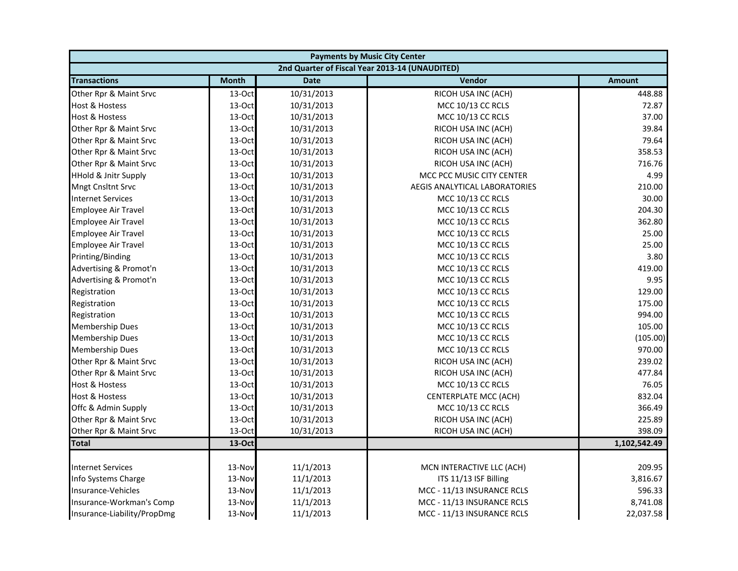| <b>Payments by Music City Center</b> |              |             |                                                |               |
|--------------------------------------|--------------|-------------|------------------------------------------------|---------------|
|                                      |              |             | 2nd Quarter of Fiscal Year 2013-14 (UNAUDITED) |               |
| <b>Transactions</b>                  | <b>Month</b> | <b>Date</b> | Vendor                                         | <b>Amount</b> |
| Other Rpr & Maint Srvc               | 13-Oct       | 10/31/2013  | RICOH USA INC (ACH)                            | 448.88        |
| Host & Hostess                       | 13-Oct       | 10/31/2013  | MCC 10/13 CC RCLS                              | 72.87         |
| Host & Hostess                       | 13-Oct       | 10/31/2013  | MCC 10/13 CC RCLS                              | 37.00         |
| Other Rpr & Maint Srvc               | 13-Oct       | 10/31/2013  | RICOH USA INC (ACH)                            | 39.84         |
| Other Rpr & Maint Srvc               | 13-Oct       | 10/31/2013  | RICOH USA INC (ACH)                            | 79.64         |
| Other Rpr & Maint Srvc               | 13-Oct       | 10/31/2013  | RICOH USA INC (ACH)                            | 358.53        |
| Other Rpr & Maint Srvc               | 13-Oct       | 10/31/2013  | RICOH USA INC (ACH)                            | 716.76        |
| <b>HHold &amp; Jnitr Supply</b>      | 13-Oct       | 10/31/2013  | MCC PCC MUSIC CITY CENTER                      | 4.99          |
| Mngt Cnsltnt Srvc                    | 13-Oct       | 10/31/2013  | AEGIS ANALYTICAL LABORATORIES                  | 210.00        |
| <b>Internet Services</b>             | 13-Oct       | 10/31/2013  | MCC 10/13 CC RCLS                              | 30.00         |
| <b>Employee Air Travel</b>           | 13-Oct       | 10/31/2013  | MCC 10/13 CC RCLS                              | 204.30        |
| <b>Employee Air Travel</b>           | 13-Oct       | 10/31/2013  | MCC 10/13 CC RCLS                              | 362.80        |
| Employee Air Travel                  | 13-Oct       | 10/31/2013  | MCC 10/13 CC RCLS                              | 25.00         |
| <b>Employee Air Travel</b>           | 13-Oct       | 10/31/2013  | MCC 10/13 CC RCLS                              | 25.00         |
| Printing/Binding                     | 13-Oct       | 10/31/2013  | MCC 10/13 CC RCLS                              | 3.80          |
| Advertising & Promot'n               | 13-Oct       | 10/31/2013  | MCC 10/13 CC RCLS                              | 419.00        |
| Advertising & Promot'n               | 13-Oct       | 10/31/2013  | MCC 10/13 CC RCLS                              | 9.95          |
| Registration                         | 13-Oct       | 10/31/2013  | MCC 10/13 CC RCLS                              | 129.00        |
| Registration                         | 13-Oct       | 10/31/2013  | MCC 10/13 CC RCLS                              | 175.00        |
| Registration                         | 13-Oct       | 10/31/2013  | MCC 10/13 CC RCLS                              | 994.00        |
| Membership Dues                      | 13-Oct       | 10/31/2013  | MCC 10/13 CC RCLS                              | 105.00        |
| <b>Membership Dues</b>               | 13-Oct       | 10/31/2013  | MCC 10/13 CC RCLS                              | (105.00)      |
| <b>Membership Dues</b>               | 13-Oct       | 10/31/2013  | MCC 10/13 CC RCLS                              | 970.00        |
| Other Rpr & Maint Srvc               | 13-Oct       | 10/31/2013  | RICOH USA INC (ACH)                            | 239.02        |
| Other Rpr & Maint Srvc               | 13-Oct       | 10/31/2013  | RICOH USA INC (ACH)                            | 477.84        |
| <b>Host &amp; Hostess</b>            | 13-Oct       | 10/31/2013  | MCC 10/13 CC RCLS                              | 76.05         |
| <b>Host &amp; Hostess</b>            | 13-Oct       | 10/31/2013  | CENTERPLATE MCC (ACH)                          | 832.04        |
| Offc & Admin Supply                  | 13-Oct       | 10/31/2013  | MCC 10/13 CC RCLS                              | 366.49        |
| Other Rpr & Maint Srvc               | 13-Oct       | 10/31/2013  | RICOH USA INC (ACH)                            | 225.89        |
| Other Rpr & Maint Srvc               | 13-Oct       | 10/31/2013  | RICOH USA INC (ACH)                            | 398.09        |
| <b>Total</b>                         | 13-Oct       |             |                                                | 1,102,542.49  |
|                                      |              |             |                                                |               |
| <b>Internet Services</b>             | 13-Nov       | 11/1/2013   | MCN INTERACTIVE LLC (ACH)                      | 209.95        |
| Info Systems Charge                  | 13-Nov       | 11/1/2013   | ITS 11/13 ISF Billing                          | 3,816.67      |
| Insurance-Vehicles                   | 13-Nov       | 11/1/2013   | MCC - 11/13 INSURANCE RCLS                     | 596.33        |
| Insurance-Workman's Comp             | 13-Nov       | 11/1/2013   | MCC - 11/13 INSURANCE RCLS                     | 8,741.08      |
| Insurance-Liability/PropDmg          | 13-Nov       | 11/1/2013   | MCC - 11/13 INSURANCE RCLS                     | 22,037.58     |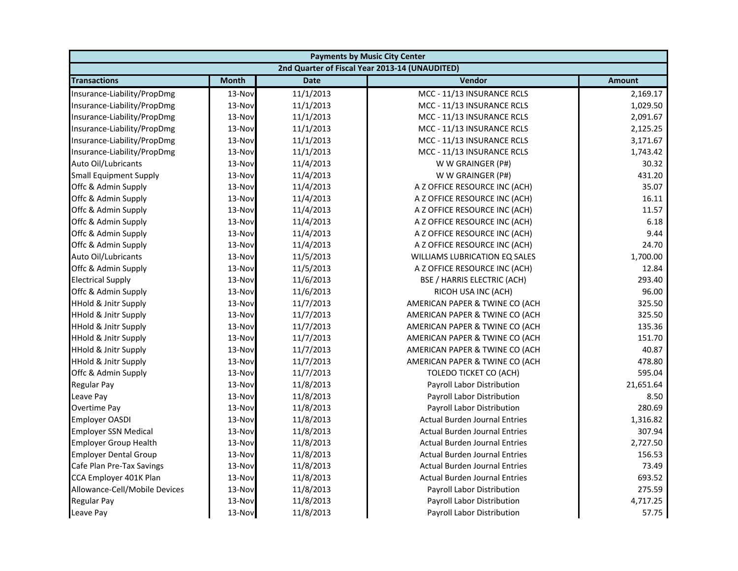| <b>Payments by Music City Center</b> |              |             |                                                |               |
|--------------------------------------|--------------|-------------|------------------------------------------------|---------------|
|                                      |              |             | 2nd Quarter of Fiscal Year 2013-14 (UNAUDITED) |               |
| <b>Transactions</b>                  | <b>Month</b> | <b>Date</b> | Vendor                                         | <b>Amount</b> |
| Insurance-Liability/PropDmg          | 13-Nov       | 11/1/2013   | MCC - 11/13 INSURANCE RCLS                     | 2,169.17      |
| Insurance-Liability/PropDmg          | 13-Nov       | 11/1/2013   | MCC - 11/13 INSURANCE RCLS                     | 1,029.50      |
| Insurance-Liability/PropDmg          | 13-Nov       | 11/1/2013   | MCC - 11/13 INSURANCE RCLS                     | 2,091.67      |
| Insurance-Liability/PropDmg          | 13-Nov       | 11/1/2013   | MCC - 11/13 INSURANCE RCLS                     | 2,125.25      |
| Insurance-Liability/PropDmg          | 13-Nov       | 11/1/2013   | MCC - 11/13 INSURANCE RCLS                     | 3,171.67      |
| Insurance-Liability/PropDmg          | 13-Nov       | 11/1/2013   | MCC - 11/13 INSURANCE RCLS                     | 1,743.42      |
| Auto Oil/Lubricants                  | 13-Nov       | 11/4/2013   | W W GRAINGER (P#)                              | 30.32         |
| <b>Small Equipment Supply</b>        | 13-Nov       | 11/4/2013   | W W GRAINGER (P#)                              | 431.20        |
| Offc & Admin Supply                  | 13-Nov       | 11/4/2013   | A Z OFFICE RESOURCE INC (ACH)                  | 35.07         |
| Offc & Admin Supply                  | 13-Nov       | 11/4/2013   | A Z OFFICE RESOURCE INC (ACH)                  | 16.11         |
| Offc & Admin Supply                  | 13-Nov       | 11/4/2013   | A Z OFFICE RESOURCE INC (ACH)                  | 11.57         |
| Offc & Admin Supply                  | 13-Nov       | 11/4/2013   | A Z OFFICE RESOURCE INC (ACH)                  | 6.18          |
| Offc & Admin Supply                  | 13-Nov       | 11/4/2013   | A Z OFFICE RESOURCE INC (ACH)                  | 9.44          |
| Offc & Admin Supply                  | 13-Nov       | 11/4/2013   | A Z OFFICE RESOURCE INC (ACH)                  | 24.70         |
| Auto Oil/Lubricants                  | 13-Nov       | 11/5/2013   | <b>WILLIAMS LUBRICATION EQ SALES</b>           | 1,700.00      |
| Offc & Admin Supply                  | 13-Nov       | 11/5/2013   | A Z OFFICE RESOURCE INC (ACH)                  | 12.84         |
| <b>Electrical Supply</b>             | 13-Nov       | 11/6/2013   | BSE / HARRIS ELECTRIC (ACH)                    | 293.40        |
| Offc & Admin Supply                  | 13-Nov       | 11/6/2013   | RICOH USA INC (ACH)                            | 96.00         |
| <b>HHold &amp; Jnitr Supply</b>      | 13-Nov       | 11/7/2013   | AMERICAN PAPER & TWINE CO (ACH                 | 325.50        |
| <b>HHold &amp; Jnitr Supply</b>      | 13-Nov       | 11/7/2013   | AMERICAN PAPER & TWINE CO (ACH                 | 325.50        |
| <b>HHold &amp; Jnitr Supply</b>      | 13-Nov       | 11/7/2013   | AMERICAN PAPER & TWINE CO (ACH                 | 135.36        |
| <b>HHold &amp; Jnitr Supply</b>      | 13-Nov       | 11/7/2013   | AMERICAN PAPER & TWINE CO (ACH                 | 151.70        |
| HHold & Jnitr Supply                 | 13-Nov       | 11/7/2013   | AMERICAN PAPER & TWINE CO (ACH                 | 40.87         |
| <b>HHold &amp; Jnitr Supply</b>      | 13-Nov       | 11/7/2013   | AMERICAN PAPER & TWINE CO (ACH                 | 478.80        |
| Offc & Admin Supply                  | 13-Nov       | 11/7/2013   | TOLEDO TICKET CO (ACH)                         | 595.04        |
| Regular Pay                          | 13-Nov       | 11/8/2013   | Payroll Labor Distribution                     | 21,651.64     |
| Leave Pay                            | 13-Nov       | 11/8/2013   | Payroll Labor Distribution                     | 8.50          |
| Overtime Pay                         | 13-Nov       | 11/8/2013   | Payroll Labor Distribution                     | 280.69        |
| <b>Employer OASDI</b>                | 13-Nov       | 11/8/2013   | <b>Actual Burden Journal Entries</b>           | 1,316.82      |
| <b>Employer SSN Medical</b>          | 13-Nov       | 11/8/2013   | <b>Actual Burden Journal Entries</b>           | 307.94        |
| <b>Employer Group Health</b>         | 13-Nov       | 11/8/2013   | <b>Actual Burden Journal Entries</b>           | 2,727.50      |
| <b>Employer Dental Group</b>         | 13-Nov       | 11/8/2013   | <b>Actual Burden Journal Entries</b>           | 156.53        |
| Cafe Plan Pre-Tax Savings            | 13-Nov       | 11/8/2013   | <b>Actual Burden Journal Entries</b>           | 73.49         |
| CCA Employer 401K Plan               | 13-Nov       | 11/8/2013   | <b>Actual Burden Journal Entries</b>           | 693.52        |
| Allowance-Cell/Mobile Devices        | 13-Nov       | 11/8/2013   | Payroll Labor Distribution                     | 275.59        |
| <b>Regular Pay</b>                   | 13-Nov       | 11/8/2013   | Payroll Labor Distribution                     | 4,717.25      |
| Leave Pay                            | 13-Nov       | 11/8/2013   | Payroll Labor Distribution                     | 57.75         |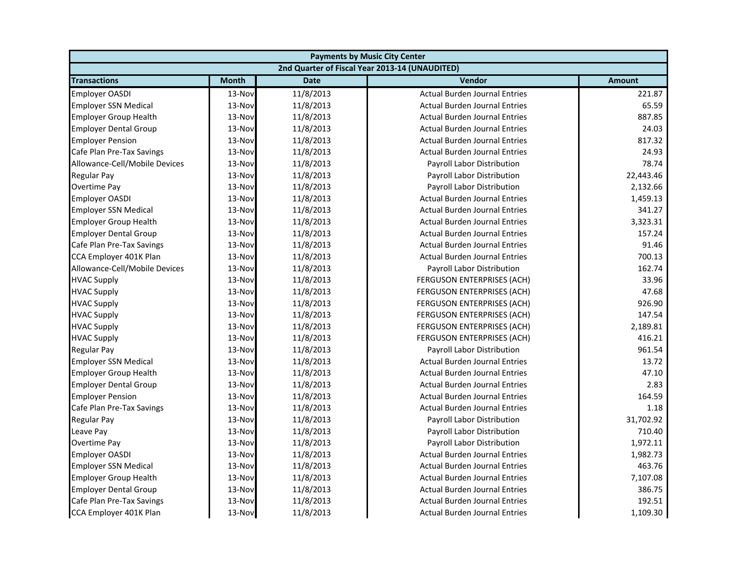| <b>Payments by Music City Center</b> |              |             |                                                |               |
|--------------------------------------|--------------|-------------|------------------------------------------------|---------------|
|                                      |              |             | 2nd Quarter of Fiscal Year 2013-14 (UNAUDITED) |               |
| <b>Transactions</b>                  | <b>Month</b> | <b>Date</b> | Vendor                                         | <b>Amount</b> |
| <b>Employer OASDI</b>                | 13-Nov       | 11/8/2013   | <b>Actual Burden Journal Entries</b>           | 221.87        |
| <b>Employer SSN Medical</b>          | 13-Nov       | 11/8/2013   | <b>Actual Burden Journal Entries</b>           | 65.59         |
| <b>Employer Group Health</b>         | 13-Nov       | 11/8/2013   | <b>Actual Burden Journal Entries</b>           | 887.85        |
| <b>Employer Dental Group</b>         | 13-Nov       | 11/8/2013   | <b>Actual Burden Journal Entries</b>           | 24.03         |
| <b>Employer Pension</b>              | 13-Nov       | 11/8/2013   | <b>Actual Burden Journal Entries</b>           | 817.32        |
| Cafe Plan Pre-Tax Savings            | 13-Nov       | 11/8/2013   | <b>Actual Burden Journal Entries</b>           | 24.93         |
| Allowance-Cell/Mobile Devices        | 13-Nov       | 11/8/2013   | Payroll Labor Distribution                     | 78.74         |
| <b>Regular Pay</b>                   | 13-Nov       | 11/8/2013   | Payroll Labor Distribution                     | 22,443.46     |
| Overtime Pay                         | 13-Nov       | 11/8/2013   | Payroll Labor Distribution                     | 2,132.66      |
| <b>Employer OASDI</b>                | 13-Nov       | 11/8/2013   | <b>Actual Burden Journal Entries</b>           | 1,459.13      |
| <b>Employer SSN Medical</b>          | 13-Nov       | 11/8/2013   | <b>Actual Burden Journal Entries</b>           | 341.27        |
| <b>Employer Group Health</b>         | 13-Nov       | 11/8/2013   | <b>Actual Burden Journal Entries</b>           | 3,323.31      |
| <b>Employer Dental Group</b>         | 13-Nov       | 11/8/2013   | <b>Actual Burden Journal Entries</b>           | 157.24        |
| Cafe Plan Pre-Tax Savings            | 13-Nov       | 11/8/2013   | <b>Actual Burden Journal Entries</b>           | 91.46         |
| CCA Employer 401K Plan               | 13-Nov       | 11/8/2013   | <b>Actual Burden Journal Entries</b>           | 700.13        |
| Allowance-Cell/Mobile Devices        | 13-Nov       | 11/8/2013   | Payroll Labor Distribution                     | 162.74        |
| <b>HVAC Supply</b>                   | 13-Nov       | 11/8/2013   | FERGUSON ENTERPRISES (ACH)                     | 33.96         |
| <b>HVAC Supply</b>                   | 13-Nov       | 11/8/2013   | FERGUSON ENTERPRISES (ACH)                     | 47.68         |
| <b>HVAC Supply</b>                   | 13-Nov       | 11/8/2013   | FERGUSON ENTERPRISES (ACH)                     | 926.90        |
| <b>HVAC Supply</b>                   | 13-Nov       | 11/8/2013   | FERGUSON ENTERPRISES (ACH)                     | 147.54        |
| <b>HVAC Supply</b>                   | 13-Nov       | 11/8/2013   | FERGUSON ENTERPRISES (ACH)                     | 2,189.81      |
| <b>HVAC Supply</b>                   | 13-Nov       | 11/8/2013   | <b>FERGUSON ENTERPRISES (ACH)</b>              | 416.21        |
| <b>Regular Pay</b>                   | 13-Nov       | 11/8/2013   | Payroll Labor Distribution                     | 961.54        |
| <b>Employer SSN Medical</b>          | 13-Nov       | 11/8/2013   | <b>Actual Burden Journal Entries</b>           | 13.72         |
| <b>Employer Group Health</b>         | 13-Nov       | 11/8/2013   | <b>Actual Burden Journal Entries</b>           | 47.10         |
| <b>Employer Dental Group</b>         | 13-Nov       | 11/8/2013   | <b>Actual Burden Journal Entries</b>           | 2.83          |
| <b>Employer Pension</b>              | 13-Nov       | 11/8/2013   | <b>Actual Burden Journal Entries</b>           | 164.59        |
| Cafe Plan Pre-Tax Savings            | 13-Nov       | 11/8/2013   | <b>Actual Burden Journal Entries</b>           | 1.18          |
| <b>Regular Pay</b>                   | 13-Nov       | 11/8/2013   | Payroll Labor Distribution                     | 31,702.92     |
| Leave Pay                            | 13-Nov       | 11/8/2013   | Payroll Labor Distribution                     | 710.40        |
| Overtime Pay                         | 13-Nov       | 11/8/2013   | Payroll Labor Distribution                     | 1,972.11      |
| <b>Employer OASDI</b>                | 13-Nov       | 11/8/2013   | <b>Actual Burden Journal Entries</b>           | 1,982.73      |
| <b>Employer SSN Medical</b>          | 13-Nov       | 11/8/2013   | <b>Actual Burden Journal Entries</b>           | 463.76        |
| <b>Employer Group Health</b>         | 13-Nov       | 11/8/2013   | <b>Actual Burden Journal Entries</b>           | 7,107.08      |
| <b>Employer Dental Group</b>         | 13-Nov       | 11/8/2013   | <b>Actual Burden Journal Entries</b>           | 386.75        |
| Cafe Plan Pre-Tax Savings            | 13-Nov       | 11/8/2013   | <b>Actual Burden Journal Entries</b>           | 192.51        |
| CCA Employer 401K Plan               | 13-Nov       | 11/8/2013   | <b>Actual Burden Journal Entries</b>           | 1,109.30      |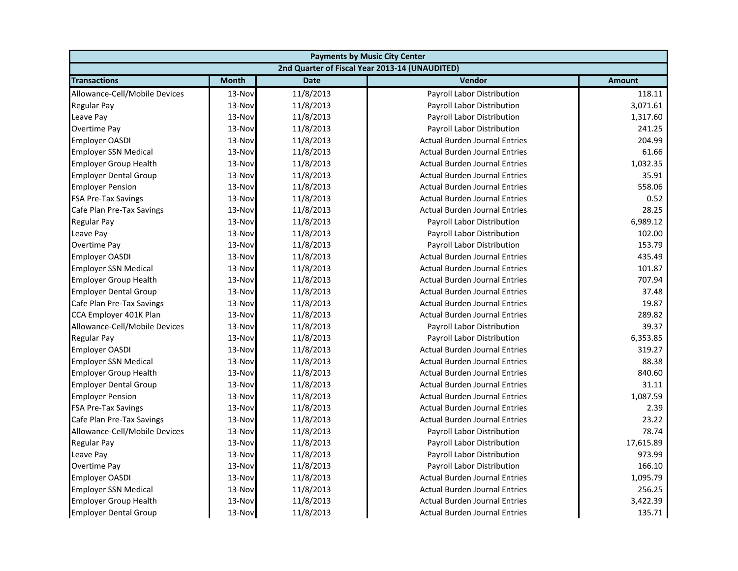| <b>Payments by Music City Center</b> |              |             |                                                |               |
|--------------------------------------|--------------|-------------|------------------------------------------------|---------------|
|                                      |              |             | 2nd Quarter of Fiscal Year 2013-14 (UNAUDITED) |               |
| <b>Transactions</b>                  | <b>Month</b> | <b>Date</b> | Vendor                                         | <b>Amount</b> |
| Allowance-Cell/Mobile Devices        | 13-Nov       | 11/8/2013   | Payroll Labor Distribution                     | 118.11        |
| Regular Pay                          | 13-Nov       | 11/8/2013   | Payroll Labor Distribution                     | 3,071.61      |
| Leave Pay                            | 13-Nov       | 11/8/2013   | Payroll Labor Distribution                     | 1,317.60      |
| Overtime Pay                         | 13-Nov       | 11/8/2013   | Payroll Labor Distribution                     | 241.25        |
| <b>Employer OASDI</b>                | 13-Nov       | 11/8/2013   | <b>Actual Burden Journal Entries</b>           | 204.99        |
| <b>Employer SSN Medical</b>          | 13-Nov       | 11/8/2013   | <b>Actual Burden Journal Entries</b>           | 61.66         |
| <b>Employer Group Health</b>         | 13-Nov       | 11/8/2013   | <b>Actual Burden Journal Entries</b>           | 1,032.35      |
| <b>Employer Dental Group</b>         | 13-Nov       | 11/8/2013   | <b>Actual Burden Journal Entries</b>           | 35.91         |
| <b>Employer Pension</b>              | 13-Nov       | 11/8/2013   | <b>Actual Burden Journal Entries</b>           | 558.06        |
| <b>FSA Pre-Tax Savings</b>           | 13-Nov       | 11/8/2013   | <b>Actual Burden Journal Entries</b>           | 0.52          |
| Cafe Plan Pre-Tax Savings            | 13-Nov       | 11/8/2013   | <b>Actual Burden Journal Entries</b>           | 28.25         |
| <b>Regular Pay</b>                   | 13-Nov       | 11/8/2013   | Payroll Labor Distribution                     | 6,989.12      |
| Leave Pay                            | 13-Nov       | 11/8/2013   | Payroll Labor Distribution                     | 102.00        |
| Overtime Pay                         | 13-Nov       | 11/8/2013   | Payroll Labor Distribution                     | 153.79        |
| <b>Employer OASDI</b>                | 13-Nov       | 11/8/2013   | <b>Actual Burden Journal Entries</b>           | 435.49        |
| <b>Employer SSN Medical</b>          | 13-Nov       | 11/8/2013   | <b>Actual Burden Journal Entries</b>           | 101.87        |
| <b>Employer Group Health</b>         | 13-Nov       | 11/8/2013   | <b>Actual Burden Journal Entries</b>           | 707.94        |
| <b>Employer Dental Group</b>         | 13-Nov       | 11/8/2013   | <b>Actual Burden Journal Entries</b>           | 37.48         |
| Cafe Plan Pre-Tax Savings            | 13-Nov       | 11/8/2013   | <b>Actual Burden Journal Entries</b>           | 19.87         |
| CCA Employer 401K Plan               | 13-Nov       | 11/8/2013   | <b>Actual Burden Journal Entries</b>           | 289.82        |
| Allowance-Cell/Mobile Devices        | 13-Nov       | 11/8/2013   | Payroll Labor Distribution                     | 39.37         |
| <b>Regular Pay</b>                   | 13-Nov       | 11/8/2013   | Payroll Labor Distribution                     | 6,353.85      |
| <b>Employer OASDI</b>                | 13-Nov       | 11/8/2013   | <b>Actual Burden Journal Entries</b>           | 319.27        |
| <b>Employer SSN Medical</b>          | 13-Nov       | 11/8/2013   | <b>Actual Burden Journal Entries</b>           | 88.38         |
| <b>Employer Group Health</b>         | 13-Nov       | 11/8/2013   | <b>Actual Burden Journal Entries</b>           | 840.60        |
| <b>Employer Dental Group</b>         | 13-Nov       | 11/8/2013   | <b>Actual Burden Journal Entries</b>           | 31.11         |
| <b>Employer Pension</b>              | 13-Nov       | 11/8/2013   | <b>Actual Burden Journal Entries</b>           | 1,087.59      |
| <b>FSA Pre-Tax Savings</b>           | 13-Nov       | 11/8/2013   | <b>Actual Burden Journal Entries</b>           | 2.39          |
| Cafe Plan Pre-Tax Savings            | 13-Nov       | 11/8/2013   | <b>Actual Burden Journal Entries</b>           | 23.22         |
| Allowance-Cell/Mobile Devices        | 13-Nov       | 11/8/2013   | Payroll Labor Distribution                     | 78.74         |
| <b>Regular Pay</b>                   | 13-Nov       | 11/8/2013   | Payroll Labor Distribution                     | 17,615.89     |
| Leave Pay                            | 13-Nov       | 11/8/2013   | Payroll Labor Distribution                     | 973.99        |
| <b>Overtime Pay</b>                  | 13-Nov       | 11/8/2013   | <b>Payroll Labor Distribution</b>              | 166.10        |
| <b>Employer OASDI</b>                | 13-Nov       | 11/8/2013   | <b>Actual Burden Journal Entries</b>           | 1,095.79      |
| <b>Employer SSN Medical</b>          | 13-Nov       | 11/8/2013   | <b>Actual Burden Journal Entries</b>           | 256.25        |
| <b>Employer Group Health</b>         | 13-Nov       | 11/8/2013   | <b>Actual Burden Journal Entries</b>           | 3,422.39      |
| <b>Employer Dental Group</b>         | 13-Nov       | 11/8/2013   | <b>Actual Burden Journal Entries</b>           | 135.71        |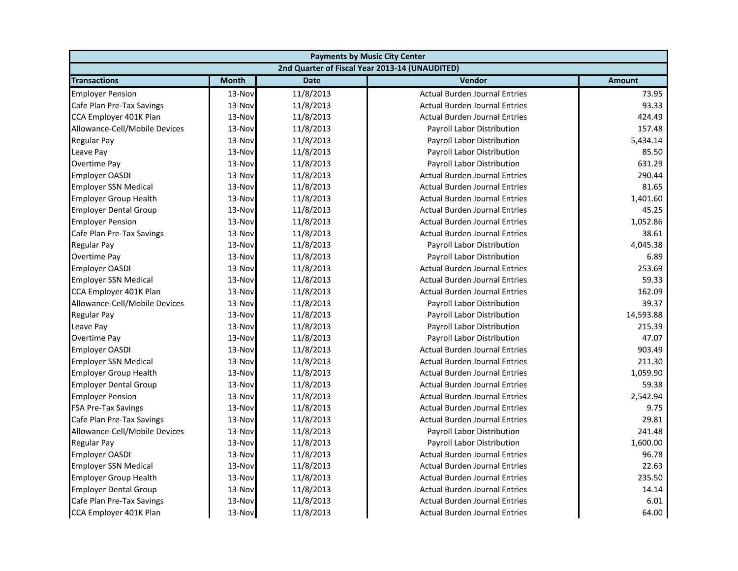| <b>Payments by Music City Center</b> |              |             |                                                |               |
|--------------------------------------|--------------|-------------|------------------------------------------------|---------------|
|                                      |              |             | 2nd Quarter of Fiscal Year 2013-14 (UNAUDITED) |               |
| <b>Transactions</b>                  | <b>Month</b> | <b>Date</b> | Vendor                                         | <b>Amount</b> |
| <b>Employer Pension</b>              | 13-Nov       | 11/8/2013   | <b>Actual Burden Journal Entries</b>           | 73.95         |
| Cafe Plan Pre-Tax Savings            | 13-Nov       | 11/8/2013   | <b>Actual Burden Journal Entries</b>           | 93.33         |
| CCA Employer 401K Plan               | 13-Nov       | 11/8/2013   | <b>Actual Burden Journal Entries</b>           | 424.49        |
| Allowance-Cell/Mobile Devices        | 13-Nov       | 11/8/2013   | Payroll Labor Distribution                     | 157.48        |
| <b>Regular Pay</b>                   | 13-Nov       | 11/8/2013   | Payroll Labor Distribution                     | 5,434.14      |
| Leave Pay                            | 13-Nov       | 11/8/2013   | Payroll Labor Distribution                     | 85.50         |
| Overtime Pay                         | 13-Nov       | 11/8/2013   | Payroll Labor Distribution                     | 631.29        |
| <b>Employer OASDI</b>                | 13-Nov       | 11/8/2013   | <b>Actual Burden Journal Entries</b>           | 290.44        |
| <b>Employer SSN Medical</b>          | 13-Nov       | 11/8/2013   | <b>Actual Burden Journal Entries</b>           | 81.65         |
| <b>Employer Group Health</b>         | 13-Nov       | 11/8/2013   | <b>Actual Burden Journal Entries</b>           | 1,401.60      |
| <b>Employer Dental Group</b>         | 13-Nov       | 11/8/2013   | <b>Actual Burden Journal Entries</b>           | 45.25         |
| <b>Employer Pension</b>              | 13-Nov       | 11/8/2013   | <b>Actual Burden Journal Entries</b>           | 1,052.86      |
| Cafe Plan Pre-Tax Savings            | 13-Nov       | 11/8/2013   | <b>Actual Burden Journal Entries</b>           | 38.61         |
| <b>Regular Pay</b>                   | 13-Nov       | 11/8/2013   | Payroll Labor Distribution                     | 4,045.38      |
| Overtime Pay                         | 13-Nov       | 11/8/2013   | Payroll Labor Distribution                     | 6.89          |
| <b>Employer OASDI</b>                | 13-Nov       | 11/8/2013   | <b>Actual Burden Journal Entries</b>           | 253.69        |
| <b>Employer SSN Medical</b>          | 13-Nov       | 11/8/2013   | <b>Actual Burden Journal Entries</b>           | 59.33         |
| CCA Employer 401K Plan               | 13-Nov       | 11/8/2013   | <b>Actual Burden Journal Entries</b>           | 162.09        |
| Allowance-Cell/Mobile Devices        | 13-Nov       | 11/8/2013   | Payroll Labor Distribution                     | 39.37         |
| Regular Pay                          | 13-Nov       | 11/8/2013   | Payroll Labor Distribution                     | 14,593.88     |
| Leave Pay                            | 13-Nov       | 11/8/2013   | Payroll Labor Distribution                     | 215.39        |
| Overtime Pay                         | 13-Nov       | 11/8/2013   | <b>Payroll Labor Distribution</b>              | 47.07         |
| <b>Employer OASDI</b>                | 13-Nov       | 11/8/2013   | <b>Actual Burden Journal Entries</b>           | 903.49        |
| <b>Employer SSN Medical</b>          | 13-Nov       | 11/8/2013   | <b>Actual Burden Journal Entries</b>           | 211.30        |
| <b>Employer Group Health</b>         | 13-Nov       | 11/8/2013   | <b>Actual Burden Journal Entries</b>           | 1,059.90      |
| <b>Employer Dental Group</b>         | 13-Nov       | 11/8/2013   | <b>Actual Burden Journal Entries</b>           | 59.38         |
| <b>Employer Pension</b>              | 13-Nov       | 11/8/2013   | <b>Actual Burden Journal Entries</b>           | 2,542.94      |
| <b>FSA Pre-Tax Savings</b>           | 13-Nov       | 11/8/2013   | <b>Actual Burden Journal Entries</b>           | 9.75          |
| Cafe Plan Pre-Tax Savings            | 13-Nov       | 11/8/2013   | <b>Actual Burden Journal Entries</b>           | 29.81         |
| Allowance-Cell/Mobile Devices        | 13-Nov       | 11/8/2013   | Payroll Labor Distribution                     | 241.48        |
| <b>Regular Pay</b>                   | 13-Nov       | 11/8/2013   | Payroll Labor Distribution                     | 1,600.00      |
| <b>Employer OASDI</b>                | 13-Nov       | 11/8/2013   | <b>Actual Burden Journal Entries</b>           | 96.78         |
| <b>Employer SSN Medical</b>          | 13-Nov       | 11/8/2013   | <b>Actual Burden Journal Entries</b>           | 22.63         |
| <b>Employer Group Health</b>         | 13-Nov       | 11/8/2013   | <b>Actual Burden Journal Entries</b>           | 235.50        |
| <b>Employer Dental Group</b>         | 13-Nov       | 11/8/2013   | <b>Actual Burden Journal Entries</b>           | 14.14         |
| Cafe Plan Pre-Tax Savings            | 13-Nov       | 11/8/2013   | <b>Actual Burden Journal Entries</b>           | 6.01          |
| CCA Employer 401K Plan               | 13-Nov       | 11/8/2013   | <b>Actual Burden Journal Entries</b>           | 64.00         |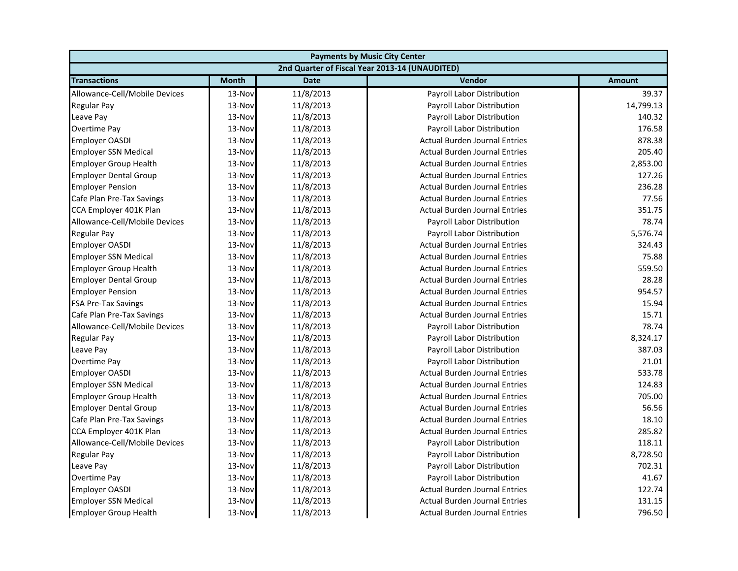| <b>Payments by Music City Center</b> |              |             |                                                |               |
|--------------------------------------|--------------|-------------|------------------------------------------------|---------------|
|                                      |              |             | 2nd Quarter of Fiscal Year 2013-14 (UNAUDITED) |               |
| <b>Transactions</b>                  | <b>Month</b> | <b>Date</b> | Vendor                                         | <b>Amount</b> |
| Allowance-Cell/Mobile Devices        | 13-Nov       | 11/8/2013   | Payroll Labor Distribution                     | 39.37         |
| Regular Pay                          | 13-Nov       | 11/8/2013   | Payroll Labor Distribution                     | 14,799.13     |
| Leave Pay                            | 13-Nov       | 11/8/2013   | Payroll Labor Distribution                     | 140.32        |
| Overtime Pay                         | 13-Nov       | 11/8/2013   | Payroll Labor Distribution                     | 176.58        |
| <b>Employer OASDI</b>                | 13-Nov       | 11/8/2013   | <b>Actual Burden Journal Entries</b>           | 878.38        |
| <b>Employer SSN Medical</b>          | 13-Nov       | 11/8/2013   | <b>Actual Burden Journal Entries</b>           | 205.40        |
| <b>Employer Group Health</b>         | 13-Nov       | 11/8/2013   | <b>Actual Burden Journal Entries</b>           | 2,853.00      |
| <b>Employer Dental Group</b>         | 13-Nov       | 11/8/2013   | <b>Actual Burden Journal Entries</b>           | 127.26        |
| <b>Employer Pension</b>              | 13-Nov       | 11/8/2013   | <b>Actual Burden Journal Entries</b>           | 236.28        |
| Cafe Plan Pre-Tax Savings            | 13-Nov       | 11/8/2013   | <b>Actual Burden Journal Entries</b>           | 77.56         |
| CCA Employer 401K Plan               | 13-Nov       | 11/8/2013   | <b>Actual Burden Journal Entries</b>           | 351.75        |
| Allowance-Cell/Mobile Devices        | 13-Nov       | 11/8/2013   | Payroll Labor Distribution                     | 78.74         |
| <b>Regular Pay</b>                   | 13-Nov       | 11/8/2013   | Payroll Labor Distribution                     | 5,576.74      |
| <b>Employer OASDI</b>                | 13-Nov       | 11/8/2013   | <b>Actual Burden Journal Entries</b>           | 324.43        |
| <b>Employer SSN Medical</b>          | 13-Nov       | 11/8/2013   | <b>Actual Burden Journal Entries</b>           | 75.88         |
| <b>Employer Group Health</b>         | 13-Nov       | 11/8/2013   | <b>Actual Burden Journal Entries</b>           | 559.50        |
| <b>Employer Dental Group</b>         | 13-Nov       | 11/8/2013   | <b>Actual Burden Journal Entries</b>           | 28.28         |
| <b>Employer Pension</b>              | 13-Nov       | 11/8/2013   | <b>Actual Burden Journal Entries</b>           | 954.57        |
| <b>FSA Pre-Tax Savings</b>           | 13-Nov       | 11/8/2013   | <b>Actual Burden Journal Entries</b>           | 15.94         |
| Cafe Plan Pre-Tax Savings            | 13-Nov       | 11/8/2013   | <b>Actual Burden Journal Entries</b>           | 15.71         |
| Allowance-Cell/Mobile Devices        | 13-Nov       | 11/8/2013   | Payroll Labor Distribution                     | 78.74         |
| <b>Regular Pay</b>                   | 13-Nov       | 11/8/2013   | <b>Payroll Labor Distribution</b>              | 8,324.17      |
| Leave Pay                            | 13-Nov       | 11/8/2013   | Payroll Labor Distribution                     | 387.03        |
| Overtime Pay                         | 13-Nov       | 11/8/2013   | Payroll Labor Distribution                     | 21.01         |
| <b>Employer OASDI</b>                | 13-Nov       | 11/8/2013   | <b>Actual Burden Journal Entries</b>           | 533.78        |
| <b>Employer SSN Medical</b>          | 13-Nov       | 11/8/2013   | <b>Actual Burden Journal Entries</b>           | 124.83        |
| <b>Employer Group Health</b>         | 13-Nov       | 11/8/2013   | <b>Actual Burden Journal Entries</b>           | 705.00        |
| <b>Employer Dental Group</b>         | 13-Nov       | 11/8/2013   | <b>Actual Burden Journal Entries</b>           | 56.56         |
| Cafe Plan Pre-Tax Savings            | 13-Nov       | 11/8/2013   | <b>Actual Burden Journal Entries</b>           | 18.10         |
| CCA Employer 401K Plan               | 13-Nov       | 11/8/2013   | <b>Actual Burden Journal Entries</b>           | 285.82        |
| Allowance-Cell/Mobile Devices        | 13-Nov       | 11/8/2013   | Payroll Labor Distribution                     | 118.11        |
| <b>Regular Pay</b>                   | 13-Nov       | 11/8/2013   | Payroll Labor Distribution                     | 8,728.50      |
| Leave Pay                            | 13-Nov       | 11/8/2013   | Payroll Labor Distribution                     | 702.31        |
| Overtime Pay                         | 13-Nov       | 11/8/2013   | Payroll Labor Distribution                     | 41.67         |
| <b>Employer OASDI</b>                | 13-Nov       | 11/8/2013   | <b>Actual Burden Journal Entries</b>           | 122.74        |
| <b>Employer SSN Medical</b>          | 13-Nov       | 11/8/2013   | <b>Actual Burden Journal Entries</b>           | 131.15        |
| <b>Employer Group Health</b>         | 13-Nov       | 11/8/2013   | <b>Actual Burden Journal Entries</b>           | 796.50        |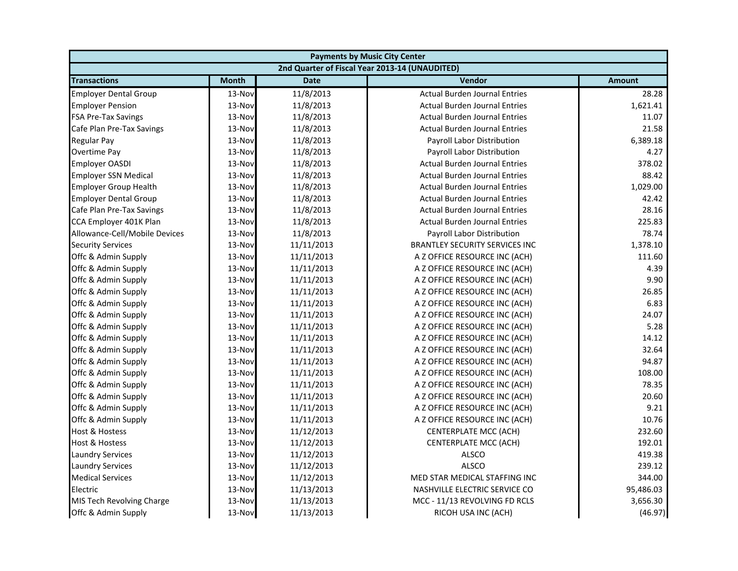| <b>Payments by Music City Center</b> |              |             |                                                |               |
|--------------------------------------|--------------|-------------|------------------------------------------------|---------------|
|                                      |              |             | 2nd Quarter of Fiscal Year 2013-14 (UNAUDITED) |               |
| <b>Transactions</b>                  | <b>Month</b> | <b>Date</b> | Vendor                                         | <b>Amount</b> |
| <b>Employer Dental Group</b>         | 13-Nov       | 11/8/2013   | <b>Actual Burden Journal Entries</b>           | 28.28         |
| <b>Employer Pension</b>              | 13-Nov       | 11/8/2013   | <b>Actual Burden Journal Entries</b>           | 1,621.41      |
| <b>FSA Pre-Tax Savings</b>           | 13-Nov       | 11/8/2013   | <b>Actual Burden Journal Entries</b>           | 11.07         |
| Cafe Plan Pre-Tax Savings            | 13-Nov       | 11/8/2013   | <b>Actual Burden Journal Entries</b>           | 21.58         |
| <b>Regular Pay</b>                   | 13-Nov       | 11/8/2013   | Payroll Labor Distribution                     | 6,389.18      |
| Overtime Pay                         | 13-Nov       | 11/8/2013   | Payroll Labor Distribution                     | 4.27          |
| <b>Employer OASDI</b>                | 13-Nov       | 11/8/2013   | <b>Actual Burden Journal Entries</b>           | 378.02        |
| <b>Employer SSN Medical</b>          | 13-Nov       | 11/8/2013   | <b>Actual Burden Journal Entries</b>           | 88.42         |
| <b>Employer Group Health</b>         | 13-Nov       | 11/8/2013   | <b>Actual Burden Journal Entries</b>           | 1,029.00      |
| <b>Employer Dental Group</b>         | 13-Nov       | 11/8/2013   | <b>Actual Burden Journal Entries</b>           | 42.42         |
| Cafe Plan Pre-Tax Savings            | 13-Nov       | 11/8/2013   | <b>Actual Burden Journal Entries</b>           | 28.16         |
| CCA Employer 401K Plan               | 13-Nov       | 11/8/2013   | <b>Actual Burden Journal Entries</b>           | 225.83        |
| Allowance-Cell/Mobile Devices        | 13-Nov       | 11/8/2013   | <b>Payroll Labor Distribution</b>              | 78.74         |
| <b>Security Services</b>             | 13-Nov       | 11/11/2013  | <b>BRANTLEY SECURITY SERVICES INC</b>          | 1,378.10      |
| Offc & Admin Supply                  | 13-Nov       | 11/11/2013  | A Z OFFICE RESOURCE INC (ACH)                  | 111.60        |
| Offc & Admin Supply                  | 13-Nov       | 11/11/2013  | A Z OFFICE RESOURCE INC (ACH)                  | 4.39          |
| Offc & Admin Supply                  | 13-Nov       | 11/11/2013  | A Z OFFICE RESOURCE INC (ACH)                  | 9.90          |
| Offc & Admin Supply                  | 13-Nov       | 11/11/2013  | A Z OFFICE RESOURCE INC (ACH)                  | 26.85         |
| Offc & Admin Supply                  | 13-Nov       | 11/11/2013  | A Z OFFICE RESOURCE INC (ACH)                  | 6.83          |
| Offc & Admin Supply                  | 13-Nov       | 11/11/2013  | A Z OFFICE RESOURCE INC (ACH)                  | 24.07         |
| Offc & Admin Supply                  | 13-Nov       | 11/11/2013  | A Z OFFICE RESOURCE INC (ACH)                  | 5.28          |
| Offc & Admin Supply                  | 13-Nov       | 11/11/2013  | A Z OFFICE RESOURCE INC (ACH)                  | 14.12         |
| Offc & Admin Supply                  | 13-Nov       | 11/11/2013  | A Z OFFICE RESOURCE INC (ACH)                  | 32.64         |
| Offc & Admin Supply                  | 13-Nov       | 11/11/2013  | A Z OFFICE RESOURCE INC (ACH)                  | 94.87         |
| Offc & Admin Supply                  | 13-Nov       | 11/11/2013  | A Z OFFICE RESOURCE INC (ACH)                  | 108.00        |
| Offc & Admin Supply                  | 13-Nov       | 11/11/2013  | A Z OFFICE RESOURCE INC (ACH)                  | 78.35         |
| Offc & Admin Supply                  | 13-Nov       | 11/11/2013  | A Z OFFICE RESOURCE INC (ACH)                  | 20.60         |
| Offc & Admin Supply                  | 13-Nov       | 11/11/2013  | A Z OFFICE RESOURCE INC (ACH)                  | 9.21          |
| Offc & Admin Supply                  | 13-Nov       | 11/11/2013  | A Z OFFICE RESOURCE INC (ACH)                  | 10.76         |
| <b>Host &amp; Hostess</b>            | 13-Nov       | 11/12/2013  | CENTERPLATE MCC (ACH)                          | 232.60        |
| Host & Hostess                       | 13-Nov       | 11/12/2013  | CENTERPLATE MCC (ACH)                          | 192.01        |
| <b>Laundry Services</b>              | 13-Nov       | 11/12/2013  | <b>ALSCO</b>                                   | 419.38        |
| <b>Laundry Services</b>              | 13-Nov       | 11/12/2013  | <b>ALSCO</b>                                   | 239.12        |
| <b>Medical Services</b>              | 13-Nov       | 11/12/2013  | MED STAR MEDICAL STAFFING INC                  | 344.00        |
| Electric                             | 13-Nov       | 11/13/2013  | NASHVILLE ELECTRIC SERVICE CO                  | 95,486.03     |
| MIS Tech Revolving Charge            | 13-Nov       | 11/13/2013  | MCC - 11/13 REVOLVING FD RCLS                  | 3,656.30      |
| Offc & Admin Supply                  | 13-Nov       | 11/13/2013  | RICOH USA INC (ACH)                            | (46.97)       |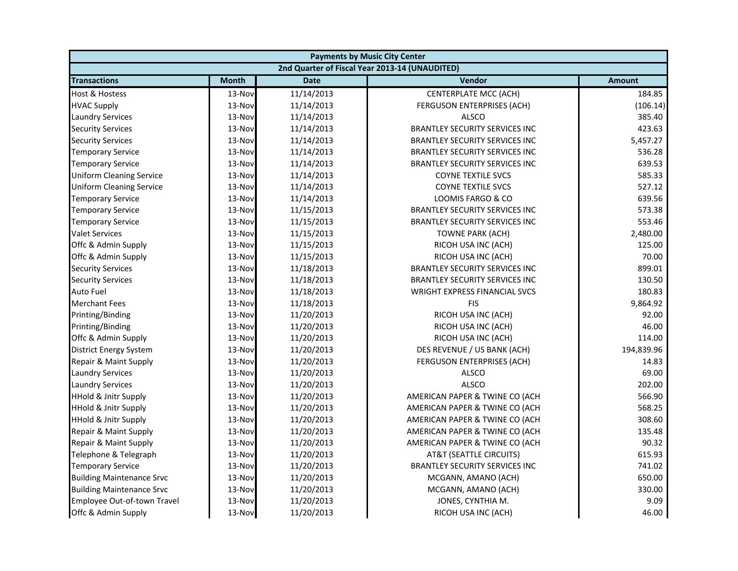| <b>Payments by Music City Center</b> |              |             |                                                |               |
|--------------------------------------|--------------|-------------|------------------------------------------------|---------------|
|                                      |              |             | 2nd Quarter of Fiscal Year 2013-14 (UNAUDITED) |               |
| <b>Transactions</b>                  | <b>Month</b> | <b>Date</b> | Vendor                                         | <b>Amount</b> |
| Host & Hostess                       | 13-Nov       | 11/14/2013  | <b>CENTERPLATE MCC (ACH)</b>                   | 184.85        |
| <b>HVAC Supply</b>                   | 13-Nov       | 11/14/2013  | FERGUSON ENTERPRISES (ACH)                     | (106.14)      |
| <b>Laundry Services</b>              | 13-Nov       | 11/14/2013  | <b>ALSCO</b>                                   | 385.40        |
| <b>Security Services</b>             | 13-Nov       | 11/14/2013  | <b>BRANTLEY SECURITY SERVICES INC</b>          | 423.63        |
| <b>Security Services</b>             | 13-Nov       | 11/14/2013  | <b>BRANTLEY SECURITY SERVICES INC</b>          | 5,457.27      |
| Temporary Service                    | 13-Nov       | 11/14/2013  | <b>BRANTLEY SECURITY SERVICES INC</b>          | 536.28        |
| <b>Temporary Service</b>             | 13-Nov       | 11/14/2013  | <b>BRANTLEY SECURITY SERVICES INC</b>          | 639.53        |
| <b>Uniform Cleaning Service</b>      | 13-Nov       | 11/14/2013  | <b>COYNE TEXTILE SVCS</b>                      | 585.33        |
| <b>Uniform Cleaning Service</b>      | 13-Nov       | 11/14/2013  | <b>COYNE TEXTILE SVCS</b>                      | 527.12        |
| <b>Temporary Service</b>             | 13-Nov       | 11/14/2013  | LOOMIS FARGO & CO                              | 639.56        |
| <b>Temporary Service</b>             | 13-Nov       | 11/15/2013  | <b>BRANTLEY SECURITY SERVICES INC</b>          | 573.38        |
| <b>Temporary Service</b>             | 13-Nov       | 11/15/2013  | <b>BRANTLEY SECURITY SERVICES INC</b>          | 553.46        |
| <b>Valet Services</b>                | 13-Nov       | 11/15/2013  | <b>TOWNE PARK (ACH)</b>                        | 2,480.00      |
| Offc & Admin Supply                  | 13-Nov       | 11/15/2013  | RICOH USA INC (ACH)                            | 125.00        |
| Offc & Admin Supply                  | 13-Nov       | 11/15/2013  | RICOH USA INC (ACH)                            | 70.00         |
| <b>Security Services</b>             | 13-Nov       | 11/18/2013  | <b>BRANTLEY SECURITY SERVICES INC</b>          | 899.01        |
| <b>Security Services</b>             | 13-Nov       | 11/18/2013  | <b>BRANTLEY SECURITY SERVICES INC</b>          | 130.50        |
| Auto Fuel                            | 13-Nov       | 11/18/2013  | WRIGHT EXPRESS FINANCIAL SVCS                  | 180.83        |
| <b>Merchant Fees</b>                 | 13-Nov       | 11/18/2013  | <b>FIS</b>                                     | 9,864.92      |
| Printing/Binding                     | 13-Nov       | 11/20/2013  | RICOH USA INC (ACH)                            | 92.00         |
| Printing/Binding                     | 13-Nov       | 11/20/2013  | RICOH USA INC (ACH)                            | 46.00         |
| Offc & Admin Supply                  | 13-Nov       | 11/20/2013  | RICOH USA INC (ACH)                            | 114.00        |
| <b>District Energy System</b>        | 13-Nov       | 11/20/2013  | DES REVENUE / US BANK (ACH)                    | 194,839.96    |
| Repair & Maint Supply                | 13-Nov       | 11/20/2013  | FERGUSON ENTERPRISES (ACH)                     | 14.83         |
| <b>Laundry Services</b>              | 13-Nov       | 11/20/2013  | <b>ALSCO</b>                                   | 69.00         |
| <b>Laundry Services</b>              | 13-Nov       | 11/20/2013  | <b>ALSCO</b>                                   | 202.00        |
| <b>HHold &amp; Jnitr Supply</b>      | 13-Nov       | 11/20/2013  | AMERICAN PAPER & TWINE CO (ACH                 | 566.90        |
| <b>HHold &amp; Jnitr Supply</b>      | 13-Nov       | 11/20/2013  | AMERICAN PAPER & TWINE CO (ACH                 | 568.25        |
| <b>HHold &amp; Jnitr Supply</b>      | 13-Nov       | 11/20/2013  | AMERICAN PAPER & TWINE CO (ACH                 | 308.60        |
| Repair & Maint Supply                | 13-Nov       | 11/20/2013  | AMERICAN PAPER & TWINE CO (ACH                 | 135.48        |
| Repair & Maint Supply                | 13-Nov       | 11/20/2013  | AMERICAN PAPER & TWINE CO (ACH                 | 90.32         |
| Telephone & Telegraph                | 13-Nov       | 11/20/2013  | AT&T (SEATTLE CIRCUITS)                        | 615.93        |
| <b>Temporary Service</b>             | 13-Nov       | 11/20/2013  | <b>BRANTLEY SECURITY SERVICES INC</b>          | 741.02        |
| <b>Building Maintenance Srvc</b>     | 13-Nov       | 11/20/2013  | MCGANN, AMANO (ACH)                            | 650.00        |
| <b>Building Maintenance Srvc</b>     | 13-Nov       | 11/20/2013  | MCGANN, AMANO (ACH)                            | 330.00        |
| Employee Out-of-town Travel          | 13-Nov       | 11/20/2013  | JONES, CYNTHIA M.                              | 9.09          |
| Offc & Admin Supply                  | 13-Nov       | 11/20/2013  | RICOH USA INC (ACH)                            | 46.00         |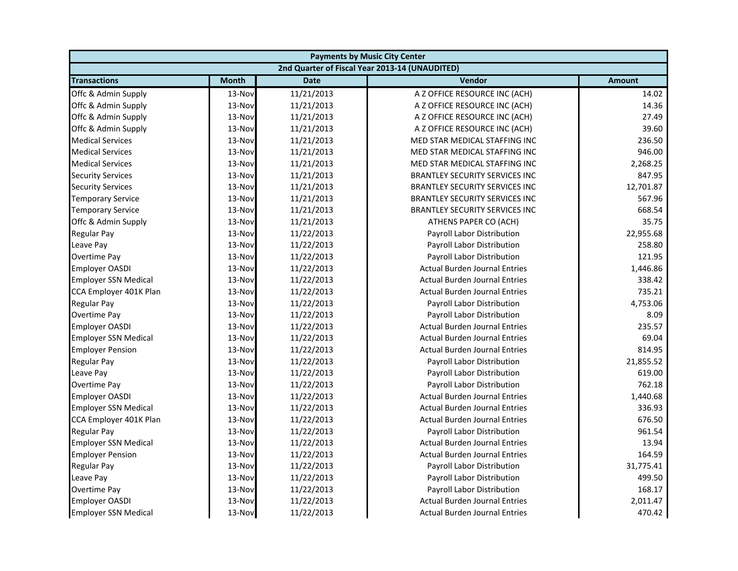| <b>Payments by Music City Center</b> |              |             |                                                |               |
|--------------------------------------|--------------|-------------|------------------------------------------------|---------------|
|                                      |              |             | 2nd Quarter of Fiscal Year 2013-14 (UNAUDITED) |               |
| <b>Transactions</b>                  | <b>Month</b> | <b>Date</b> | Vendor                                         | <b>Amount</b> |
| Offc & Admin Supply                  | 13-Nov       | 11/21/2013  | A Z OFFICE RESOURCE INC (ACH)                  | 14.02         |
| Offc & Admin Supply                  | 13-Nov       | 11/21/2013  | A Z OFFICE RESOURCE INC (ACH)                  | 14.36         |
| Offc & Admin Supply                  | 13-Nov       | 11/21/2013  | A Z OFFICE RESOURCE INC (ACH)                  | 27.49         |
| Offc & Admin Supply                  | 13-Nov       | 11/21/2013  | A Z OFFICE RESOURCE INC (ACH)                  | 39.60         |
| <b>Medical Services</b>              | 13-Nov       | 11/21/2013  | MED STAR MEDICAL STAFFING INC                  | 236.50        |
| <b>Medical Services</b>              | 13-Nov       | 11/21/2013  | MED STAR MEDICAL STAFFING INC                  | 946.00        |
| <b>Medical Services</b>              | 13-Nov       | 11/21/2013  | MED STAR MEDICAL STAFFING INC                  | 2,268.25      |
| <b>Security Services</b>             | 13-Nov       | 11/21/2013  | <b>BRANTLEY SECURITY SERVICES INC</b>          | 847.95        |
| <b>Security Services</b>             | 13-Nov       | 11/21/2013  | BRANTLEY SECURITY SERVICES INC                 | 12,701.87     |
| <b>Temporary Service</b>             | 13-Nov       | 11/21/2013  | <b>BRANTLEY SECURITY SERVICES INC</b>          | 567.96        |
| <b>Temporary Service</b>             | 13-Nov       | 11/21/2013  | <b>BRANTLEY SECURITY SERVICES INC</b>          | 668.54        |
| Offc & Admin Supply                  | 13-Nov       | 11/21/2013  | ATHENS PAPER CO (ACH)                          | 35.75         |
| <b>Regular Pay</b>                   | 13-Nov       | 11/22/2013  | Payroll Labor Distribution                     | 22,955.68     |
| Leave Pay                            | 13-Nov       | 11/22/2013  | Payroll Labor Distribution                     | 258.80        |
| Overtime Pay                         | 13-Nov       | 11/22/2013  | Payroll Labor Distribution                     | 121.95        |
| <b>Employer OASDI</b>                | 13-Nov       | 11/22/2013  | <b>Actual Burden Journal Entries</b>           | 1,446.86      |
| <b>Employer SSN Medical</b>          | 13-Nov       | 11/22/2013  | <b>Actual Burden Journal Entries</b>           | 338.42        |
| CCA Employer 401K Plan               | 13-Nov       | 11/22/2013  | <b>Actual Burden Journal Entries</b>           | 735.21        |
| <b>Regular Pay</b>                   | 13-Nov       | 11/22/2013  | Payroll Labor Distribution                     | 4,753.06      |
| Overtime Pay                         | 13-Nov       | 11/22/2013  | Payroll Labor Distribution                     | 8.09          |
| <b>Employer OASDI</b>                | 13-Nov       | 11/22/2013  | <b>Actual Burden Journal Entries</b>           | 235.57        |
| <b>Employer SSN Medical</b>          | 13-Nov       | 11/22/2013  | <b>Actual Burden Journal Entries</b>           | 69.04         |
| <b>Employer Pension</b>              | 13-Nov       | 11/22/2013  | <b>Actual Burden Journal Entries</b>           | 814.95        |
| <b>Regular Pay</b>                   | 13-Nov       | 11/22/2013  | Payroll Labor Distribution                     | 21,855.52     |
| Leave Pay                            | 13-Nov       | 11/22/2013  | Payroll Labor Distribution                     | 619.00        |
| Overtime Pay                         | 13-Nov       | 11/22/2013  | Payroll Labor Distribution                     | 762.18        |
| <b>Employer OASDI</b>                | 13-Nov       | 11/22/2013  | <b>Actual Burden Journal Entries</b>           | 1,440.68      |
| <b>Employer SSN Medical</b>          | 13-Nov       | 11/22/2013  | <b>Actual Burden Journal Entries</b>           | 336.93        |
| CCA Employer 401K Plan               | 13-Nov       | 11/22/2013  | <b>Actual Burden Journal Entries</b>           | 676.50        |
| <b>Regular Pay</b>                   | 13-Nov       | 11/22/2013  | <b>Payroll Labor Distribution</b>              | 961.54        |
| <b>Employer SSN Medical</b>          | 13-Nov       | 11/22/2013  | <b>Actual Burden Journal Entries</b>           | 13.94         |
| <b>Employer Pension</b>              | 13-Nov       | 11/22/2013  | <b>Actual Burden Journal Entries</b>           | 164.59        |
| <b>Regular Pay</b>                   | 13-Nov       | 11/22/2013  | Payroll Labor Distribution                     | 31,775.41     |
| Leave Pay                            | 13-Nov       | 11/22/2013  | Payroll Labor Distribution                     | 499.50        |
| Overtime Pay                         | 13-Nov       | 11/22/2013  | Payroll Labor Distribution                     | 168.17        |
| <b>Employer OASDI</b>                | 13-Nov       | 11/22/2013  | <b>Actual Burden Journal Entries</b>           | 2,011.47      |
| <b>Employer SSN Medical</b>          | 13-Nov       | 11/22/2013  | <b>Actual Burden Journal Entries</b>           | 470.42        |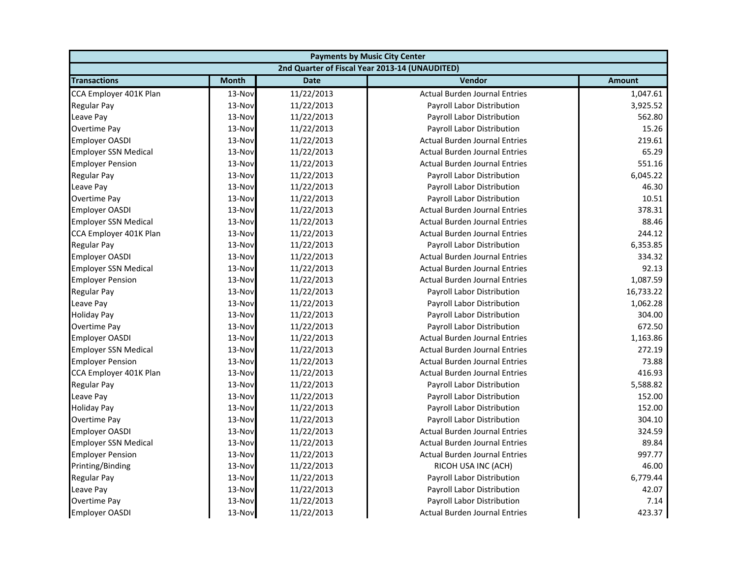| <b>Payments by Music City Center</b> |              |             |                                                |               |
|--------------------------------------|--------------|-------------|------------------------------------------------|---------------|
|                                      |              |             | 2nd Quarter of Fiscal Year 2013-14 (UNAUDITED) |               |
| <b>Transactions</b>                  | <b>Month</b> | <b>Date</b> | Vendor                                         | <b>Amount</b> |
| CCA Employer 401K Plan               | 13-Nov       | 11/22/2013  | <b>Actual Burden Journal Entries</b>           | 1,047.61      |
| Regular Pay                          | 13-Nov       | 11/22/2013  | Payroll Labor Distribution                     | 3,925.52      |
| Leave Pay                            | 13-Nov       | 11/22/2013  | Payroll Labor Distribution                     | 562.80        |
| Overtime Pay                         | 13-Nov       | 11/22/2013  | Payroll Labor Distribution                     | 15.26         |
| <b>Employer OASDI</b>                | 13-Nov       | 11/22/2013  | <b>Actual Burden Journal Entries</b>           | 219.61        |
| <b>Employer SSN Medical</b>          | 13-Nov       | 11/22/2013  | <b>Actual Burden Journal Entries</b>           | 65.29         |
| <b>Employer Pension</b>              | 13-Nov       | 11/22/2013  | <b>Actual Burden Journal Entries</b>           | 551.16        |
| Regular Pay                          | 13-Nov       | 11/22/2013  | Payroll Labor Distribution                     | 6,045.22      |
| Leave Pay                            | 13-Nov       | 11/22/2013  | Payroll Labor Distribution                     | 46.30         |
| Overtime Pay                         | 13-Nov       | 11/22/2013  | Payroll Labor Distribution                     | 10.51         |
| <b>Employer OASDI</b>                | 13-Nov       | 11/22/2013  | <b>Actual Burden Journal Entries</b>           | 378.31        |
| <b>Employer SSN Medical</b>          | 13-Nov       | 11/22/2013  | <b>Actual Burden Journal Entries</b>           | 88.46         |
| CCA Employer 401K Plan               | 13-Nov       | 11/22/2013  | <b>Actual Burden Journal Entries</b>           | 244.12        |
| Regular Pay                          | 13-Nov       | 11/22/2013  | Payroll Labor Distribution                     | 6,353.85      |
| <b>Employer OASDI</b>                | 13-Nov       | 11/22/2013  | <b>Actual Burden Journal Entries</b>           | 334.32        |
| <b>Employer SSN Medical</b>          | 13-Nov       | 11/22/2013  | <b>Actual Burden Journal Entries</b>           | 92.13         |
| <b>Employer Pension</b>              | 13-Nov       | 11/22/2013  | <b>Actual Burden Journal Entries</b>           | 1,087.59      |
| <b>Regular Pay</b>                   | 13-Nov       | 11/22/2013  | Payroll Labor Distribution                     | 16,733.22     |
| Leave Pay                            | 13-Nov       | 11/22/2013  | Payroll Labor Distribution                     | 1,062.28      |
| <b>Holiday Pay</b>                   | 13-Nov       | 11/22/2013  | Payroll Labor Distribution                     | 304.00        |
| Overtime Pay                         | 13-Nov       | 11/22/2013  | Payroll Labor Distribution                     | 672.50        |
| <b>Employer OASDI</b>                | 13-Nov       | 11/22/2013  | <b>Actual Burden Journal Entries</b>           | 1,163.86      |
| <b>Employer SSN Medical</b>          | 13-Nov       | 11/22/2013  | <b>Actual Burden Journal Entries</b>           | 272.19        |
| <b>Employer Pension</b>              | 13-Nov       | 11/22/2013  | <b>Actual Burden Journal Entries</b>           | 73.88         |
| CCA Employer 401K Plan               | 13-Nov       | 11/22/2013  | <b>Actual Burden Journal Entries</b>           | 416.93        |
| Regular Pay                          | 13-Nov       | 11/22/2013  | Payroll Labor Distribution                     | 5,588.82      |
| Leave Pay                            | 13-Nov       | 11/22/2013  | Payroll Labor Distribution                     | 152.00        |
| <b>Holiday Pay</b>                   | 13-Nov       | 11/22/2013  | Payroll Labor Distribution                     | 152.00        |
| Overtime Pay                         | 13-Nov       | 11/22/2013  | Payroll Labor Distribution                     | 304.10        |
| <b>Employer OASDI</b>                | 13-Nov       | 11/22/2013  | <b>Actual Burden Journal Entries</b>           | 324.59        |
| <b>Employer SSN Medical</b>          | 13-Nov       | 11/22/2013  | <b>Actual Burden Journal Entries</b>           | 89.84         |
| <b>Employer Pension</b>              | 13-Nov       | 11/22/2013  | <b>Actual Burden Journal Entries</b>           | 997.77        |
| Printing/Binding                     | 13-Nov       | 11/22/2013  | RICOH USA INC (ACH)                            | 46.00         |
| <b>Regular Pay</b>                   | 13-Nov       | 11/22/2013  | Payroll Labor Distribution                     | 6,779.44      |
| Leave Pay                            | 13-Nov       | 11/22/2013  | Payroll Labor Distribution                     | 42.07         |
| Overtime Pay                         | 13-Nov       | 11/22/2013  | Payroll Labor Distribution                     | 7.14          |
| <b>Employer OASDI</b>                | 13-Nov       | 11/22/2013  | <b>Actual Burden Journal Entries</b>           | 423.37        |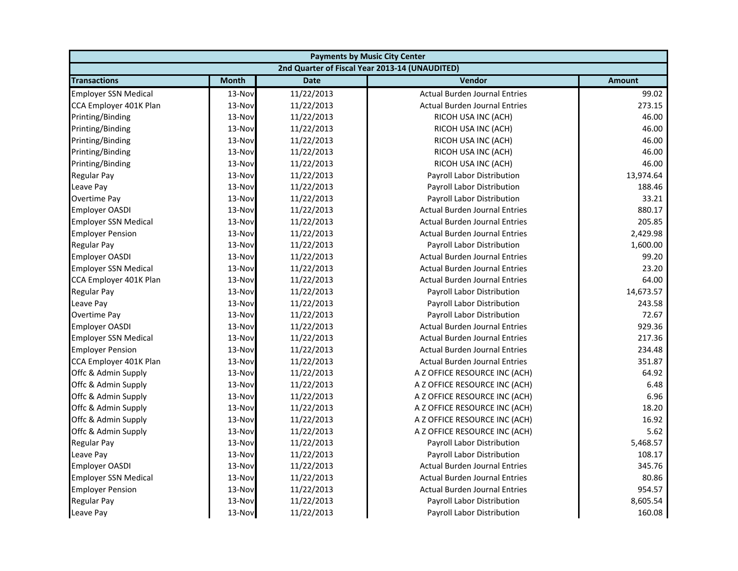| <b>Payments by Music City Center</b> |              |             |                                                |               |
|--------------------------------------|--------------|-------------|------------------------------------------------|---------------|
|                                      |              |             | 2nd Quarter of Fiscal Year 2013-14 (UNAUDITED) |               |
| <b>Transactions</b>                  | <b>Month</b> | <b>Date</b> | Vendor                                         | <b>Amount</b> |
| <b>Employer SSN Medical</b>          | 13-Nov       | 11/22/2013  | <b>Actual Burden Journal Entries</b>           | 99.02         |
| CCA Employer 401K Plan               | 13-Nov       | 11/22/2013  | <b>Actual Burden Journal Entries</b>           | 273.15        |
| Printing/Binding                     | 13-Nov       | 11/22/2013  | RICOH USA INC (ACH)                            | 46.00         |
| Printing/Binding                     | 13-Nov       | 11/22/2013  | RICOH USA INC (ACH)                            | 46.00         |
| Printing/Binding                     | 13-Nov       | 11/22/2013  | RICOH USA INC (ACH)                            | 46.00         |
| Printing/Binding                     | 13-Nov       | 11/22/2013  | RICOH USA INC (ACH)                            | 46.00         |
| Printing/Binding                     | 13-Nov       | 11/22/2013  | RICOH USA INC (ACH)                            | 46.00         |
| <b>Regular Pay</b>                   | 13-Nov       | 11/22/2013  | Payroll Labor Distribution                     | 13,974.64     |
| Leave Pay                            | 13-Nov       | 11/22/2013  | Payroll Labor Distribution                     | 188.46        |
| <b>Overtime Pay</b>                  | 13-Nov       | 11/22/2013  | Payroll Labor Distribution                     | 33.21         |
| <b>Employer OASDI</b>                | 13-Nov       | 11/22/2013  | <b>Actual Burden Journal Entries</b>           | 880.17        |
| <b>Employer SSN Medical</b>          | 13-Nov       | 11/22/2013  | <b>Actual Burden Journal Entries</b>           | 205.85        |
| <b>Employer Pension</b>              | 13-Nov       | 11/22/2013  | <b>Actual Burden Journal Entries</b>           | 2,429.98      |
| Regular Pay                          | 13-Nov       | 11/22/2013  | Payroll Labor Distribution                     | 1,600.00      |
| <b>Employer OASDI</b>                | 13-Nov       | 11/22/2013  | <b>Actual Burden Journal Entries</b>           | 99.20         |
| <b>Employer SSN Medical</b>          | 13-Nov       | 11/22/2013  | <b>Actual Burden Journal Entries</b>           | 23.20         |
| CCA Employer 401K Plan               | 13-Nov       | 11/22/2013  | <b>Actual Burden Journal Entries</b>           | 64.00         |
| <b>Regular Pay</b>                   | 13-Nov       | 11/22/2013  | Payroll Labor Distribution                     | 14,673.57     |
| Leave Pay                            | 13-Nov       | 11/22/2013  | Payroll Labor Distribution                     | 243.58        |
| Overtime Pay                         | 13-Nov       | 11/22/2013  | Payroll Labor Distribution                     | 72.67         |
| <b>Employer OASDI</b>                | 13-Nov       | 11/22/2013  | <b>Actual Burden Journal Entries</b>           | 929.36        |
| <b>Employer SSN Medical</b>          | 13-Nov       | 11/22/2013  | <b>Actual Burden Journal Entries</b>           | 217.36        |
| <b>Employer Pension</b>              | 13-Nov       | 11/22/2013  | <b>Actual Burden Journal Entries</b>           | 234.48        |
| CCA Employer 401K Plan               | 13-Nov       | 11/22/2013  | <b>Actual Burden Journal Entries</b>           | 351.87        |
| Offc & Admin Supply                  | 13-Nov       | 11/22/2013  | A Z OFFICE RESOURCE INC (ACH)                  | 64.92         |
| Offc & Admin Supply                  | 13-Nov       | 11/22/2013  | A Z OFFICE RESOURCE INC (ACH)                  | 6.48          |
| Offc & Admin Supply                  | 13-Nov       | 11/22/2013  | A Z OFFICE RESOURCE INC (ACH)                  | 6.96          |
| Offc & Admin Supply                  | 13-Nov       | 11/22/2013  | A Z OFFICE RESOURCE INC (ACH)                  | 18.20         |
| Offc & Admin Supply                  | 13-Nov       | 11/22/2013  | A Z OFFICE RESOURCE INC (ACH)                  | 16.92         |
| Offc & Admin Supply                  | 13-Nov       | 11/22/2013  | A Z OFFICE RESOURCE INC (ACH)                  | 5.62          |
| <b>Regular Pay</b>                   | 13-Nov       | 11/22/2013  | Payroll Labor Distribution                     | 5,468.57      |
| Leave Pay                            | 13-Nov       | 11/22/2013  | Payroll Labor Distribution                     | 108.17        |
| <b>Employer OASDI</b>                | 13-Nov       | 11/22/2013  | <b>Actual Burden Journal Entries</b>           | 345.76        |
| <b>Employer SSN Medical</b>          | 13-Nov       | 11/22/2013  | <b>Actual Burden Journal Entries</b>           | 80.86         |
| <b>Employer Pension</b>              | 13-Nov       | 11/22/2013  | <b>Actual Burden Journal Entries</b>           | 954.57        |
| <b>Regular Pay</b>                   | 13-Nov       | 11/22/2013  | Payroll Labor Distribution                     | 8,605.54      |
| Leave Pay                            | 13-Nov       | 11/22/2013  | Payroll Labor Distribution                     | 160.08        |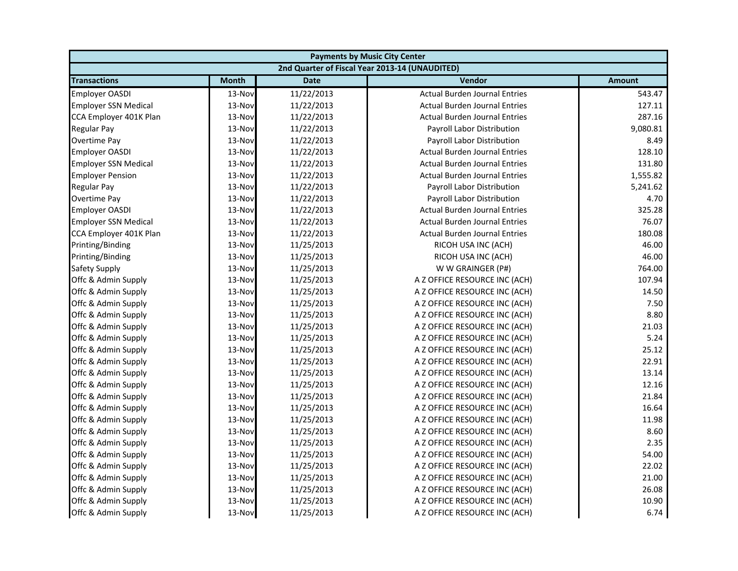| <b>Payments by Music City Center</b> |              |             |                                                |               |
|--------------------------------------|--------------|-------------|------------------------------------------------|---------------|
|                                      |              |             | 2nd Quarter of Fiscal Year 2013-14 (UNAUDITED) |               |
| <b>Transactions</b>                  | <b>Month</b> | <b>Date</b> | Vendor                                         | <b>Amount</b> |
| <b>Employer OASDI</b>                | 13-Nov       | 11/22/2013  | <b>Actual Burden Journal Entries</b>           | 543.47        |
| <b>Employer SSN Medical</b>          | 13-Nov       | 11/22/2013  | <b>Actual Burden Journal Entries</b>           | 127.11        |
| CCA Employer 401K Plan               | 13-Nov       | 11/22/2013  | <b>Actual Burden Journal Entries</b>           | 287.16        |
| <b>Regular Pay</b>                   | 13-Nov       | 11/22/2013  | Payroll Labor Distribution                     | 9,080.81      |
| Overtime Pay                         | 13-Nov       | 11/22/2013  | Payroll Labor Distribution                     | 8.49          |
| <b>Employer OASDI</b>                | 13-Nov       | 11/22/2013  | <b>Actual Burden Journal Entries</b>           | 128.10        |
| <b>Employer SSN Medical</b>          | 13-Nov       | 11/22/2013  | <b>Actual Burden Journal Entries</b>           | 131.80        |
| <b>Employer Pension</b>              | 13-Nov       | 11/22/2013  | <b>Actual Burden Journal Entries</b>           | 1,555.82      |
| <b>Regular Pay</b>                   | 13-Nov       | 11/22/2013  | Payroll Labor Distribution                     | 5,241.62      |
| <b>Overtime Pay</b>                  | 13-Nov       | 11/22/2013  | Payroll Labor Distribution                     | 4.70          |
| <b>Employer OASDI</b>                | 13-Nov       | 11/22/2013  | <b>Actual Burden Journal Entries</b>           | 325.28        |
| <b>Employer SSN Medical</b>          | 13-Nov       | 11/22/2013  | <b>Actual Burden Journal Entries</b>           | 76.07         |
| CCA Employer 401K Plan               | 13-Nov       | 11/22/2013  | <b>Actual Burden Journal Entries</b>           | 180.08        |
| Printing/Binding                     | 13-Nov       | 11/25/2013  | RICOH USA INC (ACH)                            | 46.00         |
| Printing/Binding                     | 13-Nov       | 11/25/2013  | RICOH USA INC (ACH)                            | 46.00         |
| <b>Safety Supply</b>                 | 13-Nov       | 11/25/2013  | W W GRAINGER (P#)                              | 764.00        |
| Offc & Admin Supply                  | 13-Nov       | 11/25/2013  | A Z OFFICE RESOURCE INC (ACH)                  | 107.94        |
| Offc & Admin Supply                  | 13-Nov       | 11/25/2013  | A Z OFFICE RESOURCE INC (ACH)                  | 14.50         |
| Offc & Admin Supply                  | 13-Nov       | 11/25/2013  | A Z OFFICE RESOURCE INC (ACH)                  | 7.50          |
| Offc & Admin Supply                  | 13-Nov       | 11/25/2013  | A Z OFFICE RESOURCE INC (ACH)                  | 8.80          |
| Offc & Admin Supply                  | 13-Nov       | 11/25/2013  | A Z OFFICE RESOURCE INC (ACH)                  | 21.03         |
| Offc & Admin Supply                  | 13-Nov       | 11/25/2013  | A Z OFFICE RESOURCE INC (ACH)                  | 5.24          |
| Offc & Admin Supply                  | 13-Nov       | 11/25/2013  | A Z OFFICE RESOURCE INC (ACH)                  | 25.12         |
| Offc & Admin Supply                  | 13-Nov       | 11/25/2013  | A Z OFFICE RESOURCE INC (ACH)                  | 22.91         |
| Offc & Admin Supply                  | 13-Nov       | 11/25/2013  | A Z OFFICE RESOURCE INC (ACH)                  | 13.14         |
| Offc & Admin Supply                  | 13-Nov       | 11/25/2013  | A Z OFFICE RESOURCE INC (ACH)                  | 12.16         |
| Offc & Admin Supply                  | 13-Nov       | 11/25/2013  | A Z OFFICE RESOURCE INC (ACH)                  | 21.84         |
| Offc & Admin Supply                  | 13-Nov       | 11/25/2013  | A Z OFFICE RESOURCE INC (ACH)                  | 16.64         |
| Offc & Admin Supply                  | 13-Nov       | 11/25/2013  | A Z OFFICE RESOURCE INC (ACH)                  | 11.98         |
| Offc & Admin Supply                  | 13-Nov       | 11/25/2013  | A Z OFFICE RESOURCE INC (ACH)                  | 8.60          |
| Offc & Admin Supply                  | 13-Nov       | 11/25/2013  | A Z OFFICE RESOURCE INC (ACH)                  | 2.35          |
| Offc & Admin Supply                  | 13-Nov       | 11/25/2013  | A Z OFFICE RESOURCE INC (ACH)                  | 54.00         |
| Offc & Admin Supply                  | 13-Nov       | 11/25/2013  | A Z OFFICE RESOURCE INC (ACH)                  | 22.02         |
| Offc & Admin Supply                  | 13-Nov       | 11/25/2013  | A Z OFFICE RESOURCE INC (ACH)                  | 21.00         |
| Offc & Admin Supply                  | 13-Nov       | 11/25/2013  | A Z OFFICE RESOURCE INC (ACH)                  | 26.08         |
| Offc & Admin Supply                  | 13-Nov       | 11/25/2013  | A Z OFFICE RESOURCE INC (ACH)                  | 10.90         |
| Offc & Admin Supply                  | 13-Nov       | 11/25/2013  | A Z OFFICE RESOURCE INC (ACH)                  | 6.74          |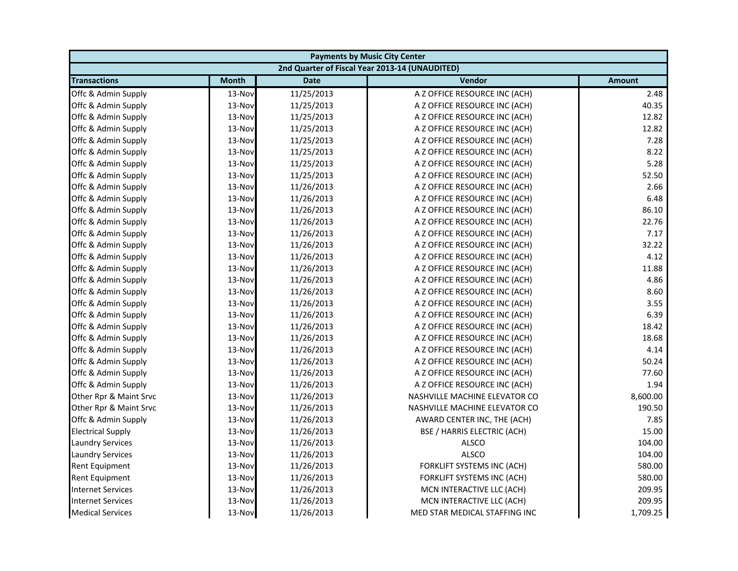| <b>Payments by Music City Center</b> |              |             |                                                |               |
|--------------------------------------|--------------|-------------|------------------------------------------------|---------------|
|                                      |              |             | 2nd Quarter of Fiscal Year 2013-14 (UNAUDITED) |               |
| <b>Transactions</b>                  | <b>Month</b> | <b>Date</b> | Vendor                                         | <b>Amount</b> |
| Offc & Admin Supply                  | 13-Nov       | 11/25/2013  | A Z OFFICE RESOURCE INC (ACH)                  | 2.48          |
| Offc & Admin Supply                  | 13-Nov       | 11/25/2013  | A Z OFFICE RESOURCE INC (ACH)                  | 40.35         |
| Offc & Admin Supply                  | 13-Nov       | 11/25/2013  | A Z OFFICE RESOURCE INC (ACH)                  | 12.82         |
| Offc & Admin Supply                  | 13-Nov       | 11/25/2013  | A Z OFFICE RESOURCE INC (ACH)                  | 12.82         |
| Offc & Admin Supply                  | 13-Nov       | 11/25/2013  | A Z OFFICE RESOURCE INC (ACH)                  | 7.28          |
| Offc & Admin Supply                  | 13-Nov       | 11/25/2013  | A Z OFFICE RESOURCE INC (ACH)                  | 8.22          |
| Offc & Admin Supply                  | 13-Nov       | 11/25/2013  | A Z OFFICE RESOURCE INC (ACH)                  | 5.28          |
| Offc & Admin Supply                  | 13-Nov       | 11/25/2013  | A Z OFFICE RESOURCE INC (ACH)                  | 52.50         |
| Offc & Admin Supply                  | 13-Nov       | 11/26/2013  | A Z OFFICE RESOURCE INC (ACH)                  | 2.66          |
| Offc & Admin Supply                  | 13-Nov       | 11/26/2013  | A Z OFFICE RESOURCE INC (ACH)                  | 6.48          |
| Offc & Admin Supply                  | 13-Nov       | 11/26/2013  | A Z OFFICE RESOURCE INC (ACH)                  | 86.10         |
| Offc & Admin Supply                  | 13-Nov       | 11/26/2013  | A Z OFFICE RESOURCE INC (ACH)                  | 22.76         |
| Offc & Admin Supply                  | 13-Nov       | 11/26/2013  | A Z OFFICE RESOURCE INC (ACH)                  | 7.17          |
| Offc & Admin Supply                  | 13-Nov       | 11/26/2013  | A Z OFFICE RESOURCE INC (ACH)                  | 32.22         |
| Offc & Admin Supply                  | 13-Nov       | 11/26/2013  | A Z OFFICE RESOURCE INC (ACH)                  | 4.12          |
| Offc & Admin Supply                  | 13-Nov       | 11/26/2013  | A Z OFFICE RESOURCE INC (ACH)                  | 11.88         |
| Offc & Admin Supply                  | 13-Nov       | 11/26/2013  | A Z OFFICE RESOURCE INC (ACH)                  | 4.86          |
| Offc & Admin Supply                  | 13-Nov       | 11/26/2013  | A Z OFFICE RESOURCE INC (ACH)                  | 8.60          |
| Offc & Admin Supply                  | 13-Nov       | 11/26/2013  | A Z OFFICE RESOURCE INC (ACH)                  | 3.55          |
| Offc & Admin Supply                  | 13-Nov       | 11/26/2013  | A Z OFFICE RESOURCE INC (ACH)                  | 6.39          |
| Offc & Admin Supply                  | 13-Nov       | 11/26/2013  | A Z OFFICE RESOURCE INC (ACH)                  | 18.42         |
| Offc & Admin Supply                  | 13-Nov       | 11/26/2013  | A Z OFFICE RESOURCE INC (ACH)                  | 18.68         |
| Offc & Admin Supply                  | 13-Nov       | 11/26/2013  | A Z OFFICE RESOURCE INC (ACH)                  | 4.14          |
| Offc & Admin Supply                  | 13-Nov       | 11/26/2013  | A Z OFFICE RESOURCE INC (ACH)                  | 50.24         |
| Offc & Admin Supply                  | 13-Nov       | 11/26/2013  | A Z OFFICE RESOURCE INC (ACH)                  | 77.60         |
| Offc & Admin Supply                  | 13-Nov       | 11/26/2013  | A Z OFFICE RESOURCE INC (ACH)                  | 1.94          |
| Other Rpr & Maint Srvc               | 13-Nov       | 11/26/2013  | NASHVILLE MACHINE ELEVATOR CO                  | 8,600.00      |
| Other Rpr & Maint Srvc               | 13-Nov       | 11/26/2013  | NASHVILLE MACHINE ELEVATOR CO                  | 190.50        |
| Offc & Admin Supply                  | 13-Nov       | 11/26/2013  | AWARD CENTER INC, THE (ACH)                    | 7.85          |
| <b>Electrical Supply</b>             | 13-Nov       | 11/26/2013  | BSE / HARRIS ELECTRIC (ACH)                    | 15.00         |
| <b>Laundry Services</b>              | 13-Nov       | 11/26/2013  | <b>ALSCO</b>                                   | 104.00        |
| <b>Laundry Services</b>              | 13-Nov       | 11/26/2013  | <b>ALSCO</b>                                   | 104.00        |
| <b>Rent Equipment</b>                | 13-Nov       | 11/26/2013  | FORKLIFT SYSTEMS INC (ACH)                     | 580.00        |
| <b>Rent Equipment</b>                | 13-Nov       | 11/26/2013  | FORKLIFT SYSTEMS INC (ACH)                     | 580.00        |
| <b>Internet Services</b>             | 13-Nov       | 11/26/2013  | MCN INTERACTIVE LLC (ACH)                      | 209.95        |
| <b>Internet Services</b>             | 13-Nov       | 11/26/2013  | MCN INTERACTIVE LLC (ACH)                      | 209.95        |
| <b>Medical Services</b>              | 13-Nov       | 11/26/2013  | MED STAR MEDICAL STAFFING INC                  | 1,709.25      |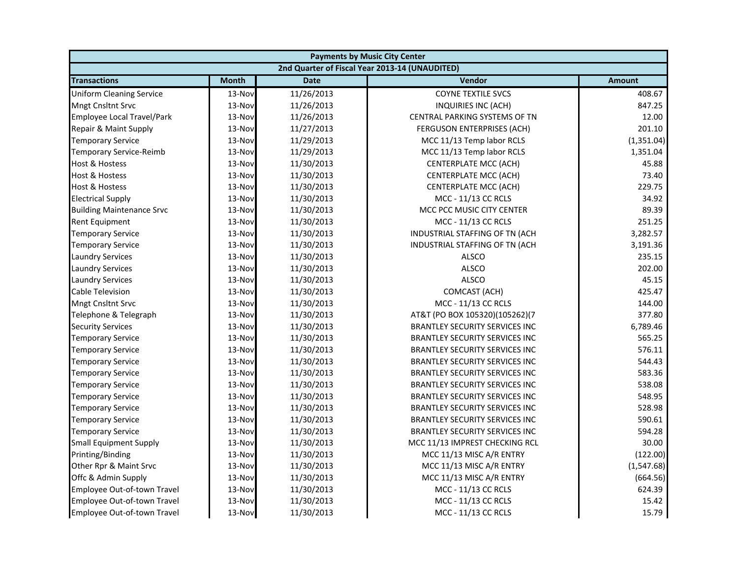| <b>Payments by Music City Center</b> |              |             |                                                |               |
|--------------------------------------|--------------|-------------|------------------------------------------------|---------------|
|                                      |              |             | 2nd Quarter of Fiscal Year 2013-14 (UNAUDITED) |               |
| <b>Transactions</b>                  | <b>Month</b> | <b>Date</b> | Vendor                                         | <b>Amount</b> |
| <b>Uniform Cleaning Service</b>      | 13-Nov       | 11/26/2013  | <b>COYNE TEXTILE SVCS</b>                      | 408.67        |
| Mngt Cnsltnt Srvc                    | 13-Nov       | 11/26/2013  | <b>INQUIRIES INC (ACH)</b>                     | 847.25        |
| Employee Local Travel/Park           | 13-Nov       | 11/26/2013  | CENTRAL PARKING SYSTEMS OF TN                  | 12.00         |
| Repair & Maint Supply                | 13-Nov       | 11/27/2013  | FERGUSON ENTERPRISES (ACH)                     | 201.10        |
| <b>Temporary Service</b>             | 13-Nov       | 11/29/2013  | MCC 11/13 Temp labor RCLS                      | (1,351.04)    |
| <b>Temporary Service-Reimb</b>       | 13-Nov       | 11/29/2013  | MCC 11/13 Temp labor RCLS                      | 1,351.04      |
| Host & Hostess                       | 13-Nov       | 11/30/2013  | CENTERPLATE MCC (ACH)                          | 45.88         |
| <b>Host &amp; Hostess</b>            | 13-Nov       | 11/30/2013  | CENTERPLATE MCC (ACH)                          | 73.40         |
| Host & Hostess                       | 13-Nov       | 11/30/2013  | CENTERPLATE MCC (ACH)                          | 229.75        |
| <b>Electrical Supply</b>             | 13-Nov       | 11/30/2013  | MCC - 11/13 CC RCLS                            | 34.92         |
| <b>Building Maintenance Srvc</b>     | 13-Nov       | 11/30/2013  | MCC PCC MUSIC CITY CENTER                      | 89.39         |
| <b>Rent Equipment</b>                | 13-Nov       | 11/30/2013  | MCC - 11/13 CC RCLS                            | 251.25        |
| <b>Temporary Service</b>             | 13-Nov       | 11/30/2013  | INDUSTRIAL STAFFING OF TN (ACH                 | 3,282.57      |
| <b>Temporary Service</b>             | 13-Nov       | 11/30/2013  | INDUSTRIAL STAFFING OF TN (ACH                 | 3,191.36      |
| <b>Laundry Services</b>              | 13-Nov       | 11/30/2013  | <b>ALSCO</b>                                   | 235.15        |
| <b>Laundry Services</b>              | 13-Nov       | 11/30/2013  | <b>ALSCO</b>                                   | 202.00        |
| Laundry Services                     | 13-Nov       | 11/30/2013  | <b>ALSCO</b>                                   | 45.15         |
| Cable Television                     | 13-Nov       | 11/30/2013  | COMCAST (ACH)                                  | 425.47        |
| <b>Mngt Cnsltnt Srvc</b>             | 13-Nov       | 11/30/2013  | MCC - 11/13 CC RCLS                            | 144.00        |
| Telephone & Telegraph                | 13-Nov       | 11/30/2013  | AT&T (PO BOX 105320)(105262)(7                 | 377.80        |
| <b>Security Services</b>             | 13-Nov       | 11/30/2013  | <b>BRANTLEY SECURITY SERVICES INC</b>          | 6,789.46      |
| <b>Temporary Service</b>             | 13-Nov       | 11/30/2013  | <b>BRANTLEY SECURITY SERVICES INC</b>          | 565.25        |
| <b>Temporary Service</b>             | 13-Nov       | 11/30/2013  | <b>BRANTLEY SECURITY SERVICES INC</b>          | 576.11        |
| <b>Temporary Service</b>             | 13-Nov       | 11/30/2013  | BRANTLEY SECURITY SERVICES INC                 | 544.43        |
| Temporary Service                    | 13-Nov       | 11/30/2013  | <b>BRANTLEY SECURITY SERVICES INC</b>          | 583.36        |
| Temporary Service                    | 13-Nov       | 11/30/2013  | <b>BRANTLEY SECURITY SERVICES INC</b>          | 538.08        |
| <b>Temporary Service</b>             | 13-Nov       | 11/30/2013  | BRANTLEY SECURITY SERVICES INC                 | 548.95        |
| <b>Temporary Service</b>             | 13-Nov       | 11/30/2013  | <b>BRANTLEY SECURITY SERVICES INC</b>          | 528.98        |
| <b>Temporary Service</b>             | 13-Nov       | 11/30/2013  | <b>BRANTLEY SECURITY SERVICES INC</b>          | 590.61        |
| <b>Temporary Service</b>             | 13-Nov       | 11/30/2013  | <b>BRANTLEY SECURITY SERVICES INC</b>          | 594.28        |
| <b>Small Equipment Supply</b>        | 13-Nov       | 11/30/2013  | MCC 11/13 IMPREST CHECKING RCL                 | 30.00         |
| Printing/Binding                     | 13-Nov       | 11/30/2013  | MCC 11/13 MISC A/R ENTRY                       | (122.00)      |
| Other Rpr & Maint Srvc               | 13-Nov       | 11/30/2013  | MCC 11/13 MISC A/R ENTRY                       | (1,547.68)    |
| Offc & Admin Supply                  | 13-Nov       | 11/30/2013  | MCC 11/13 MISC A/R ENTRY                       | (664.56)      |
| Employee Out-of-town Travel          | 13-Nov       | 11/30/2013  | MCC - 11/13 CC RCLS                            | 624.39        |
| Employee Out-of-town Travel          | 13-Nov       | 11/30/2013  | MCC - 11/13 CC RCLS                            | 15.42         |
| Employee Out-of-town Travel          | 13-Nov       | 11/30/2013  | MCC - 11/13 CC RCLS                            | 15.79         |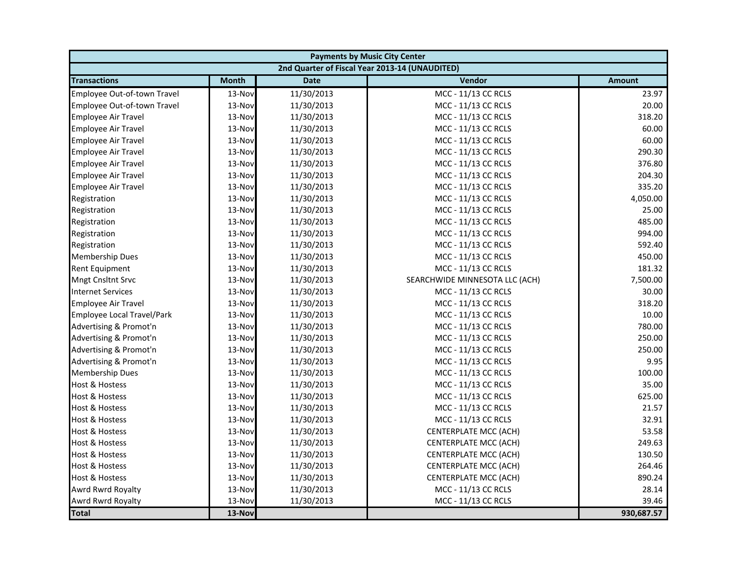| <b>Payments by Music City Center</b> |              |             |                                                |               |
|--------------------------------------|--------------|-------------|------------------------------------------------|---------------|
|                                      |              |             | 2nd Quarter of Fiscal Year 2013-14 (UNAUDITED) |               |
| <b>Transactions</b>                  | <b>Month</b> | <b>Date</b> | Vendor                                         | <b>Amount</b> |
| Employee Out-of-town Travel          | 13-Nov       | 11/30/2013  | MCC - 11/13 CC RCLS                            | 23.97         |
| Employee Out-of-town Travel          | 13-Nov       | 11/30/2013  | MCC - 11/13 CC RCLS                            | 20.00         |
| <b>Employee Air Travel</b>           | 13-Nov       | 11/30/2013  | MCC - 11/13 CC RCLS                            | 318.20        |
| <b>Employee Air Travel</b>           | 13-Nov       | 11/30/2013  | MCC - 11/13 CC RCLS                            | 60.00         |
| <b>Employee Air Travel</b>           | 13-Nov       | 11/30/2013  | MCC - 11/13 CC RCLS                            | 60.00         |
| <b>Employee Air Travel</b>           | 13-Nov       | 11/30/2013  | MCC - 11/13 CC RCLS                            | 290.30        |
| Employee Air Travel                  | 13-Nov       | 11/30/2013  | MCC - 11/13 CC RCLS                            | 376.80        |
| Employee Air Travel                  | 13-Nov       | 11/30/2013  | MCC - 11/13 CC RCLS                            | 204.30        |
| <b>Employee Air Travel</b>           | 13-Nov       | 11/30/2013  | MCC - 11/13 CC RCLS                            | 335.20        |
| Registration                         | 13-Nov       | 11/30/2013  | MCC - 11/13 CC RCLS                            | 4,050.00      |
| Registration                         | 13-Nov       | 11/30/2013  | MCC - 11/13 CC RCLS                            | 25.00         |
| Registration                         | 13-Nov       | 11/30/2013  | MCC - 11/13 CC RCLS                            | 485.00        |
| Registration                         | 13-Nov       | 11/30/2013  | MCC - 11/13 CC RCLS                            | 994.00        |
| Registration                         | 13-Nov       | 11/30/2013  | MCC - 11/13 CC RCLS                            | 592.40        |
| <b>Membership Dues</b>               | 13-Nov       | 11/30/2013  | MCC - 11/13 CC RCLS                            | 450.00        |
| <b>Rent Equipment</b>                | 13-Nov       | 11/30/2013  | MCC - 11/13 CC RCLS                            | 181.32        |
| Mngt Cnsltnt Srvc                    | 13-Nov       | 11/30/2013  | SEARCHWIDE MINNESOTA LLC (ACH)                 | 7,500.00      |
| <b>Internet Services</b>             | 13-Nov       | 11/30/2013  | MCC - 11/13 CC RCLS                            | 30.00         |
| <b>Employee Air Travel</b>           | 13-Nov       | 11/30/2013  | MCC - 11/13 CC RCLS                            | 318.20        |
| Employee Local Travel/Park           | 13-Nov       | 11/30/2013  | MCC - 11/13 CC RCLS                            | 10.00         |
| Advertising & Promot'n               | 13-Nov       | 11/30/2013  | MCC - 11/13 CC RCLS                            | 780.00        |
| Advertising & Promot'n               | 13-Nov       | 11/30/2013  | MCC - 11/13 CC RCLS                            | 250.00        |
| Advertising & Promot'n               | 13-Nov       | 11/30/2013  | MCC - 11/13 CC RCLS                            | 250.00        |
| Advertising & Promot'n               | 13-Nov       | 11/30/2013  | MCC - 11/13 CC RCLS                            | 9.95          |
| <b>Membership Dues</b>               | 13-Nov       | 11/30/2013  | MCC - 11/13 CC RCLS                            | 100.00        |
| <b>Host &amp; Hostess</b>            | 13-Nov       | 11/30/2013  | MCC - 11/13 CC RCLS                            | 35.00         |
| <b>Host &amp; Hostess</b>            | 13-Nov       | 11/30/2013  | MCC - 11/13 CC RCLS                            | 625.00        |
| <b>Host &amp; Hostess</b>            | 13-Nov       | 11/30/2013  | MCC - 11/13 CC RCLS                            | 21.57         |
| <b>Host &amp; Hostess</b>            | 13-Nov       | 11/30/2013  | MCC - 11/13 CC RCLS                            | 32.91         |
| <b>Host &amp; Hostess</b>            | 13-Nov       | 11/30/2013  | CENTERPLATE MCC (ACH)                          | 53.58         |
| <b>Host &amp; Hostess</b>            | 13-Nov       | 11/30/2013  | CENTERPLATE MCC (ACH)                          | 249.63        |
| <b>Host &amp; Hostess</b>            | 13-Nov       | 11/30/2013  | CENTERPLATE MCC (ACH)                          | 130.50        |
| <b>Host &amp; Hostess</b>            | 13-Nov       | 11/30/2013  | CENTERPLATE MCC (ACH)                          | 264.46        |
| <b>Host &amp; Hostess</b>            | 13-Nov       | 11/30/2013  | CENTERPLATE MCC (ACH)                          | 890.24        |
| Awrd Rwrd Royalty                    | 13-Nov       | 11/30/2013  | MCC - 11/13 CC RCLS                            | 28.14         |
| Awrd Rwrd Royalty                    | 13-Nov       | 11/30/2013  | MCC - 11/13 CC RCLS                            | 39.46         |
| <b>Total</b>                         | 13-Nov       |             |                                                | 930,687.57    |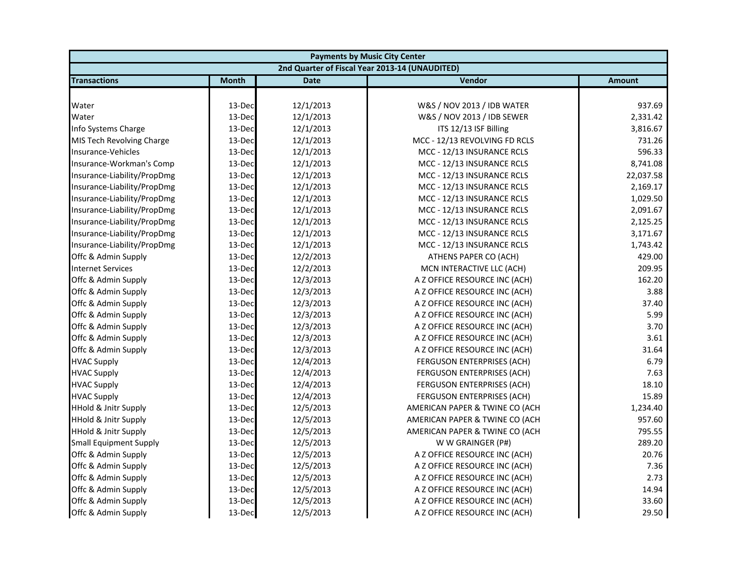| <b>Payments by Music City Center</b> |              |             |                                                |               |
|--------------------------------------|--------------|-------------|------------------------------------------------|---------------|
|                                      |              |             | 2nd Quarter of Fiscal Year 2013-14 (UNAUDITED) |               |
| <b>Transactions</b>                  | <b>Month</b> | <b>Date</b> | Vendor                                         | <b>Amount</b> |
|                                      |              |             |                                                |               |
| Water                                | 13-Dec       | 12/1/2013   | W&S / NOV 2013 / IDB WATER                     | 937.69        |
| Water                                | 13-Dec       | 12/1/2013   | W&S / NOV 2013 / IDB SEWER                     | 2,331.42      |
| Info Systems Charge                  | 13-Dec       | 12/1/2013   | ITS 12/13 ISF Billing                          | 3,816.67      |
| MIS Tech Revolving Charge            | 13-Dec       | 12/1/2013   | MCC - 12/13 REVOLVING FD RCLS                  | 731.26        |
| Insurance-Vehicles                   | 13-Dec       | 12/1/2013   | MCC - 12/13 INSURANCE RCLS                     | 596.33        |
| Insurance-Workman's Comp             | 13-Dec       | 12/1/2013   | MCC - 12/13 INSURANCE RCLS                     | 8,741.08      |
| Insurance-Liability/PropDmg          | 13-Dec       | 12/1/2013   | MCC - 12/13 INSURANCE RCLS                     | 22,037.58     |
| Insurance-Liability/PropDmg          | 13-Dec       | 12/1/2013   | MCC - 12/13 INSURANCE RCLS                     | 2,169.17      |
| Insurance-Liability/PropDmg          | 13-Dec       | 12/1/2013   | MCC - 12/13 INSURANCE RCLS                     | 1,029.50      |
| Insurance-Liability/PropDmg          | 13-Dec       | 12/1/2013   | MCC - 12/13 INSURANCE RCLS                     | 2,091.67      |
| Insurance-Liability/PropDmg          | 13-Dec       | 12/1/2013   | MCC - 12/13 INSURANCE RCLS                     | 2,125.25      |
| Insurance-Liability/PropDmg          | 13-Dec       | 12/1/2013   | MCC - 12/13 INSURANCE RCLS                     | 3,171.67      |
| Insurance-Liability/PropDmg          | 13-Dec       | 12/1/2013   | MCC - 12/13 INSURANCE RCLS                     | 1,743.42      |
| Offc & Admin Supply                  | 13-Dec       | 12/2/2013   | ATHENS PAPER CO (ACH)                          | 429.00        |
| <b>Internet Services</b>             | 13-Dec       | 12/2/2013   | MCN INTERACTIVE LLC (ACH)                      | 209.95        |
| Offc & Admin Supply                  | 13-Dec       | 12/3/2013   | A Z OFFICE RESOURCE INC (ACH)                  | 162.20        |
| Offc & Admin Supply                  | 13-Dec       | 12/3/2013   | A Z OFFICE RESOURCE INC (ACH)                  | 3.88          |
| Offc & Admin Supply                  | 13-Dec       | 12/3/2013   | A Z OFFICE RESOURCE INC (ACH)                  | 37.40         |
| Offc & Admin Supply                  | 13-Dec       | 12/3/2013   | A Z OFFICE RESOURCE INC (ACH)                  | 5.99          |
| Offc & Admin Supply                  | 13-Dec       | 12/3/2013   | A Z OFFICE RESOURCE INC (ACH)                  | 3.70          |
| Offc & Admin Supply                  | 13-Dec       | 12/3/2013   | A Z OFFICE RESOURCE INC (ACH)                  | 3.61          |
| Offc & Admin Supply                  | 13-Dec       | 12/3/2013   | A Z OFFICE RESOURCE INC (ACH)                  | 31.64         |
| <b>HVAC Supply</b>                   | 13-Dec       | 12/4/2013   | FERGUSON ENTERPRISES (ACH)                     | 6.79          |
| <b>HVAC Supply</b>                   | 13-Dec       | 12/4/2013   | FERGUSON ENTERPRISES (ACH)                     | 7.63          |
| <b>HVAC Supply</b>                   | 13-Dec       | 12/4/2013   | <b>FERGUSON ENTERPRISES (ACH)</b>              | 18.10         |
| <b>HVAC Supply</b>                   | 13-Dec       | 12/4/2013   | <b>FERGUSON ENTERPRISES (ACH)</b>              | 15.89         |
| <b>HHold &amp; Jnitr Supply</b>      | 13-Dec       | 12/5/2013   | AMERICAN PAPER & TWINE CO (ACH                 | 1,234.40      |
| <b>HHold &amp; Jnitr Supply</b>      | 13-Dec       | 12/5/2013   | AMERICAN PAPER & TWINE CO (ACH                 | 957.60        |
| <b>HHold &amp; Jnitr Supply</b>      | 13-Dec       | 12/5/2013   | AMERICAN PAPER & TWINE CO (ACH                 | 795.55        |
| <b>Small Equipment Supply</b>        | 13-Dec       | 12/5/2013   | W W GRAINGER (P#)                              | 289.20        |
| Offc & Admin Supply                  | 13-Dec       | 12/5/2013   | A Z OFFICE RESOURCE INC (ACH)                  | 20.76         |
| Offc & Admin Supply                  | 13-Dec       | 12/5/2013   | A Z OFFICE RESOURCE INC (ACH)                  | 7.36          |
| Offc & Admin Supply                  | 13-Dec       | 12/5/2013   | A Z OFFICE RESOURCE INC (ACH)                  | 2.73          |
| Offc & Admin Supply                  | 13-Dec       | 12/5/2013   | A Z OFFICE RESOURCE INC (ACH)                  | 14.94         |
| Offc & Admin Supply                  | 13-Dec       | 12/5/2013   | A Z OFFICE RESOURCE INC (ACH)                  | 33.60         |
| Offc & Admin Supply                  | 13-Dec       | 12/5/2013   | A Z OFFICE RESOURCE INC (ACH)                  | 29.50         |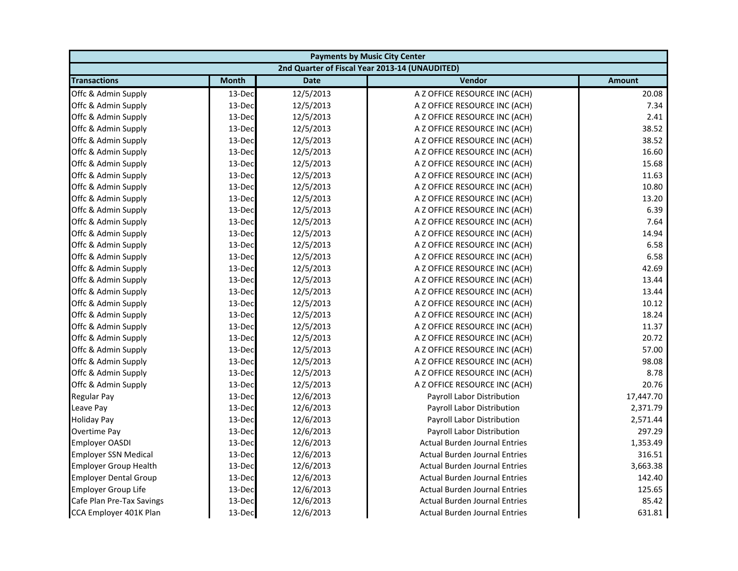| <b>Payments by Music City Center</b> |              |             |                                                |           |
|--------------------------------------|--------------|-------------|------------------------------------------------|-----------|
|                                      |              |             | 2nd Quarter of Fiscal Year 2013-14 (UNAUDITED) |           |
| <b>Transactions</b>                  | <b>Month</b> | <b>Date</b> | Vendor                                         | Amount    |
| Offc & Admin Supply                  | 13-Dec       | 12/5/2013   | A Z OFFICE RESOURCE INC (ACH)                  | 20.08     |
| Offc & Admin Supply                  | 13-Dec       | 12/5/2013   | A Z OFFICE RESOURCE INC (ACH)                  | 7.34      |
| Offc & Admin Supply                  | 13-Dec       | 12/5/2013   | A Z OFFICE RESOURCE INC (ACH)                  | 2.41      |
| Offc & Admin Supply                  | 13-Dec       | 12/5/2013   | A Z OFFICE RESOURCE INC (ACH)                  | 38.52     |
| Offc & Admin Supply                  | 13-Dec       | 12/5/2013   | A Z OFFICE RESOURCE INC (ACH)                  | 38.52     |
| Offc & Admin Supply                  | 13-Dec       | 12/5/2013   | A Z OFFICE RESOURCE INC (ACH)                  | 16.60     |
| Offc & Admin Supply                  | 13-Dec       | 12/5/2013   | A Z OFFICE RESOURCE INC (ACH)                  | 15.68     |
| Offc & Admin Supply                  | 13-Dec       | 12/5/2013   | A Z OFFICE RESOURCE INC (ACH)                  | 11.63     |
| Offc & Admin Supply                  | 13-Dec       | 12/5/2013   | A Z OFFICE RESOURCE INC (ACH)                  | 10.80     |
| Offc & Admin Supply                  | 13-Dec       | 12/5/2013   | A Z OFFICE RESOURCE INC (ACH)                  | 13.20     |
| Offc & Admin Supply                  | 13-Dec       | 12/5/2013   | A Z OFFICE RESOURCE INC (ACH)                  | 6.39      |
| Offc & Admin Supply                  | 13-Dec       | 12/5/2013   | A Z OFFICE RESOURCE INC (ACH)                  | 7.64      |
| Offc & Admin Supply                  | 13-Dec       | 12/5/2013   | A Z OFFICE RESOURCE INC (ACH)                  | 14.94     |
| Offc & Admin Supply                  | 13-Dec       | 12/5/2013   | A Z OFFICE RESOURCE INC (ACH)                  | 6.58      |
| Offc & Admin Supply                  | 13-Dec       | 12/5/2013   | A Z OFFICE RESOURCE INC (ACH)                  | 6.58      |
| Offc & Admin Supply                  | 13-Dec       | 12/5/2013   | A Z OFFICE RESOURCE INC (ACH)                  | 42.69     |
| Offc & Admin Supply                  | 13-Dec       | 12/5/2013   | A Z OFFICE RESOURCE INC (ACH)                  | 13.44     |
| Offc & Admin Supply                  | 13-Dec       | 12/5/2013   | A Z OFFICE RESOURCE INC (ACH)                  | 13.44     |
| Offc & Admin Supply                  | 13-Dec       | 12/5/2013   | A Z OFFICE RESOURCE INC (ACH)                  | 10.12     |
| Offc & Admin Supply                  | 13-Dec       | 12/5/2013   | A Z OFFICE RESOURCE INC (ACH)                  | 18.24     |
| Offc & Admin Supply                  | 13-Dec       | 12/5/2013   | A Z OFFICE RESOURCE INC (ACH)                  | 11.37     |
| Offc & Admin Supply                  | 13-Dec       | 12/5/2013   | A Z OFFICE RESOURCE INC (ACH)                  | 20.72     |
| Offc & Admin Supply                  | 13-Dec       | 12/5/2013   | A Z OFFICE RESOURCE INC (ACH)                  | 57.00     |
| Offc & Admin Supply                  | 13-Dec       | 12/5/2013   | A Z OFFICE RESOURCE INC (ACH)                  | 98.08     |
| Offc & Admin Supply                  | 13-Dec       | 12/5/2013   | A Z OFFICE RESOURCE INC (ACH)                  | 8.78      |
| Offc & Admin Supply                  | 13-Dec       | 12/5/2013   | A Z OFFICE RESOURCE INC (ACH)                  | 20.76     |
| <b>Regular Pay</b>                   | 13-Dec       | 12/6/2013   | Payroll Labor Distribution                     | 17,447.70 |
| Leave Pay                            | 13-Dec       | 12/6/2013   | Payroll Labor Distribution                     | 2,371.79  |
| <b>Holiday Pay</b>                   | 13-Dec       | 12/6/2013   | Payroll Labor Distribution                     | 2,571.44  |
| <b>Overtime Pay</b>                  | 13-Dec       | 12/6/2013   | <b>Payroll Labor Distribution</b>              | 297.29    |
| <b>Employer OASDI</b>                | 13-Dec       | 12/6/2013   | <b>Actual Burden Journal Entries</b>           | 1,353.49  |
| <b>Employer SSN Medical</b>          | 13-Dec       | 12/6/2013   | <b>Actual Burden Journal Entries</b>           | 316.51    |
| <b>Employer Group Health</b>         | 13-Dec       | 12/6/2013   | <b>Actual Burden Journal Entries</b>           | 3,663.38  |
| <b>Employer Dental Group</b>         | 13-Dec       | 12/6/2013   | <b>Actual Burden Journal Entries</b>           | 142.40    |
| <b>Employer Group Life</b>           | 13-Dec       | 12/6/2013   | <b>Actual Burden Journal Entries</b>           | 125.65    |
| Cafe Plan Pre-Tax Savings            | 13-Dec       | 12/6/2013   | <b>Actual Burden Journal Entries</b>           | 85.42     |
| CCA Employer 401K Plan               | 13-Dec       | 12/6/2013   | <b>Actual Burden Journal Entries</b>           | 631.81    |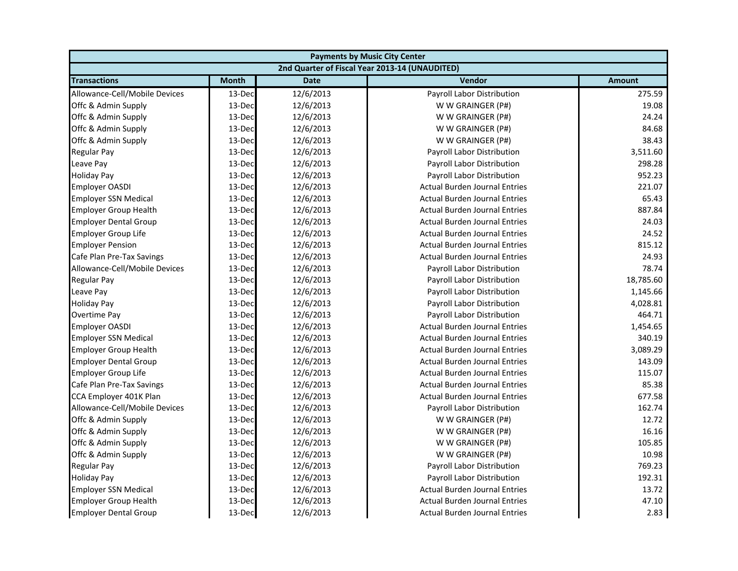| <b>Payments by Music City Center</b> |              |             |                                                |               |
|--------------------------------------|--------------|-------------|------------------------------------------------|---------------|
|                                      |              |             | 2nd Quarter of Fiscal Year 2013-14 (UNAUDITED) |               |
| <b>Transactions</b>                  | <b>Month</b> | <b>Date</b> | Vendor                                         | <b>Amount</b> |
| Allowance-Cell/Mobile Devices        | 13-Dec       | 12/6/2013   | Payroll Labor Distribution                     | 275.59        |
| Offc & Admin Supply                  | 13-Dec       | 12/6/2013   | W W GRAINGER (P#)                              | 19.08         |
| Offc & Admin Supply                  | 13-Dec       | 12/6/2013   | W W GRAINGER (P#)                              | 24.24         |
| Offc & Admin Supply                  | 13-Dec       | 12/6/2013   | W W GRAINGER (P#)                              | 84.68         |
| Offc & Admin Supply                  | 13-Dec       | 12/6/2013   | W W GRAINGER (P#)                              | 38.43         |
| <b>Regular Pay</b>                   | 13-Dec       | 12/6/2013   | Payroll Labor Distribution                     | 3,511.60      |
| Leave Pay                            | 13-Dec       | 12/6/2013   | Payroll Labor Distribution                     | 298.28        |
| <b>Holiday Pay</b>                   | 13-Dec       | 12/6/2013   | Payroll Labor Distribution                     | 952.23        |
| <b>Employer OASDI</b>                | 13-Dec       | 12/6/2013   | <b>Actual Burden Journal Entries</b>           | 221.07        |
| <b>Employer SSN Medical</b>          | 13-Dec       | 12/6/2013   | <b>Actual Burden Journal Entries</b>           | 65.43         |
| <b>Employer Group Health</b>         | 13-Dec       | 12/6/2013   | <b>Actual Burden Journal Entries</b>           | 887.84        |
| <b>Employer Dental Group</b>         | 13-Dec       | 12/6/2013   | <b>Actual Burden Journal Entries</b>           | 24.03         |
| <b>Employer Group Life</b>           | 13-Dec       | 12/6/2013   | <b>Actual Burden Journal Entries</b>           | 24.52         |
| <b>Employer Pension</b>              | 13-Dec       | 12/6/2013   | <b>Actual Burden Journal Entries</b>           | 815.12        |
| Cafe Plan Pre-Tax Savings            | 13-Dec       | 12/6/2013   | <b>Actual Burden Journal Entries</b>           | 24.93         |
| Allowance-Cell/Mobile Devices        | 13-Dec       | 12/6/2013   | Payroll Labor Distribution                     | 78.74         |
| <b>Regular Pay</b>                   | 13-Dec       | 12/6/2013   | Payroll Labor Distribution                     | 18,785.60     |
| Leave Pay                            | 13-Dec       | 12/6/2013   | Payroll Labor Distribution                     | 1,145.66      |
| <b>Holiday Pay</b>                   | 13-Dec       | 12/6/2013   | Payroll Labor Distribution                     | 4,028.81      |
| Overtime Pay                         | 13-Dec       | 12/6/2013   | Payroll Labor Distribution                     | 464.71        |
| <b>Employer OASDI</b>                | 13-Dec       | 12/6/2013   | <b>Actual Burden Journal Entries</b>           | 1,454.65      |
| <b>Employer SSN Medical</b>          | 13-Dec       | 12/6/2013   | <b>Actual Burden Journal Entries</b>           | 340.19        |
| <b>Employer Group Health</b>         | 13-Dec       | 12/6/2013   | <b>Actual Burden Journal Entries</b>           | 3,089.29      |
| <b>Employer Dental Group</b>         | 13-Dec       | 12/6/2013   | <b>Actual Burden Journal Entries</b>           | 143.09        |
| <b>Employer Group Life</b>           | 13-Dec       | 12/6/2013   | <b>Actual Burden Journal Entries</b>           | 115.07        |
| Cafe Plan Pre-Tax Savings            | 13-Dec       | 12/6/2013   | <b>Actual Burden Journal Entries</b>           | 85.38         |
| CCA Employer 401K Plan               | 13-Dec       | 12/6/2013   | <b>Actual Burden Journal Entries</b>           | 677.58        |
| Allowance-Cell/Mobile Devices        | 13-Dec       | 12/6/2013   | Payroll Labor Distribution                     | 162.74        |
| Offc & Admin Supply                  | 13-Dec       | 12/6/2013   | W W GRAINGER (P#)                              | 12.72         |
| Offc & Admin Supply                  | 13-Dec       | 12/6/2013   | W W GRAINGER (P#)                              | 16.16         |
| Offc & Admin Supply                  | 13-Dec       | 12/6/2013   | W W GRAINGER (P#)                              | 105.85        |
| Offc & Admin Supply                  | 13-Dec       | 12/6/2013   | W W GRAINGER (P#)                              | 10.98         |
| <b>Regular Pay</b>                   | 13-Dec       | 12/6/2013   | <b>Payroll Labor Distribution</b>              | 769.23        |
| <b>Holiday Pay</b>                   | 13-Dec       | 12/6/2013   | Payroll Labor Distribution                     | 192.31        |
| <b>Employer SSN Medical</b>          | 13-Dec       | 12/6/2013   | <b>Actual Burden Journal Entries</b>           | 13.72         |
| <b>Employer Group Health</b>         | 13-Dec       | 12/6/2013   | <b>Actual Burden Journal Entries</b>           | 47.10         |
| <b>Employer Dental Group</b>         | 13-Dec       | 12/6/2013   | <b>Actual Burden Journal Entries</b>           | 2.83          |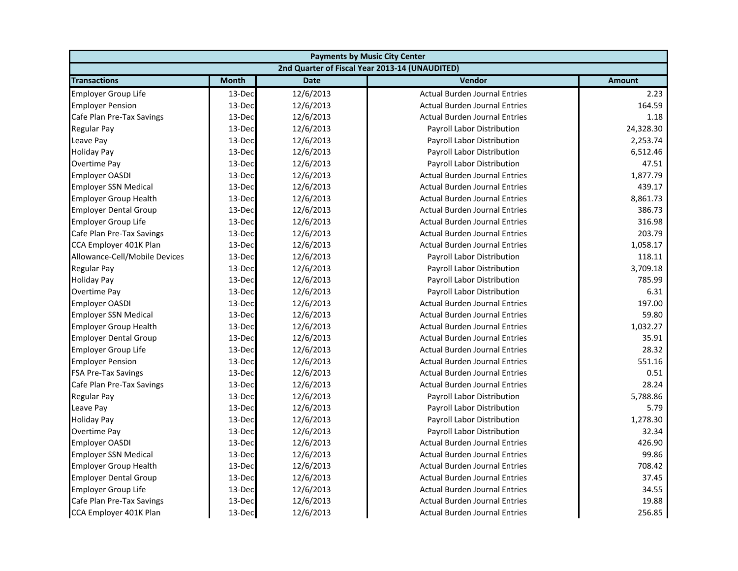| <b>Payments by Music City Center</b> |              |             |                                                |               |
|--------------------------------------|--------------|-------------|------------------------------------------------|---------------|
|                                      |              |             | 2nd Quarter of Fiscal Year 2013-14 (UNAUDITED) |               |
| <b>Transactions</b>                  | <b>Month</b> | <b>Date</b> | Vendor                                         | <b>Amount</b> |
| <b>Employer Group Life</b>           | 13-Dec       | 12/6/2013   | <b>Actual Burden Journal Entries</b>           | 2.23          |
| <b>Employer Pension</b>              | 13-Dec       | 12/6/2013   | <b>Actual Burden Journal Entries</b>           | 164.59        |
| Cafe Plan Pre-Tax Savings            | 13-Dec       | 12/6/2013   | <b>Actual Burden Journal Entries</b>           | 1.18          |
| <b>Regular Pay</b>                   | 13-Dec       | 12/6/2013   | Payroll Labor Distribution                     | 24,328.30     |
| Leave Pay                            | 13-Dec       | 12/6/2013   | Payroll Labor Distribution                     | 2,253.74      |
| <b>Holiday Pay</b>                   | 13-Dec       | 12/6/2013   | Payroll Labor Distribution                     | 6,512.46      |
| Overtime Pay                         | 13-Dec       | 12/6/2013   | Payroll Labor Distribution                     | 47.51         |
| <b>Employer OASDI</b>                | 13-Dec       | 12/6/2013   | <b>Actual Burden Journal Entries</b>           | 1,877.79      |
| <b>Employer SSN Medical</b>          | 13-Dec       | 12/6/2013   | <b>Actual Burden Journal Entries</b>           | 439.17        |
| <b>Employer Group Health</b>         | 13-Dec       | 12/6/2013   | <b>Actual Burden Journal Entries</b>           | 8,861.73      |
| <b>Employer Dental Group</b>         | 13-Dec       | 12/6/2013   | <b>Actual Burden Journal Entries</b>           | 386.73        |
| <b>Employer Group Life</b>           | 13-Dec       | 12/6/2013   | <b>Actual Burden Journal Entries</b>           | 316.98        |
| Cafe Plan Pre-Tax Savings            | 13-Dec       | 12/6/2013   | <b>Actual Burden Journal Entries</b>           | 203.79        |
| CCA Employer 401K Plan               | 13-Dec       | 12/6/2013   | <b>Actual Burden Journal Entries</b>           | 1,058.17      |
| Allowance-Cell/Mobile Devices        | 13-Dec       | 12/6/2013   | <b>Payroll Labor Distribution</b>              | 118.11        |
| <b>Regular Pay</b>                   | 13-Dec       | 12/6/2013   | Payroll Labor Distribution                     | 3,709.18      |
| <b>Holiday Pay</b>                   | 13-Dec       | 12/6/2013   | Payroll Labor Distribution                     | 785.99        |
| Overtime Pay                         | 13-Dec       | 12/6/2013   | Payroll Labor Distribution                     | 6.31          |
| <b>Employer OASDI</b>                | 13-Dec       | 12/6/2013   | <b>Actual Burden Journal Entries</b>           | 197.00        |
| <b>Employer SSN Medical</b>          | 13-Dec       | 12/6/2013   | <b>Actual Burden Journal Entries</b>           | 59.80         |
| <b>Employer Group Health</b>         | 13-Dec       | 12/6/2013   | <b>Actual Burden Journal Entries</b>           | 1,032.27      |
| <b>Employer Dental Group</b>         | 13-Dec       | 12/6/2013   | <b>Actual Burden Journal Entries</b>           | 35.91         |
| <b>Employer Group Life</b>           | 13-Dec       | 12/6/2013   | <b>Actual Burden Journal Entries</b>           | 28.32         |
| <b>Employer Pension</b>              | 13-Dec       | 12/6/2013   | <b>Actual Burden Journal Entries</b>           | 551.16        |
| <b>FSA Pre-Tax Savings</b>           | 13-Dec       | 12/6/2013   | <b>Actual Burden Journal Entries</b>           | 0.51          |
| Cafe Plan Pre-Tax Savings            | 13-Dec       | 12/6/2013   | <b>Actual Burden Journal Entries</b>           | 28.24         |
| <b>Regular Pay</b>                   | 13-Dec       | 12/6/2013   | Payroll Labor Distribution                     | 5,788.86      |
| Leave Pay                            | 13-Dec       | 12/6/2013   | Payroll Labor Distribution                     | 5.79          |
| <b>Holiday Pay</b>                   | 13-Dec       | 12/6/2013   | Payroll Labor Distribution                     | 1,278.30      |
| Overtime Pay                         | 13-Dec       | 12/6/2013   | Payroll Labor Distribution                     | 32.34         |
| <b>Employer OASDI</b>                | 13-Dec       | 12/6/2013   | <b>Actual Burden Journal Entries</b>           | 426.90        |
| <b>Employer SSN Medical</b>          | 13-Dec       | 12/6/2013   | <b>Actual Burden Journal Entries</b>           | 99.86         |
| <b>Employer Group Health</b>         | 13-Dec       | 12/6/2013   | <b>Actual Burden Journal Entries</b>           | 708.42        |
| <b>Employer Dental Group</b>         | 13-Dec       | 12/6/2013   | <b>Actual Burden Journal Entries</b>           | 37.45         |
| <b>Employer Group Life</b>           | 13-Dec       | 12/6/2013   | <b>Actual Burden Journal Entries</b>           | 34.55         |
| Cafe Plan Pre-Tax Savings            | 13-Dec       | 12/6/2013   | <b>Actual Burden Journal Entries</b>           | 19.88         |
| CCA Employer 401K Plan               | 13-Dec       | 12/6/2013   | <b>Actual Burden Journal Entries</b>           | 256.85        |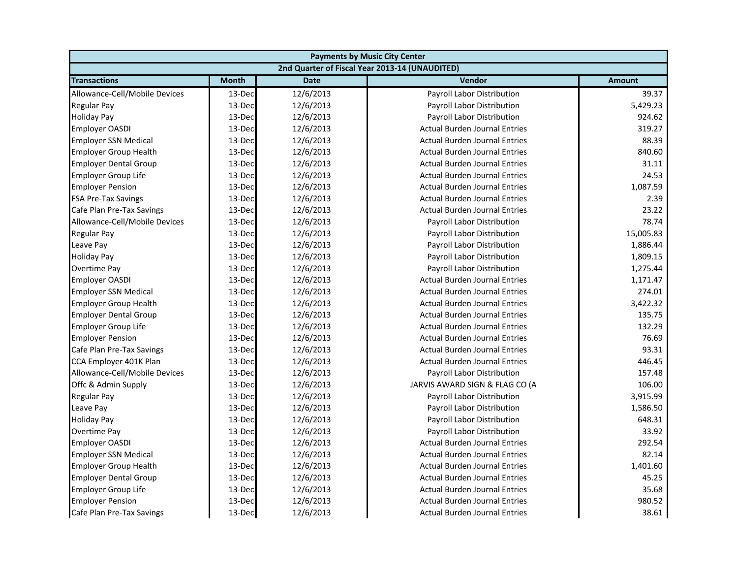| <b>Payments by Music City Center</b> |              |             |                                                |               |
|--------------------------------------|--------------|-------------|------------------------------------------------|---------------|
|                                      |              |             | 2nd Quarter of Fiscal Year 2013-14 (UNAUDITED) |               |
| <b>Transactions</b>                  | <b>Month</b> | <b>Date</b> | Vendor                                         | <b>Amount</b> |
| Allowance-Cell/Mobile Devices        | 13-Dec       | 12/6/2013   | Payroll Labor Distribution                     | 39.37         |
| Regular Pay                          | 13-Dec       | 12/6/2013   | Payroll Labor Distribution                     | 5,429.23      |
| <b>Holiday Pay</b>                   | 13-Dec       | 12/6/2013   | Payroll Labor Distribution                     | 924.62        |
| <b>Employer OASDI</b>                | 13-Dec       | 12/6/2013   | <b>Actual Burden Journal Entries</b>           | 319.27        |
| <b>Employer SSN Medical</b>          | 13-Dec       | 12/6/2013   | <b>Actual Burden Journal Entries</b>           | 88.39         |
| <b>Employer Group Health</b>         | 13-Dec       | 12/6/2013   | <b>Actual Burden Journal Entries</b>           | 840.60        |
| <b>Employer Dental Group</b>         | 13-Dec       | 12/6/2013   | <b>Actual Burden Journal Entries</b>           | 31.11         |
| <b>Employer Group Life</b>           | 13-Dec       | 12/6/2013   | <b>Actual Burden Journal Entries</b>           | 24.53         |
| <b>Employer Pension</b>              | 13-Dec       | 12/6/2013   | <b>Actual Burden Journal Entries</b>           | 1,087.59      |
| <b>FSA Pre-Tax Savings</b>           | 13-Dec       | 12/6/2013   | <b>Actual Burden Journal Entries</b>           | 2.39          |
| Cafe Plan Pre-Tax Savings            | 13-Dec       | 12/6/2013   | <b>Actual Burden Journal Entries</b>           | 23.22         |
| Allowance-Cell/Mobile Devices        | 13-Dec       | 12/6/2013   | Payroll Labor Distribution                     | 78.74         |
| Regular Pay                          | 13-Dec       | 12/6/2013   | Payroll Labor Distribution                     | 15,005.83     |
| Leave Pay                            | 13-Dec       | 12/6/2013   | Payroll Labor Distribution                     | 1,886.44      |
| <b>Holiday Pay</b>                   | 13-Dec       | 12/6/2013   | Payroll Labor Distribution                     | 1,809.15      |
| Overtime Pay                         | 13-Dec       | 12/6/2013   | Payroll Labor Distribution                     | 1,275.44      |
| Employer OASDI                       | 13-Dec       | 12/6/2013   | <b>Actual Burden Journal Entries</b>           | 1,171.47      |
| <b>Employer SSN Medical</b>          | 13-Dec       | 12/6/2013   | <b>Actual Burden Journal Entries</b>           | 274.01        |
| <b>Employer Group Health</b>         | 13-Dec       | 12/6/2013   | <b>Actual Burden Journal Entries</b>           | 3,422.32      |
| <b>Employer Dental Group</b>         | 13-Dec       | 12/6/2013   | <b>Actual Burden Journal Entries</b>           | 135.75        |
| <b>Employer Group Life</b>           | 13-Dec       | 12/6/2013   | <b>Actual Burden Journal Entries</b>           | 132.29        |
| <b>Employer Pension</b>              | 13-Dec       | 12/6/2013   | <b>Actual Burden Journal Entries</b>           | 76.69         |
| Cafe Plan Pre-Tax Savings            | 13-Dec       | 12/6/2013   | <b>Actual Burden Journal Entries</b>           | 93.31         |
| CCA Employer 401K Plan               | 13-Dec       | 12/6/2013   | <b>Actual Burden Journal Entries</b>           | 446.45        |
| Allowance-Cell/Mobile Devices        | 13-Dec       | 12/6/2013   | Payroll Labor Distribution                     | 157.48        |
| Offc & Admin Supply                  | 13-Dec       | 12/6/2013   | JARVIS AWARD SIGN & FLAG CO (A                 | 106.00        |
| Regular Pay                          | 13-Dec       | 12/6/2013   | Payroll Labor Distribution                     | 3,915.99      |
| Leave Pay                            | 13-Dec       | 12/6/2013   | Payroll Labor Distribution                     | 1,586.50      |
| <b>Holiday Pay</b>                   | 13-Dec       | 12/6/2013   | Payroll Labor Distribution                     | 648.31        |
| Overtime Pay                         | 13-Dec       | 12/6/2013   | Payroll Labor Distribution                     | 33.92         |
| <b>Employer OASDI</b>                | 13-Dec       | 12/6/2013   | <b>Actual Burden Journal Entries</b>           | 292.54        |
| <b>Employer SSN Medical</b>          | 13-Dec       | 12/6/2013   | <b>Actual Burden Journal Entries</b>           | 82.14         |
| <b>Employer Group Health</b>         | 13-Dec       | 12/6/2013   | <b>Actual Burden Journal Entries</b>           | 1,401.60      |
| <b>Employer Dental Group</b>         | 13-Dec       | 12/6/2013   | <b>Actual Burden Journal Entries</b>           | 45.25         |
| <b>Employer Group Life</b>           | 13-Dec       | 12/6/2013   | <b>Actual Burden Journal Entries</b>           | 35.68         |
| <b>Employer Pension</b>              | 13-Dec       | 12/6/2013   | <b>Actual Burden Journal Entries</b>           | 980.52        |
| Cafe Plan Pre-Tax Savings            | 13-Dec       | 12/6/2013   | <b>Actual Burden Journal Entries</b>           | 38.61         |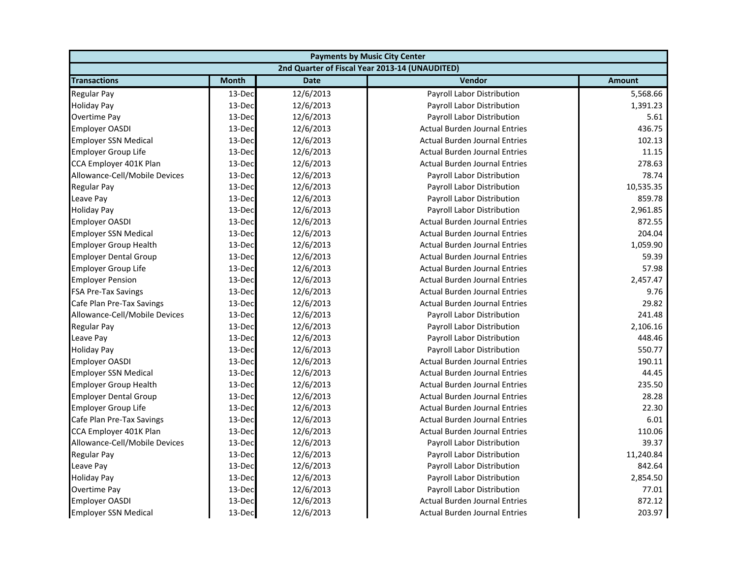| <b>Payments by Music City Center</b> |              |             |                                                |               |
|--------------------------------------|--------------|-------------|------------------------------------------------|---------------|
|                                      |              |             | 2nd Quarter of Fiscal Year 2013-14 (UNAUDITED) |               |
| <b>Transactions</b>                  | <b>Month</b> | <b>Date</b> | Vendor                                         | <b>Amount</b> |
| <b>Regular Pay</b>                   | 13-Dec       | 12/6/2013   | Payroll Labor Distribution                     | 5,568.66      |
| <b>Holiday Pay</b>                   | 13-Dec       | 12/6/2013   | Payroll Labor Distribution                     | 1,391.23      |
| Overtime Pay                         | 13-Dec       | 12/6/2013   | Payroll Labor Distribution                     | 5.61          |
| <b>Employer OASDI</b>                | 13-Dec       | 12/6/2013   | <b>Actual Burden Journal Entries</b>           | 436.75        |
| <b>Employer SSN Medical</b>          | 13-Dec       | 12/6/2013   | <b>Actual Burden Journal Entries</b>           | 102.13        |
| <b>Employer Group Life</b>           | 13-Dec       | 12/6/2013   | <b>Actual Burden Journal Entries</b>           | 11.15         |
| CCA Employer 401K Plan               | 13-Dec       | 12/6/2013   | <b>Actual Burden Journal Entries</b>           | 278.63        |
| Allowance-Cell/Mobile Devices        | 13-Dec       | 12/6/2013   | Payroll Labor Distribution                     | 78.74         |
| <b>Regular Pay</b>                   | 13-Dec       | 12/6/2013   | Payroll Labor Distribution                     | 10,535.35     |
| Leave Pay                            | 13-Dec       | 12/6/2013   | Payroll Labor Distribution                     | 859.78        |
| <b>Holiday Pay</b>                   | 13-Dec       | 12/6/2013   | Payroll Labor Distribution                     | 2,961.85      |
| <b>Employer OASDI</b>                | 13-Dec       | 12/6/2013   | <b>Actual Burden Journal Entries</b>           | 872.55        |
| <b>Employer SSN Medical</b>          | 13-Dec       | 12/6/2013   | <b>Actual Burden Journal Entries</b>           | 204.04        |
| <b>Employer Group Health</b>         | 13-Dec       | 12/6/2013   | <b>Actual Burden Journal Entries</b>           | 1,059.90      |
| <b>Employer Dental Group</b>         | 13-Dec       | 12/6/2013   | <b>Actual Burden Journal Entries</b>           | 59.39         |
| <b>Employer Group Life</b>           | 13-Dec       | 12/6/2013   | <b>Actual Burden Journal Entries</b>           | 57.98         |
| <b>Employer Pension</b>              | 13-Dec       | 12/6/2013   | <b>Actual Burden Journal Entries</b>           | 2,457.47      |
| <b>FSA Pre-Tax Savings</b>           | 13-Dec       | 12/6/2013   | <b>Actual Burden Journal Entries</b>           | 9.76          |
| Cafe Plan Pre-Tax Savings            | 13-Dec       | 12/6/2013   | <b>Actual Burden Journal Entries</b>           | 29.82         |
| Allowance-Cell/Mobile Devices        | 13-Dec       | 12/6/2013   | Payroll Labor Distribution                     | 241.48        |
| <b>Regular Pay</b>                   | 13-Dec       | 12/6/2013   | Payroll Labor Distribution                     | 2,106.16      |
| Leave Pay                            | 13-Dec       | 12/6/2013   | <b>Payroll Labor Distribution</b>              | 448.46        |
| <b>Holiday Pay</b>                   | 13-Dec       | 12/6/2013   | Payroll Labor Distribution                     | 550.77        |
| <b>Employer OASDI</b>                | 13-Dec       | 12/6/2013   | <b>Actual Burden Journal Entries</b>           | 190.11        |
| <b>Employer SSN Medical</b>          | 13-Dec       | 12/6/2013   | <b>Actual Burden Journal Entries</b>           | 44.45         |
| <b>Employer Group Health</b>         | 13-Dec       | 12/6/2013   | <b>Actual Burden Journal Entries</b>           | 235.50        |
| <b>Employer Dental Group</b>         | 13-Dec       | 12/6/2013   | <b>Actual Burden Journal Entries</b>           | 28.28         |
| <b>Employer Group Life</b>           | 13-Dec       | 12/6/2013   | <b>Actual Burden Journal Entries</b>           | 22.30         |
| Cafe Plan Pre-Tax Savings            | 13-Dec       | 12/6/2013   | <b>Actual Burden Journal Entries</b>           | 6.01          |
| CCA Employer 401K Plan               | 13-Dec       | 12/6/2013   | <b>Actual Burden Journal Entries</b>           | 110.06        |
| Allowance-Cell/Mobile Devices        | 13-Dec       | 12/6/2013   | Payroll Labor Distribution                     | 39.37         |
| <b>Regular Pay</b>                   | 13-Dec       | 12/6/2013   | Payroll Labor Distribution                     | 11,240.84     |
| Leave Pay                            | 13-Dec       | 12/6/2013   | <b>Payroll Labor Distribution</b>              | 842.64        |
| <b>Holiday Pay</b>                   | 13-Dec       | 12/6/2013   | Payroll Labor Distribution                     | 2,854.50      |
| <b>Overtime Pay</b>                  | 13-Dec       | 12/6/2013   | Payroll Labor Distribution                     | 77.01         |
| <b>Employer OASDI</b>                | 13-Dec       | 12/6/2013   | <b>Actual Burden Journal Entries</b>           | 872.12        |
| <b>Employer SSN Medical</b>          | 13-Dec       | 12/6/2013   | <b>Actual Burden Journal Entries</b>           | 203.97        |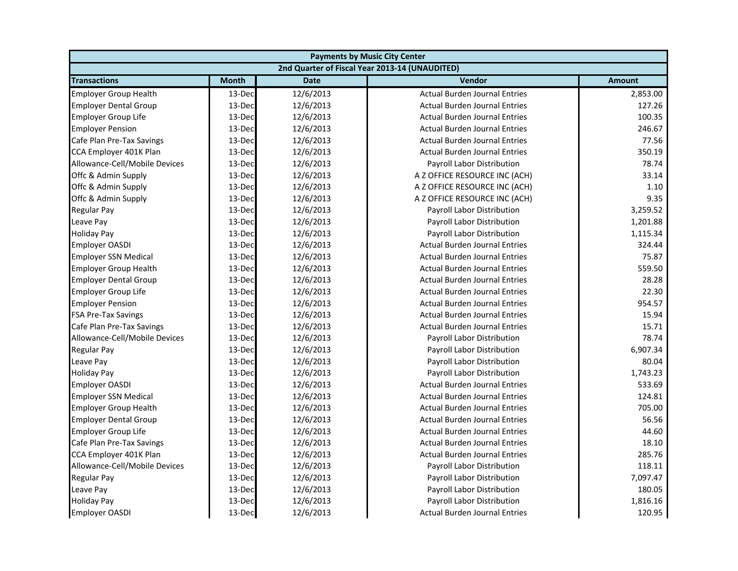| <b>Payments by Music City Center</b> |              |             |                                                |               |
|--------------------------------------|--------------|-------------|------------------------------------------------|---------------|
|                                      |              |             | 2nd Quarter of Fiscal Year 2013-14 (UNAUDITED) |               |
| <b>Transactions</b>                  | <b>Month</b> | <b>Date</b> | Vendor                                         | <b>Amount</b> |
| <b>Employer Group Health</b>         | 13-Dec       | 12/6/2013   | <b>Actual Burden Journal Entries</b>           | 2,853.00      |
| <b>Employer Dental Group</b>         | 13-Dec       | 12/6/2013   | <b>Actual Burden Journal Entries</b>           | 127.26        |
| Employer Group Life                  | 13-Dec       | 12/6/2013   | <b>Actual Burden Journal Entries</b>           | 100.35        |
| <b>Employer Pension</b>              | 13-Dec       | 12/6/2013   | <b>Actual Burden Journal Entries</b>           | 246.67        |
| Cafe Plan Pre-Tax Savings            | 13-Dec       | 12/6/2013   | <b>Actual Burden Journal Entries</b>           | 77.56         |
| CCA Employer 401K Plan               | 13-Dec       | 12/6/2013   | <b>Actual Burden Journal Entries</b>           | 350.19        |
| Allowance-Cell/Mobile Devices        | 13-Dec       | 12/6/2013   | Payroll Labor Distribution                     | 78.74         |
| Offc & Admin Supply                  | 13-Dec       | 12/6/2013   | A Z OFFICE RESOURCE INC (ACH)                  | 33.14         |
| Offc & Admin Supply                  | 13-Dec       | 12/6/2013   | A Z OFFICE RESOURCE INC (ACH)                  | 1.10          |
| Offc & Admin Supply                  | 13-Dec       | 12/6/2013   | A Z OFFICE RESOURCE INC (ACH)                  | 9.35          |
| Regular Pay                          | 13-Dec       | 12/6/2013   | Payroll Labor Distribution                     | 3,259.52      |
| Leave Pay                            | 13-Dec       | 12/6/2013   | Payroll Labor Distribution                     | 1,201.88      |
| <b>Holiday Pay</b>                   | 13-Dec       | 12/6/2013   | Payroll Labor Distribution                     | 1,115.34      |
| <b>Employer OASDI</b>                | 13-Dec       | 12/6/2013   | <b>Actual Burden Journal Entries</b>           | 324.44        |
| <b>Employer SSN Medical</b>          | 13-Dec       | 12/6/2013   | <b>Actual Burden Journal Entries</b>           | 75.87         |
| <b>Employer Group Health</b>         | 13-Dec       | 12/6/2013   | <b>Actual Burden Journal Entries</b>           | 559.50        |
| <b>Employer Dental Group</b>         | 13-Dec       | 12/6/2013   | <b>Actual Burden Journal Entries</b>           | 28.28         |
| <b>Employer Group Life</b>           | 13-Dec       | 12/6/2013   | <b>Actual Burden Journal Entries</b>           | 22.30         |
| <b>Employer Pension</b>              | 13-Dec       | 12/6/2013   | <b>Actual Burden Journal Entries</b>           | 954.57        |
| FSA Pre-Tax Savings                  | 13-Dec       | 12/6/2013   | <b>Actual Burden Journal Entries</b>           | 15.94         |
| Cafe Plan Pre-Tax Savings            | 13-Dec       | 12/6/2013   | <b>Actual Burden Journal Entries</b>           | 15.71         |
| Allowance-Cell/Mobile Devices        | 13-Dec       | 12/6/2013   | Payroll Labor Distribution                     | 78.74         |
| <b>Regular Pay</b>                   | 13-Dec       | 12/6/2013   | Payroll Labor Distribution                     | 6,907.34      |
| Leave Pay                            | 13-Dec       | 12/6/2013   | Payroll Labor Distribution                     | 80.04         |
| <b>Holiday Pay</b>                   | 13-Dec       | 12/6/2013   | Payroll Labor Distribution                     | 1,743.23      |
| <b>Employer OASDI</b>                | 13-Dec       | 12/6/2013   | <b>Actual Burden Journal Entries</b>           | 533.69        |
| <b>Employer SSN Medical</b>          | 13-Dec       | 12/6/2013   | <b>Actual Burden Journal Entries</b>           | 124.81        |
| <b>Employer Group Health</b>         | 13-Dec       | 12/6/2013   | <b>Actual Burden Journal Entries</b>           | 705.00        |
| <b>Employer Dental Group</b>         | 13-Dec       | 12/6/2013   | <b>Actual Burden Journal Entries</b>           | 56.56         |
| <b>Employer Group Life</b>           | 13-Dec       | 12/6/2013   | <b>Actual Burden Journal Entries</b>           | 44.60         |
| Cafe Plan Pre-Tax Savings            | 13-Dec       | 12/6/2013   | <b>Actual Burden Journal Entries</b>           | 18.10         |
| CCA Employer 401K Plan               | 13-Dec       | 12/6/2013   | <b>Actual Burden Journal Entries</b>           | 285.76        |
| Allowance-Cell/Mobile Devices        | 13-Dec       | 12/6/2013   | Payroll Labor Distribution                     | 118.11        |
| Regular Pay                          | 13-Dec       | 12/6/2013   | Payroll Labor Distribution                     | 7,097.47      |
| Leave Pay                            | 13-Dec       | 12/6/2013   | Payroll Labor Distribution                     | 180.05        |
| <b>Holiday Pay</b>                   | 13-Dec       | 12/6/2013   | Payroll Labor Distribution                     | 1,816.16      |
| <b>Employer OASDI</b>                | 13-Dec       | 12/6/2013   | <b>Actual Burden Journal Entries</b>           | 120.95        |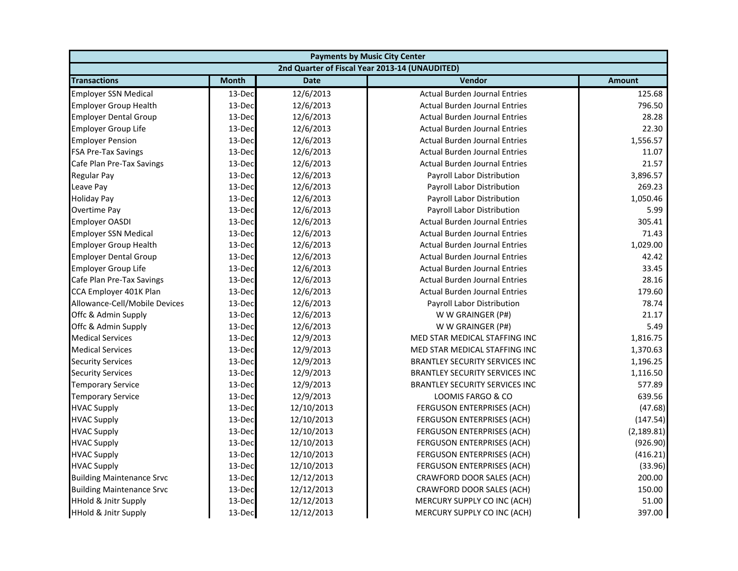| <b>Payments by Music City Center</b> |              |             |                                                |               |
|--------------------------------------|--------------|-------------|------------------------------------------------|---------------|
|                                      |              |             | 2nd Quarter of Fiscal Year 2013-14 (UNAUDITED) |               |
| <b>Transactions</b>                  | <b>Month</b> | <b>Date</b> | Vendor                                         | <b>Amount</b> |
| <b>Employer SSN Medical</b>          | 13-Dec       | 12/6/2013   | <b>Actual Burden Journal Entries</b>           | 125.68        |
| <b>Employer Group Health</b>         | 13-Dec       | 12/6/2013   | <b>Actual Burden Journal Entries</b>           | 796.50        |
| <b>Employer Dental Group</b>         | 13-Dec       | 12/6/2013   | <b>Actual Burden Journal Entries</b>           | 28.28         |
| Employer Group Life                  | 13-Dec       | 12/6/2013   | <b>Actual Burden Journal Entries</b>           | 22.30         |
| <b>Employer Pension</b>              | 13-Dec       | 12/6/2013   | <b>Actual Burden Journal Entries</b>           | 1,556.57      |
| <b>FSA Pre-Tax Savings</b>           | 13-Dec       | 12/6/2013   | <b>Actual Burden Journal Entries</b>           | 11.07         |
| Cafe Plan Pre-Tax Savings            | 13-Dec       | 12/6/2013   | <b>Actual Burden Journal Entries</b>           | 21.57         |
| <b>Regular Pay</b>                   | 13-Dec       | 12/6/2013   | Payroll Labor Distribution                     | 3,896.57      |
| Leave Pay                            | 13-Dec       | 12/6/2013   | Payroll Labor Distribution                     | 269.23        |
| <b>Holiday Pay</b>                   | 13-Dec       | 12/6/2013   | Payroll Labor Distribution                     | 1,050.46      |
| <b>Overtime Pay</b>                  | 13-Dec       | 12/6/2013   | Payroll Labor Distribution                     | 5.99          |
| <b>Employer OASDI</b>                | 13-Dec       | 12/6/2013   | <b>Actual Burden Journal Entries</b>           | 305.41        |
| <b>Employer SSN Medical</b>          | 13-Dec       | 12/6/2013   | <b>Actual Burden Journal Entries</b>           | 71.43         |
| <b>Employer Group Health</b>         | 13-Dec       | 12/6/2013   | <b>Actual Burden Journal Entries</b>           | 1,029.00      |
| <b>Employer Dental Group</b>         | 13-Dec       | 12/6/2013   | <b>Actual Burden Journal Entries</b>           | 42.42         |
| Employer Group Life                  | 13-Dec       | 12/6/2013   | <b>Actual Burden Journal Entries</b>           | 33.45         |
| Cafe Plan Pre-Tax Savings            | 13-Dec       | 12/6/2013   | <b>Actual Burden Journal Entries</b>           | 28.16         |
| CCA Employer 401K Plan               | 13-Dec       | 12/6/2013   | <b>Actual Burden Journal Entries</b>           | 179.60        |
| Allowance-Cell/Mobile Devices        | 13-Dec       | 12/6/2013   | Payroll Labor Distribution                     | 78.74         |
| Offc & Admin Supply                  | 13-Dec       | 12/6/2013   | W W GRAINGER (P#)                              | 21.17         |
| Offc & Admin Supply                  | 13-Dec       | 12/6/2013   | W W GRAINGER (P#)                              | 5.49          |
| <b>Medical Services</b>              | 13-Dec       | 12/9/2013   | MED STAR MEDICAL STAFFING INC                  | 1,816.75      |
| <b>Medical Services</b>              | 13-Dec       | 12/9/2013   | MED STAR MEDICAL STAFFING INC                  | 1,370.63      |
| <b>Security Services</b>             | 13-Dec       | 12/9/2013   | BRANTLEY SECURITY SERVICES INC                 | 1,196.25      |
| <b>Security Services</b>             | 13-Dec       | 12/9/2013   | <b>BRANTLEY SECURITY SERVICES INC</b>          | 1,116.50      |
| <b>Temporary Service</b>             | 13-Dec       | 12/9/2013   | <b>BRANTLEY SECURITY SERVICES INC</b>          | 577.89        |
| <b>Temporary Service</b>             | 13-Dec       | 12/9/2013   | LOOMIS FARGO & CO                              | 639.56        |
| <b>HVAC Supply</b>                   | 13-Dec       | 12/10/2013  | FERGUSON ENTERPRISES (ACH)                     | (47.68)       |
| <b>HVAC Supply</b>                   | 13-Dec       | 12/10/2013  | <b>FERGUSON ENTERPRISES (ACH)</b>              | (147.54)      |
| <b>HVAC Supply</b>                   | 13-Dec       | 12/10/2013  | FERGUSON ENTERPRISES (ACH)                     | (2, 189.81)   |
| <b>HVAC Supply</b>                   | 13-Dec       | 12/10/2013  | <b>FERGUSON ENTERPRISES (ACH)</b>              | (926.90)      |
| <b>HVAC Supply</b>                   | 13-Dec       | 12/10/2013  | FERGUSON ENTERPRISES (ACH)                     | (416.21)      |
| <b>HVAC Supply</b>                   | 13-Dec       | 12/10/2013  | <b>FERGUSON ENTERPRISES (ACH)</b>              | (33.96)       |
| <b>Building Maintenance Srvc</b>     | 13-Dec       | 12/12/2013  | CRAWFORD DOOR SALES (ACH)                      | 200.00        |
| <b>Building Maintenance Srvc</b>     | 13-Dec       | 12/12/2013  | CRAWFORD DOOR SALES (ACH)                      | 150.00        |
| <b>HHold &amp; Jnitr Supply</b>      | 13-Dec       | 12/12/2013  | MERCURY SUPPLY CO INC (ACH)                    | 51.00         |
| <b>HHold &amp; Jnitr Supply</b>      | 13-Dec       | 12/12/2013  | MERCURY SUPPLY CO INC (ACH)                    | 397.00        |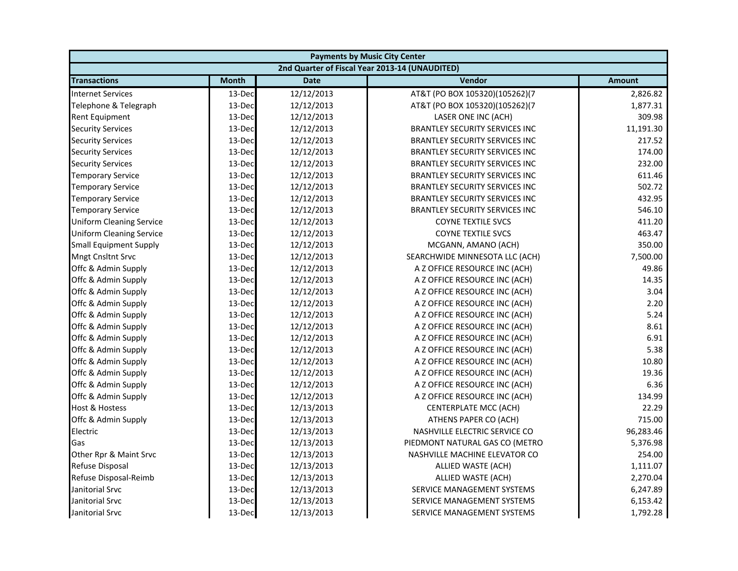| <b>Payments by Music City Center</b> |              |             |                                                |               |
|--------------------------------------|--------------|-------------|------------------------------------------------|---------------|
|                                      |              |             | 2nd Quarter of Fiscal Year 2013-14 (UNAUDITED) |               |
| <b>Transactions</b>                  | <b>Month</b> | <b>Date</b> | Vendor                                         | <b>Amount</b> |
| <b>Internet Services</b>             | 13-Dec       | 12/12/2013  | AT&T (PO BOX 105320)(105262)(7                 | 2,826.82      |
| Telephone & Telegraph                | 13-Dec       | 12/12/2013  | AT&T (PO BOX 105320)(105262)(7                 | 1,877.31      |
| Rent Equipment                       | 13-Dec       | 12/12/2013  | LASER ONE INC (ACH)                            | 309.98        |
| <b>Security Services</b>             | 13-Dec       | 12/12/2013  | <b>BRANTLEY SECURITY SERVICES INC</b>          | 11,191.30     |
| <b>Security Services</b>             | 13-Dec       | 12/12/2013  | <b>BRANTLEY SECURITY SERVICES INC</b>          | 217.52        |
| <b>Security Services</b>             | 13-Dec       | 12/12/2013  | <b>BRANTLEY SECURITY SERVICES INC</b>          | 174.00        |
| <b>Security Services</b>             | 13-Dec       | 12/12/2013  | <b>BRANTLEY SECURITY SERVICES INC</b>          | 232.00        |
| <b>Temporary Service</b>             | 13-Dec       | 12/12/2013  | <b>BRANTLEY SECURITY SERVICES INC</b>          | 611.46        |
| <b>Temporary Service</b>             | 13-Dec       | 12/12/2013  | BRANTLEY SECURITY SERVICES INC                 | 502.72        |
| <b>Temporary Service</b>             | 13-Dec       | 12/12/2013  | <b>BRANTLEY SECURITY SERVICES INC</b>          | 432.95        |
| <b>Temporary Service</b>             | 13-Dec       | 12/12/2013  | <b>BRANTLEY SECURITY SERVICES INC</b>          | 546.10        |
| <b>Uniform Cleaning Service</b>      | 13-Dec       | 12/12/2013  | <b>COYNE TEXTILE SVCS</b>                      | 411.20        |
| <b>Uniform Cleaning Service</b>      | 13-Dec       | 12/12/2013  | <b>COYNE TEXTILE SVCS</b>                      | 463.47        |
| <b>Small Equipment Supply</b>        | 13-Dec       | 12/12/2013  | MCGANN, AMANO (ACH)                            | 350.00        |
| <b>Mngt Cnsltnt Srvc</b>             | 13-Dec       | 12/12/2013  | SEARCHWIDE MINNESOTA LLC (ACH)                 | 7,500.00      |
| Offc & Admin Supply                  | 13-Dec       | 12/12/2013  | A Z OFFICE RESOURCE INC (ACH)                  | 49.86         |
| Offc & Admin Supply                  | 13-Dec       | 12/12/2013  | A Z OFFICE RESOURCE INC (ACH)                  | 14.35         |
| Offc & Admin Supply                  | 13-Dec       | 12/12/2013  | A Z OFFICE RESOURCE INC (ACH)                  | 3.04          |
| Offc & Admin Supply                  | 13-Dec       | 12/12/2013  | A Z OFFICE RESOURCE INC (ACH)                  | 2.20          |
| Offc & Admin Supply                  | 13-Dec       | 12/12/2013  | A Z OFFICE RESOURCE INC (ACH)                  | 5.24          |
| Offc & Admin Supply                  | 13-Dec       | 12/12/2013  | A Z OFFICE RESOURCE INC (ACH)                  | 8.61          |
| Offc & Admin Supply                  | 13-Dec       | 12/12/2013  | A Z OFFICE RESOURCE INC (ACH)                  | 6.91          |
| Offc & Admin Supply                  | 13-Dec       | 12/12/2013  | A Z OFFICE RESOURCE INC (ACH)                  | 5.38          |
| Offc & Admin Supply                  | 13-Dec       | 12/12/2013  | A Z OFFICE RESOURCE INC (ACH)                  | 10.80         |
| Offc & Admin Supply                  | 13-Dec       | 12/12/2013  | A Z OFFICE RESOURCE INC (ACH)                  | 19.36         |
| Offc & Admin Supply                  | 13-Dec       | 12/12/2013  | A Z OFFICE RESOURCE INC (ACH)                  | 6.36          |
| Offc & Admin Supply                  | 13-Dec       | 12/12/2013  | A Z OFFICE RESOURCE INC (ACH)                  | 134.99        |
| Host & Hostess                       | 13-Dec       | 12/13/2013  | CENTERPLATE MCC (ACH)                          | 22.29         |
| Offc & Admin Supply                  | 13-Dec       | 12/13/2013  | ATHENS PAPER CO (ACH)                          | 715.00        |
| Electric                             | 13-Dec       | 12/13/2013  | NASHVILLE ELECTRIC SERVICE CO                  | 96,283.46     |
| Gas                                  | 13-Dec       | 12/13/2013  | PIEDMONT NATURAL GAS CO (METRO                 | 5,376.98      |
| Other Rpr & Maint Srvc               | 13-Dec       | 12/13/2013  | NASHVILLE MACHINE ELEVATOR CO                  | 254.00        |
| Refuse Disposal                      | 13-Dec       | 12/13/2013  | ALLIED WASTE (ACH)                             | 1,111.07      |
| Refuse Disposal-Reimb                | 13-Dec       | 12/13/2013  | ALLIED WASTE (ACH)                             | 2,270.04      |
| Janitorial Srvc                      | 13-Dec       | 12/13/2013  | SERVICE MANAGEMENT SYSTEMS                     | 6,247.89      |
| Janitorial Srvc                      | 13-Dec       | 12/13/2013  | SERVICE MANAGEMENT SYSTEMS                     | 6,153.42      |
| Janitorial Srvc                      | 13-Dec       | 12/13/2013  | SERVICE MANAGEMENT SYSTEMS                     | 1,792.28      |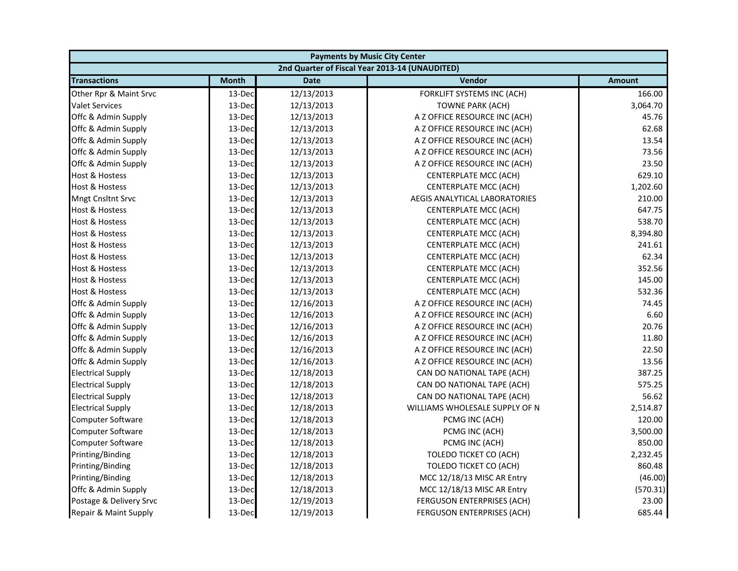| <b>Payments by Music City Center</b> |              |             |                                                |               |
|--------------------------------------|--------------|-------------|------------------------------------------------|---------------|
|                                      |              |             | 2nd Quarter of Fiscal Year 2013-14 (UNAUDITED) |               |
| <b>Transactions</b>                  | <b>Month</b> | <b>Date</b> | Vendor                                         | <b>Amount</b> |
| Other Rpr & Maint Srvc               | 13-Dec       | 12/13/2013  | FORKLIFT SYSTEMS INC (ACH)                     | 166.00        |
| <b>Valet Services</b>                | 13-Dec       | 12/13/2013  | TOWNE PARK (ACH)                               | 3,064.70      |
| Offc & Admin Supply                  | 13-Dec       | 12/13/2013  | A Z OFFICE RESOURCE INC (ACH)                  | 45.76         |
| Offc & Admin Supply                  | 13-Dec       | 12/13/2013  | A Z OFFICE RESOURCE INC (ACH)                  | 62.68         |
| Offc & Admin Supply                  | 13-Dec       | 12/13/2013  | A Z OFFICE RESOURCE INC (ACH)                  | 13.54         |
| Offc & Admin Supply                  | 13-Dec       | 12/13/2013  | A Z OFFICE RESOURCE INC (ACH)                  | 73.56         |
| Offc & Admin Supply                  | 13-Dec       | 12/13/2013  | A Z OFFICE RESOURCE INC (ACH)                  | 23.50         |
| Host & Hostess                       | 13-Dec       | 12/13/2013  | CENTERPLATE MCC (ACH)                          | 629.10        |
| Host & Hostess                       | 13-Dec       | 12/13/2013  | CENTERPLATE MCC (ACH)                          | 1,202.60      |
| Mngt Cnsltnt Srvc                    | 13-Dec       | 12/13/2013  | AEGIS ANALYTICAL LABORATORIES                  | 210.00        |
| Host & Hostess                       | 13-Dec       | 12/13/2013  | CENTERPLATE MCC (ACH)                          | 647.75        |
| Host & Hostess                       | 13-Dec       | 12/13/2013  | CENTERPLATE MCC (ACH)                          | 538.70        |
| Host & Hostess                       | 13-Dec       | 12/13/2013  | CENTERPLATE MCC (ACH)                          | 8,394.80      |
| Host & Hostess                       | 13-Dec       | 12/13/2013  | CENTERPLATE MCC (ACH)                          | 241.61        |
| <b>Host &amp; Hostess</b>            | 13-Dec       | 12/13/2013  | CENTERPLATE MCC (ACH)                          | 62.34         |
| Host & Hostess                       | 13-Dec       | 12/13/2013  | CENTERPLATE MCC (ACH)                          | 352.56        |
| Host & Hostess                       | 13-Dec       | 12/13/2013  | CENTERPLATE MCC (ACH)                          | 145.00        |
| <b>Host &amp; Hostess</b>            | 13-Dec       | 12/13/2013  | CENTERPLATE MCC (ACH)                          | 532.36        |
| Offc & Admin Supply                  | 13-Dec       | 12/16/2013  | A Z OFFICE RESOURCE INC (ACH)                  | 74.45         |
| Offc & Admin Supply                  | 13-Dec       | 12/16/2013  | A Z OFFICE RESOURCE INC (ACH)                  | 6.60          |
| Offc & Admin Supply                  | 13-Dec       | 12/16/2013  | A Z OFFICE RESOURCE INC (ACH)                  | 20.76         |
| Offc & Admin Supply                  | 13-Dec       | 12/16/2013  | A Z OFFICE RESOURCE INC (ACH)                  | 11.80         |
| Offc & Admin Supply                  | 13-Dec       | 12/16/2013  | A Z OFFICE RESOURCE INC (ACH)                  | 22.50         |
| Offc & Admin Supply                  | 13-Dec       | 12/16/2013  | A Z OFFICE RESOURCE INC (ACH)                  | 13.56         |
| <b>Electrical Supply</b>             | 13-Dec       | 12/18/2013  | CAN DO NATIONAL TAPE (ACH)                     | 387.25        |
| <b>Electrical Supply</b>             | 13-Dec       | 12/18/2013  | CAN DO NATIONAL TAPE (ACH)                     | 575.25        |
| <b>Electrical Supply</b>             | 13-Dec       | 12/18/2013  | CAN DO NATIONAL TAPE (ACH)                     | 56.62         |
| <b>Electrical Supply</b>             | 13-Dec       | 12/18/2013  | WILLIAMS WHOLESALE SUPPLY OF N                 | 2,514.87      |
| Computer Software                    | 13-Dec       | 12/18/2013  | PCMG INC (ACH)                                 | 120.00        |
| Computer Software                    | 13-Dec       | 12/18/2013  | PCMG INC (ACH)                                 | 3,500.00      |
| Computer Software                    | 13-Dec       | 12/18/2013  | PCMG INC (ACH)                                 | 850.00        |
| Printing/Binding                     | 13-Dec       | 12/18/2013  | TOLEDO TICKET CO (ACH)                         | 2,232.45      |
| Printing/Binding                     | 13-Dec       | 12/18/2013  | TOLEDO TICKET CO (ACH)                         | 860.48        |
| Printing/Binding                     | 13-Dec       | 12/18/2013  | MCC 12/18/13 MISC AR Entry                     | (46.00)       |
| Offc & Admin Supply                  | 13-Dec       | 12/18/2013  | MCC 12/18/13 MISC AR Entry                     | (570.31)      |
| Postage & Delivery Srvc              | 13-Dec       | 12/19/2013  | FERGUSON ENTERPRISES (ACH)                     | 23.00         |
| Repair & Maint Supply                | 13-Dec       | 12/19/2013  | FERGUSON ENTERPRISES (ACH)                     | 685.44        |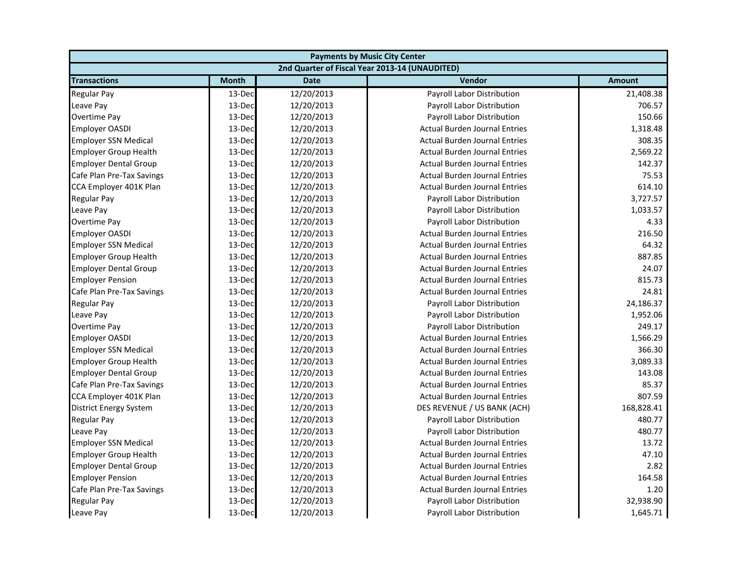| <b>Payments by Music City Center</b> |              |             |                                                |               |
|--------------------------------------|--------------|-------------|------------------------------------------------|---------------|
|                                      |              |             | 2nd Quarter of Fiscal Year 2013-14 (UNAUDITED) |               |
| <b>Transactions</b>                  | <b>Month</b> | <b>Date</b> | Vendor                                         | <b>Amount</b> |
| <b>Regular Pay</b>                   | 13-Dec       | 12/20/2013  | Payroll Labor Distribution                     | 21,408.38     |
| Leave Pay                            | 13-Dec       | 12/20/2013  | Payroll Labor Distribution                     | 706.57        |
| Overtime Pay                         | 13-Dec       | 12/20/2013  | Payroll Labor Distribution                     | 150.66        |
| <b>Employer OASDI</b>                | 13-Dec       | 12/20/2013  | <b>Actual Burden Journal Entries</b>           | 1,318.48      |
| <b>Employer SSN Medical</b>          | 13-Dec       | 12/20/2013  | <b>Actual Burden Journal Entries</b>           | 308.35        |
| <b>Employer Group Health</b>         | 13-Dec       | 12/20/2013  | <b>Actual Burden Journal Entries</b>           | 2,569.22      |
| <b>Employer Dental Group</b>         | 13-Dec       | 12/20/2013  | <b>Actual Burden Journal Entries</b>           | 142.37        |
| Cafe Plan Pre-Tax Savings            | 13-Dec       | 12/20/2013  | <b>Actual Burden Journal Entries</b>           | 75.53         |
| CCA Employer 401K Plan               | 13-Dec       | 12/20/2013  | <b>Actual Burden Journal Entries</b>           | 614.10        |
| <b>Regular Pay</b>                   | 13-Dec       | 12/20/2013  | Payroll Labor Distribution                     | 3,727.57      |
| Leave Pay                            | 13-Dec       | 12/20/2013  | Payroll Labor Distribution                     | 1,033.57      |
| Overtime Pay                         | 13-Dec       | 12/20/2013  | Payroll Labor Distribution                     | 4.33          |
| <b>Employer OASDI</b>                | 13-Dec       | 12/20/2013  | <b>Actual Burden Journal Entries</b>           | 216.50        |
| <b>Employer SSN Medical</b>          | 13-Dec       | 12/20/2013  | <b>Actual Burden Journal Entries</b>           | 64.32         |
| <b>Employer Group Health</b>         | 13-Dec       | 12/20/2013  | <b>Actual Burden Journal Entries</b>           | 887.85        |
| <b>Employer Dental Group</b>         | 13-Dec       | 12/20/2013  | <b>Actual Burden Journal Entries</b>           | 24.07         |
| <b>Employer Pension</b>              | 13-Dec       | 12/20/2013  | <b>Actual Burden Journal Entries</b>           | 815.73        |
| Cafe Plan Pre-Tax Savings            | 13-Dec       | 12/20/2013  | <b>Actual Burden Journal Entries</b>           | 24.81         |
| <b>Regular Pay</b>                   | 13-Dec       | 12/20/2013  | Payroll Labor Distribution                     | 24,186.37     |
| Leave Pay                            | 13-Dec       | 12/20/2013  | Payroll Labor Distribution                     | 1,952.06      |
| <b>Overtime Pay</b>                  | 13-Dec       | 12/20/2013  | Payroll Labor Distribution                     | 249.17        |
| <b>Employer OASDI</b>                | 13-Dec       | 12/20/2013  | <b>Actual Burden Journal Entries</b>           | 1,566.29      |
| <b>Employer SSN Medical</b>          | 13-Dec       | 12/20/2013  | <b>Actual Burden Journal Entries</b>           | 366.30        |
| <b>Employer Group Health</b>         | 13-Dec       | 12/20/2013  | <b>Actual Burden Journal Entries</b>           | 3,089.33      |
| <b>Employer Dental Group</b>         | 13-Dec       | 12/20/2013  | <b>Actual Burden Journal Entries</b>           | 143.08        |
| Cafe Plan Pre-Tax Savings            | 13-Dec       | 12/20/2013  | <b>Actual Burden Journal Entries</b>           | 85.37         |
| CCA Employer 401K Plan               | 13-Dec       | 12/20/2013  | <b>Actual Burden Journal Entries</b>           | 807.59        |
| <b>District Energy System</b>        | 13-Dec       | 12/20/2013  | DES REVENUE / US BANK (ACH)                    | 168,828.41    |
| <b>Regular Pay</b>                   | 13-Dec       | 12/20/2013  | Payroll Labor Distribution                     | 480.77        |
| Leave Pay                            | 13-Dec       | 12/20/2013  | Payroll Labor Distribution                     | 480.77        |
| <b>Employer SSN Medical</b>          | 13-Dec       | 12/20/2013  | <b>Actual Burden Journal Entries</b>           | 13.72         |
| <b>Employer Group Health</b>         | 13-Dec       | 12/20/2013  | <b>Actual Burden Journal Entries</b>           | 47.10         |
| <b>Employer Dental Group</b>         | 13-Dec       | 12/20/2013  | <b>Actual Burden Journal Entries</b>           | 2.82          |
| <b>Employer Pension</b>              | 13-Dec       | 12/20/2013  | <b>Actual Burden Journal Entries</b>           | 164.58        |
| Cafe Plan Pre-Tax Savings            | 13-Dec       | 12/20/2013  | <b>Actual Burden Journal Entries</b>           | 1.20          |
| <b>Regular Pay</b>                   | 13-Dec       | 12/20/2013  | Payroll Labor Distribution                     | 32,938.90     |
| Leave Pay                            | 13-Dec       | 12/20/2013  | Payroll Labor Distribution                     | 1,645.71      |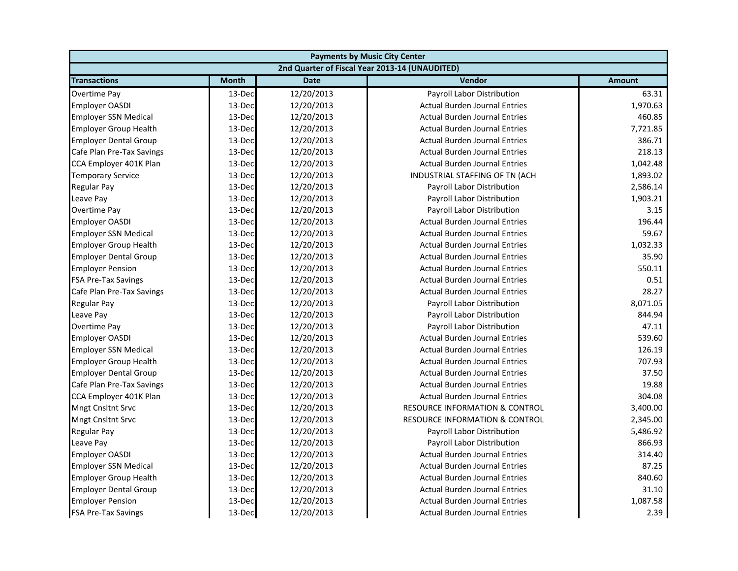| <b>Payments by Music City Center</b> |              |             |                                                |               |
|--------------------------------------|--------------|-------------|------------------------------------------------|---------------|
|                                      |              |             | 2nd Quarter of Fiscal Year 2013-14 (UNAUDITED) |               |
| <b>Transactions</b>                  | <b>Month</b> | <b>Date</b> | Vendor                                         | <b>Amount</b> |
| Overtime Pay                         | 13-Dec       | 12/20/2013  | Payroll Labor Distribution                     | 63.31         |
| <b>Employer OASDI</b>                | 13-Dec       | 12/20/2013  | <b>Actual Burden Journal Entries</b>           | 1,970.63      |
| <b>Employer SSN Medical</b>          | 13-Dec       | 12/20/2013  | <b>Actual Burden Journal Entries</b>           | 460.85        |
| <b>Employer Group Health</b>         | 13-Dec       | 12/20/2013  | <b>Actual Burden Journal Entries</b>           | 7,721.85      |
| <b>Employer Dental Group</b>         | 13-Dec       | 12/20/2013  | <b>Actual Burden Journal Entries</b>           | 386.71        |
| Cafe Plan Pre-Tax Savings            | 13-Dec       | 12/20/2013  | <b>Actual Burden Journal Entries</b>           | 218.13        |
| CCA Employer 401K Plan               | 13-Dec       | 12/20/2013  | <b>Actual Burden Journal Entries</b>           | 1,042.48      |
| <b>Temporary Service</b>             | 13-Dec       | 12/20/2013  | INDUSTRIAL STAFFING OF TN (ACH                 | 1,893.02      |
| <b>Regular Pay</b>                   | 13-Dec       | 12/20/2013  | Payroll Labor Distribution                     | 2,586.14      |
| Leave Pay                            | 13-Dec       | 12/20/2013  | Payroll Labor Distribution                     | 1,903.21      |
| Overtime Pay                         | 13-Dec       | 12/20/2013  | Payroll Labor Distribution                     | 3.15          |
| <b>Employer OASDI</b>                | 13-Dec       | 12/20/2013  | <b>Actual Burden Journal Entries</b>           | 196.44        |
| <b>Employer SSN Medical</b>          | 13-Dec       | 12/20/2013  | <b>Actual Burden Journal Entries</b>           | 59.67         |
| <b>Employer Group Health</b>         | 13-Dec       | 12/20/2013  | <b>Actual Burden Journal Entries</b>           | 1,032.33      |
| <b>Employer Dental Group</b>         | 13-Dec       | 12/20/2013  | <b>Actual Burden Journal Entries</b>           | 35.90         |
| <b>Employer Pension</b>              | 13-Dec       | 12/20/2013  | <b>Actual Burden Journal Entries</b>           | 550.11        |
| <b>FSA Pre-Tax Savings</b>           | 13-Dec       | 12/20/2013  | <b>Actual Burden Journal Entries</b>           | 0.51          |
| Cafe Plan Pre-Tax Savings            | 13-Dec       | 12/20/2013  | <b>Actual Burden Journal Entries</b>           | 28.27         |
| <b>Regular Pay</b>                   | 13-Dec       | 12/20/2013  | Payroll Labor Distribution                     | 8,071.05      |
| Leave Pay                            | 13-Dec       | 12/20/2013  | Payroll Labor Distribution                     | 844.94        |
| Overtime Pay                         | 13-Dec       | 12/20/2013  | Payroll Labor Distribution                     | 47.11         |
| <b>Employer OASDI</b>                | 13-Dec       | 12/20/2013  | <b>Actual Burden Journal Entries</b>           | 539.60        |
| <b>Employer SSN Medical</b>          | 13-Dec       | 12/20/2013  | <b>Actual Burden Journal Entries</b>           | 126.19        |
| <b>Employer Group Health</b>         | 13-Dec       | 12/20/2013  | <b>Actual Burden Journal Entries</b>           | 707.93        |
| <b>Employer Dental Group</b>         | 13-Dec       | 12/20/2013  | <b>Actual Burden Journal Entries</b>           | 37.50         |
| Cafe Plan Pre-Tax Savings            | 13-Dec       | 12/20/2013  | <b>Actual Burden Journal Entries</b>           | 19.88         |
| CCA Employer 401K Plan               | 13-Dec       | 12/20/2013  | <b>Actual Burden Journal Entries</b>           | 304.08        |
| <b>Mngt Cnsltnt Srvc</b>             | 13-Dec       | 12/20/2013  | <b>RESOURCE INFORMATION &amp; CONTROL</b>      | 3,400.00      |
| <b>Mngt Cnsltnt Srvc</b>             | 13-Dec       | 12/20/2013  | <b>RESOURCE INFORMATION &amp; CONTROL</b>      | 2,345.00      |
| <b>Regular Pay</b>                   | 13-Dec       | 12/20/2013  | Payroll Labor Distribution                     | 5,486.92      |
| Leave Pay                            | 13-Dec       | 12/20/2013  | Payroll Labor Distribution                     | 866.93        |
| <b>Employer OASDI</b>                | 13-Dec       | 12/20/2013  | <b>Actual Burden Journal Entries</b>           | 314.40        |
| <b>Employer SSN Medical</b>          | 13-Dec       | 12/20/2013  | <b>Actual Burden Journal Entries</b>           | 87.25         |
| <b>Employer Group Health</b>         | 13-Dec       | 12/20/2013  | <b>Actual Burden Journal Entries</b>           | 840.60        |
| <b>Employer Dental Group</b>         | 13-Dec       | 12/20/2013  | <b>Actual Burden Journal Entries</b>           | 31.10         |
| <b>Employer Pension</b>              | 13-Dec       | 12/20/2013  | <b>Actual Burden Journal Entries</b>           | 1,087.58      |
| <b>FSA Pre-Tax Savings</b>           | 13-Dec       | 12/20/2013  | <b>Actual Burden Journal Entries</b>           | 2.39          |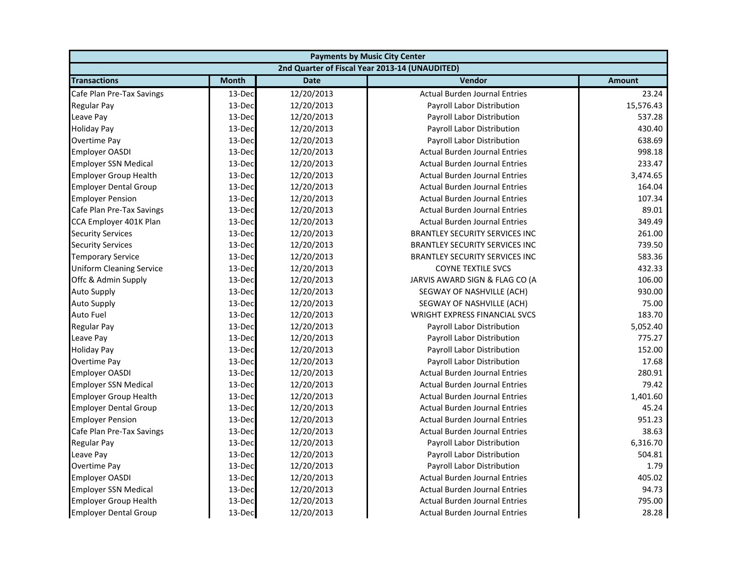| <b>Payments by Music City Center</b> |              |             |                                                |               |
|--------------------------------------|--------------|-------------|------------------------------------------------|---------------|
|                                      |              |             | 2nd Quarter of Fiscal Year 2013-14 (UNAUDITED) |               |
| <b>Transactions</b>                  | <b>Month</b> | <b>Date</b> | Vendor                                         | <b>Amount</b> |
| Cafe Plan Pre-Tax Savings            | 13-Dec       | 12/20/2013  | <b>Actual Burden Journal Entries</b>           | 23.24         |
| Regular Pay                          | 13-Dec       | 12/20/2013  | Payroll Labor Distribution                     | 15,576.43     |
| Leave Pay                            | 13-Dec       | 12/20/2013  | Payroll Labor Distribution                     | 537.28        |
| <b>Holiday Pay</b>                   | 13-Dec       | 12/20/2013  | Payroll Labor Distribution                     | 430.40        |
| Overtime Pay                         | 13-Dec       | 12/20/2013  | Payroll Labor Distribution                     | 638.69        |
| <b>Employer OASDI</b>                | 13-Dec       | 12/20/2013  | <b>Actual Burden Journal Entries</b>           | 998.18        |
| <b>Employer SSN Medical</b>          | 13-Dec       | 12/20/2013  | <b>Actual Burden Journal Entries</b>           | 233.47        |
| <b>Employer Group Health</b>         | 13-Dec       | 12/20/2013  | <b>Actual Burden Journal Entries</b>           | 3,474.65      |
| <b>Employer Dental Group</b>         | 13-Dec       | 12/20/2013  | <b>Actual Burden Journal Entries</b>           | 164.04        |
| <b>Employer Pension</b>              | 13-Dec       | 12/20/2013  | <b>Actual Burden Journal Entries</b>           | 107.34        |
| Cafe Plan Pre-Tax Savings            | 13-Dec       | 12/20/2013  | <b>Actual Burden Journal Entries</b>           | 89.01         |
| CCA Employer 401K Plan               | 13-Dec       | 12/20/2013  | <b>Actual Burden Journal Entries</b>           | 349.49        |
| <b>Security Services</b>             | 13-Dec       | 12/20/2013  | <b>BRANTLEY SECURITY SERVICES INC</b>          | 261.00        |
| <b>Security Services</b>             | 13-Dec       | 12/20/2013  | <b>BRANTLEY SECURITY SERVICES INC</b>          | 739.50        |
| <b>Temporary Service</b>             | 13-Dec       | 12/20/2013  | <b>BRANTLEY SECURITY SERVICES INC</b>          | 583.36        |
| <b>Uniform Cleaning Service</b>      | 13-Dec       | 12/20/2013  | <b>COYNE TEXTILE SVCS</b>                      | 432.33        |
| Offc & Admin Supply                  | 13-Dec       | 12/20/2013  | JARVIS AWARD SIGN & FLAG CO (A                 | 106.00        |
| <b>Auto Supply</b>                   | 13-Dec       | 12/20/2013  | SEGWAY OF NASHVILLE (ACH)                      | 930.00        |
| <b>Auto Supply</b>                   | 13-Dec       | 12/20/2013  | SEGWAY OF NASHVILLE (ACH)                      | 75.00         |
| <b>Auto Fuel</b>                     | 13-Dec       | 12/20/2013  | <b>WRIGHT EXPRESS FINANCIAL SVCS</b>           | 183.70        |
| <b>Regular Pay</b>                   | 13-Dec       | 12/20/2013  | Payroll Labor Distribution                     | 5,052.40      |
| Leave Pay                            | 13-Dec       | 12/20/2013  | <b>Payroll Labor Distribution</b>              | 775.27        |
| <b>Holiday Pay</b>                   | 13-Dec       | 12/20/2013  | Payroll Labor Distribution                     | 152.00        |
| Overtime Pay                         | 13-Dec       | 12/20/2013  | Payroll Labor Distribution                     | 17.68         |
| <b>Employer OASDI</b>                | 13-Dec       | 12/20/2013  | <b>Actual Burden Journal Entries</b>           | 280.91        |
| <b>Employer SSN Medical</b>          | 13-Dec       | 12/20/2013  | <b>Actual Burden Journal Entries</b>           | 79.42         |
| <b>Employer Group Health</b>         | 13-Dec       | 12/20/2013  | <b>Actual Burden Journal Entries</b>           | 1,401.60      |
| <b>Employer Dental Group</b>         | 13-Dec       | 12/20/2013  | <b>Actual Burden Journal Entries</b>           | 45.24         |
| <b>Employer Pension</b>              | 13-Dec       | 12/20/2013  | <b>Actual Burden Journal Entries</b>           | 951.23        |
| Cafe Plan Pre-Tax Savings            | 13-Dec       | 12/20/2013  | <b>Actual Burden Journal Entries</b>           | 38.63         |
| <b>Regular Pay</b>                   | 13-Dec       | 12/20/2013  | Payroll Labor Distribution                     | 6,316.70      |
| Leave Pay                            | 13-Dec       | 12/20/2013  | Payroll Labor Distribution                     | 504.81        |
| Overtime Pay                         | 13-Dec       | 12/20/2013  | <b>Payroll Labor Distribution</b>              | 1.79          |
| <b>Employer OASDI</b>                | 13-Dec       | 12/20/2013  | <b>Actual Burden Journal Entries</b>           | 405.02        |
| <b>Employer SSN Medical</b>          | 13-Dec       | 12/20/2013  | <b>Actual Burden Journal Entries</b>           | 94.73         |
| <b>Employer Group Health</b>         | 13-Dec       | 12/20/2013  | <b>Actual Burden Journal Entries</b>           | 795.00        |
| <b>Employer Dental Group</b>         | 13-Dec       | 12/20/2013  | <b>Actual Burden Journal Entries</b>           | 28.28         |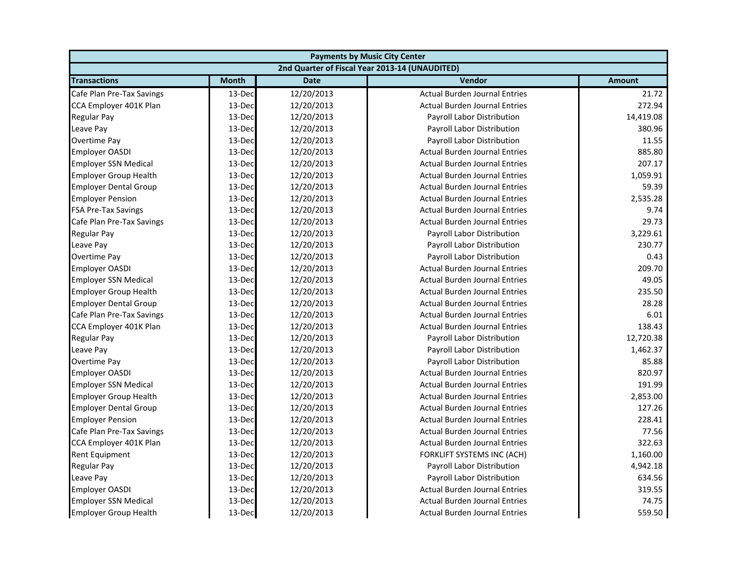| <b>Payments by Music City Center</b> |              |             |                                                |               |
|--------------------------------------|--------------|-------------|------------------------------------------------|---------------|
|                                      |              |             | 2nd Quarter of Fiscal Year 2013-14 (UNAUDITED) |               |
| <b>Transactions</b>                  | <b>Month</b> | <b>Date</b> | Vendor                                         | <b>Amount</b> |
| Cafe Plan Pre-Tax Savings            | 13-Dec       | 12/20/2013  | <b>Actual Burden Journal Entries</b>           | 21.72         |
| CCA Employer 401K Plan               | 13-Dec       | 12/20/2013  | <b>Actual Burden Journal Entries</b>           | 272.94        |
| Regular Pay                          | 13-Dec       | 12/20/2013  | Payroll Labor Distribution                     | 14,419.08     |
| Leave Pay                            | 13-Dec       | 12/20/2013  | Payroll Labor Distribution                     | 380.96        |
| Overtime Pay                         | 13-Dec       | 12/20/2013  | Payroll Labor Distribution                     | 11.55         |
| <b>Employer OASDI</b>                | 13-Dec       | 12/20/2013  | <b>Actual Burden Journal Entries</b>           | 885.80        |
| <b>Employer SSN Medical</b>          | 13-Dec       | 12/20/2013  | <b>Actual Burden Journal Entries</b>           | 207.17        |
| <b>Employer Group Health</b>         | 13-Dec       | 12/20/2013  | <b>Actual Burden Journal Entries</b>           | 1,059.91      |
| <b>Employer Dental Group</b>         | 13-Dec       | 12/20/2013  | <b>Actual Burden Journal Entries</b>           | 59.39         |
| <b>Employer Pension</b>              | 13-Dec       | 12/20/2013  | <b>Actual Burden Journal Entries</b>           | 2,535.28      |
| <b>FSA Pre-Tax Savings</b>           | 13-Dec       | 12/20/2013  | <b>Actual Burden Journal Entries</b>           | 9.74          |
| Cafe Plan Pre-Tax Savings            | 13-Dec       | 12/20/2013  | <b>Actual Burden Journal Entries</b>           | 29.73         |
| <b>Regular Pay</b>                   | 13-Dec       | 12/20/2013  | Payroll Labor Distribution                     | 3,229.61      |
| Leave Pay                            | 13-Dec       | 12/20/2013  | Payroll Labor Distribution                     | 230.77        |
| <b>Overtime Pay</b>                  | 13-Dec       | 12/20/2013  | Payroll Labor Distribution                     | 0.43          |
| <b>Employer OASDI</b>                | 13-Dec       | 12/20/2013  | <b>Actual Burden Journal Entries</b>           | 209.70        |
| <b>Employer SSN Medical</b>          | 13-Dec       | 12/20/2013  | <b>Actual Burden Journal Entries</b>           | 49.05         |
| <b>Employer Group Health</b>         | 13-Dec       | 12/20/2013  | <b>Actual Burden Journal Entries</b>           | 235.50        |
| <b>Employer Dental Group</b>         | 13-Dec       | 12/20/2013  | <b>Actual Burden Journal Entries</b>           | 28.28         |
| Cafe Plan Pre-Tax Savings            | 13-Dec       | 12/20/2013  | <b>Actual Burden Journal Entries</b>           | 6.01          |
| CCA Employer 401K Plan               | 13-Dec       | 12/20/2013  | <b>Actual Burden Journal Entries</b>           | 138.43        |
| <b>Regular Pay</b>                   | 13-Dec       | 12/20/2013  | Payroll Labor Distribution                     | 12,720.38     |
| Leave Pay                            | 13-Dec       | 12/20/2013  | Payroll Labor Distribution                     | 1,462.37      |
| Overtime Pay                         | 13-Dec       | 12/20/2013  | Payroll Labor Distribution                     | 85.88         |
| <b>Employer OASDI</b>                | 13-Dec       | 12/20/2013  | <b>Actual Burden Journal Entries</b>           | 820.97        |
| <b>Employer SSN Medical</b>          | 13-Dec       | 12/20/2013  | <b>Actual Burden Journal Entries</b>           | 191.99        |
| <b>Employer Group Health</b>         | 13-Dec       | 12/20/2013  | <b>Actual Burden Journal Entries</b>           | 2,853.00      |
| <b>Employer Dental Group</b>         | 13-Dec       | 12/20/2013  | <b>Actual Burden Journal Entries</b>           | 127.26        |
| <b>Employer Pension</b>              | 13-Dec       | 12/20/2013  | <b>Actual Burden Journal Entries</b>           | 228.41        |
| Cafe Plan Pre-Tax Savings            | 13-Dec       | 12/20/2013  | <b>Actual Burden Journal Entries</b>           | 77.56         |
| CCA Employer 401K Plan               | 13-Dec       | 12/20/2013  | <b>Actual Burden Journal Entries</b>           | 322.63        |
| <b>Rent Equipment</b>                | 13-Dec       | 12/20/2013  | FORKLIFT SYSTEMS INC (ACH)                     | 1,160.00      |
| <b>Regular Pay</b>                   | 13-Dec       | 12/20/2013  | Payroll Labor Distribution                     | 4,942.18      |
| Leave Pay                            | 13-Dec       | 12/20/2013  | Payroll Labor Distribution                     | 634.56        |
| <b>Employer OASDI</b>                | 13-Dec       | 12/20/2013  | <b>Actual Burden Journal Entries</b>           | 319.55        |
| <b>Employer SSN Medical</b>          | 13-Dec       | 12/20/2013  | <b>Actual Burden Journal Entries</b>           | 74.75         |
| <b>Employer Group Health</b>         | 13-Dec       | 12/20/2013  | <b>Actual Burden Journal Entries</b>           | 559.50        |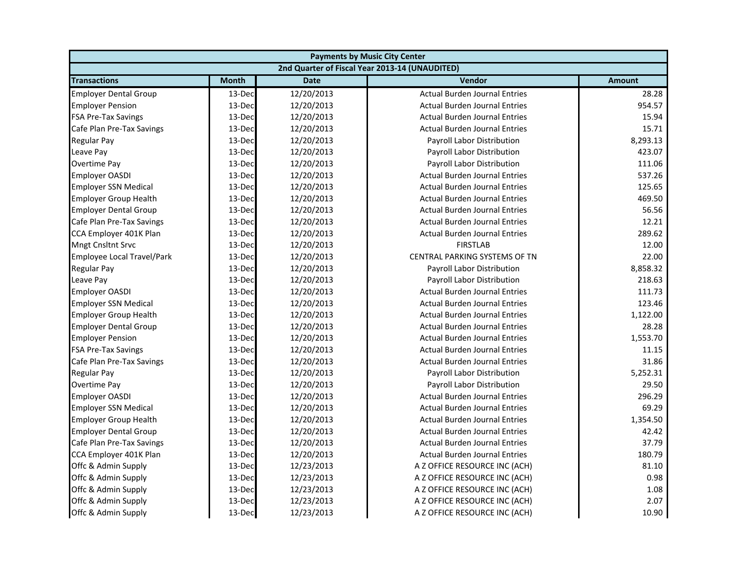| <b>Payments by Music City Center</b>           |              |             |                                      |               |  |
|------------------------------------------------|--------------|-------------|--------------------------------------|---------------|--|
| 2nd Quarter of Fiscal Year 2013-14 (UNAUDITED) |              |             |                                      |               |  |
| <b>Transactions</b>                            | <b>Month</b> | <b>Date</b> | Vendor                               | <b>Amount</b> |  |
| <b>Employer Dental Group</b>                   | 13-Dec       | 12/20/2013  | <b>Actual Burden Journal Entries</b> | 28.28         |  |
| <b>Employer Pension</b>                        | 13-Dec       | 12/20/2013  | <b>Actual Burden Journal Entries</b> | 954.57        |  |
| <b>FSA Pre-Tax Savings</b>                     | 13-Dec       | 12/20/2013  | <b>Actual Burden Journal Entries</b> | 15.94         |  |
| Cafe Plan Pre-Tax Savings                      | 13-Dec       | 12/20/2013  | <b>Actual Burden Journal Entries</b> | 15.71         |  |
| <b>Regular Pay</b>                             | 13-Dec       | 12/20/2013  | Payroll Labor Distribution           | 8,293.13      |  |
| Leave Pay                                      | 13-Dec       | 12/20/2013  | Payroll Labor Distribution           | 423.07        |  |
| Overtime Pay                                   | 13-Dec       | 12/20/2013  | Payroll Labor Distribution           | 111.06        |  |
| <b>Employer OASDI</b>                          | 13-Dec       | 12/20/2013  | <b>Actual Burden Journal Entries</b> | 537.26        |  |
| <b>Employer SSN Medical</b>                    | 13-Dec       | 12/20/2013  | <b>Actual Burden Journal Entries</b> | 125.65        |  |
| <b>Employer Group Health</b>                   | 13-Dec       | 12/20/2013  | <b>Actual Burden Journal Entries</b> | 469.50        |  |
| <b>Employer Dental Group</b>                   | 13-Dec       | 12/20/2013  | <b>Actual Burden Journal Entries</b> | 56.56         |  |
| Cafe Plan Pre-Tax Savings                      | 13-Dec       | 12/20/2013  | <b>Actual Burden Journal Entries</b> | 12.21         |  |
| CCA Employer 401K Plan                         | 13-Dec       | 12/20/2013  | <b>Actual Burden Journal Entries</b> | 289.62        |  |
| <b>Mngt Cnsltnt Srvc</b>                       | 13-Dec       | 12/20/2013  | <b>FIRSTLAB</b>                      | 12.00         |  |
| Employee Local Travel/Park                     | 13-Dec       | 12/20/2013  | CENTRAL PARKING SYSTEMS OF TN        | 22.00         |  |
| <b>Regular Pay</b>                             | 13-Dec       | 12/20/2013  | Payroll Labor Distribution           | 8,858.32      |  |
| Leave Pay                                      | 13-Dec       | 12/20/2013  | Payroll Labor Distribution           | 218.63        |  |
| <b>Employer OASDI</b>                          | 13-Dec       | 12/20/2013  | <b>Actual Burden Journal Entries</b> | 111.73        |  |
| <b>Employer SSN Medical</b>                    | 13-Dec       | 12/20/2013  | <b>Actual Burden Journal Entries</b> | 123.46        |  |
| <b>Employer Group Health</b>                   | 13-Dec       | 12/20/2013  | <b>Actual Burden Journal Entries</b> | 1,122.00      |  |
| <b>Employer Dental Group</b>                   | 13-Dec       | 12/20/2013  | <b>Actual Burden Journal Entries</b> | 28.28         |  |
| <b>Employer Pension</b>                        | 13-Dec       | 12/20/2013  | <b>Actual Burden Journal Entries</b> | 1,553.70      |  |
| <b>FSA Pre-Tax Savings</b>                     | 13-Dec       | 12/20/2013  | <b>Actual Burden Journal Entries</b> | 11.15         |  |
| Cafe Plan Pre-Tax Savings                      | 13-Dec       | 12/20/2013  | <b>Actual Burden Journal Entries</b> | 31.86         |  |
| <b>Regular Pay</b>                             | 13-Dec       | 12/20/2013  | Payroll Labor Distribution           | 5,252.31      |  |
| Overtime Pay                                   | 13-Dec       | 12/20/2013  | Payroll Labor Distribution           | 29.50         |  |
| <b>Employer OASDI</b>                          | 13-Dec       | 12/20/2013  | <b>Actual Burden Journal Entries</b> | 296.29        |  |
| <b>Employer SSN Medical</b>                    | 13-Dec       | 12/20/2013  | <b>Actual Burden Journal Entries</b> | 69.29         |  |
| <b>Employer Group Health</b>                   | 13-Dec       | 12/20/2013  | <b>Actual Burden Journal Entries</b> | 1,354.50      |  |
| <b>Employer Dental Group</b>                   | 13-Dec       | 12/20/2013  | <b>Actual Burden Journal Entries</b> | 42.42         |  |
| Cafe Plan Pre-Tax Savings                      | 13-Dec       | 12/20/2013  | <b>Actual Burden Journal Entries</b> | 37.79         |  |
| CCA Employer 401K Plan                         | 13-Dec       | 12/20/2013  | <b>Actual Burden Journal Entries</b> | 180.79        |  |
| Offc & Admin Supply                            | 13-Dec       | 12/23/2013  | A Z OFFICE RESOURCE INC (ACH)        | 81.10         |  |
| Offc & Admin Supply                            | 13-Dec       | 12/23/2013  | A Z OFFICE RESOURCE INC (ACH)        | 0.98          |  |
| Offc & Admin Supply                            | 13-Dec       | 12/23/2013  | A Z OFFICE RESOURCE INC (ACH)        | 1.08          |  |
| Offc & Admin Supply                            | 13-Dec       | 12/23/2013  | A Z OFFICE RESOURCE INC (ACH)        | 2.07          |  |
| Offc & Admin Supply                            | 13-Dec       | 12/23/2013  | A Z OFFICE RESOURCE INC (ACH)        | 10.90         |  |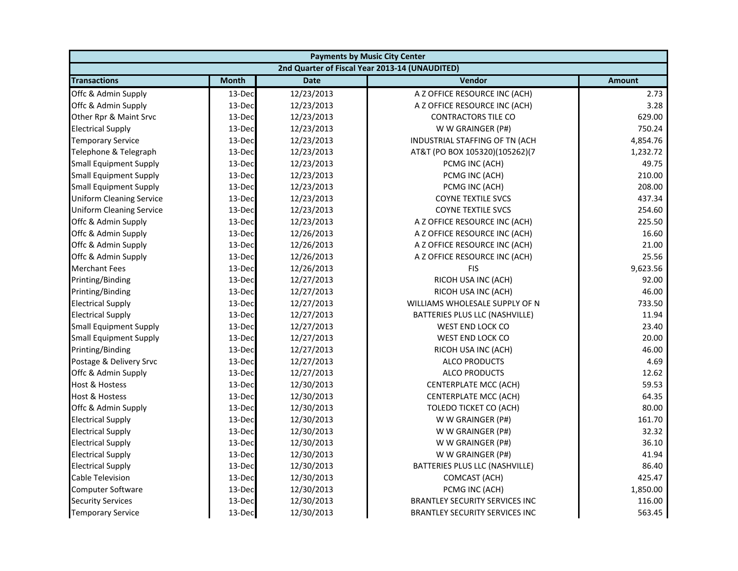| <b>Payments by Music City Center</b>           |              |             |                                       |               |  |
|------------------------------------------------|--------------|-------------|---------------------------------------|---------------|--|
| 2nd Quarter of Fiscal Year 2013-14 (UNAUDITED) |              |             |                                       |               |  |
| <b>Transactions</b>                            | <b>Month</b> | <b>Date</b> | Vendor                                | <b>Amount</b> |  |
| Offc & Admin Supply                            | 13-Dec       | 12/23/2013  | A Z OFFICE RESOURCE INC (ACH)         | 2.73          |  |
| Offc & Admin Supply                            | 13-Dec       | 12/23/2013  | A Z OFFICE RESOURCE INC (ACH)         | 3.28          |  |
| Other Rpr & Maint Srvc                         | 13-Dec       | 12/23/2013  | <b>CONTRACTORS TILE CO</b>            | 629.00        |  |
| <b>Electrical Supply</b>                       | 13-Dec       | 12/23/2013  | W W GRAINGER (P#)                     | 750.24        |  |
| <b>Temporary Service</b>                       | 13-Dec       | 12/23/2013  | INDUSTRIAL STAFFING OF TN (ACH        | 4,854.76      |  |
| Telephone & Telegraph                          | 13-Dec       | 12/23/2013  | AT&T (PO BOX 105320)(105262)(7        | 1,232.72      |  |
| <b>Small Equipment Supply</b>                  | 13-Dec       | 12/23/2013  | PCMG INC (ACH)                        | 49.75         |  |
| <b>Small Equipment Supply</b>                  | 13-Dec       | 12/23/2013  | PCMG INC (ACH)                        | 210.00        |  |
| <b>Small Equipment Supply</b>                  | 13-Dec       | 12/23/2013  | PCMG INC (ACH)                        | 208.00        |  |
| <b>Uniform Cleaning Service</b>                | 13-Dec       | 12/23/2013  | <b>COYNE TEXTILE SVCS</b>             | 437.34        |  |
| <b>Uniform Cleaning Service</b>                | 13-Dec       | 12/23/2013  | <b>COYNE TEXTILE SVCS</b>             | 254.60        |  |
| Offc & Admin Supply                            | 13-Dec       | 12/23/2013  | A Z OFFICE RESOURCE INC (ACH)         | 225.50        |  |
| Offc & Admin Supply                            | 13-Dec       | 12/26/2013  | A Z OFFICE RESOURCE INC (ACH)         | 16.60         |  |
| Offc & Admin Supply                            | 13-Dec       | 12/26/2013  | A Z OFFICE RESOURCE INC (ACH)         | 21.00         |  |
| Offc & Admin Supply                            | 13-Dec       | 12/26/2013  | A Z OFFICE RESOURCE INC (ACH)         | 25.56         |  |
| <b>Merchant Fees</b>                           | 13-Dec       | 12/26/2013  | <b>FIS</b>                            | 9,623.56      |  |
| Printing/Binding                               | 13-Dec       | 12/27/2013  | RICOH USA INC (ACH)                   | 92.00         |  |
| Printing/Binding                               | 13-Dec       | 12/27/2013  | RICOH USA INC (ACH)                   | 46.00         |  |
| <b>Electrical Supply</b>                       | 13-Dec       | 12/27/2013  | WILLIAMS WHOLESALE SUPPLY OF N        | 733.50        |  |
| <b>Electrical Supply</b>                       | 13-Dec       | 12/27/2013  | BATTERIES PLUS LLC (NASHVILLE)        | 11.94         |  |
| <b>Small Equipment Supply</b>                  | 13-Dec       | 12/27/2013  | WEST END LOCK CO                      | 23.40         |  |
| <b>Small Equipment Supply</b>                  | 13-Dec       | 12/27/2013  | <b>WEST END LOCK CO</b>               | 20.00         |  |
| Printing/Binding                               | 13-Dec       | 12/27/2013  | RICOH USA INC (ACH)                   | 46.00         |  |
| Postage & Delivery Srvc                        | 13-Dec       | 12/27/2013  | ALCO PRODUCTS                         | 4.69          |  |
| Offc & Admin Supply                            | 13-Dec       | 12/27/2013  | <b>ALCO PRODUCTS</b>                  | 12.62         |  |
| <b>Host &amp; Hostess</b>                      | 13-Dec       | 12/30/2013  | CENTERPLATE MCC (ACH)                 | 59.53         |  |
| Host & Hostess                                 | 13-Dec       | 12/30/2013  | CENTERPLATE MCC (ACH)                 | 64.35         |  |
| Offc & Admin Supply                            | 13-Dec       | 12/30/2013  | TOLEDO TICKET CO (ACH)                | 80.00         |  |
| <b>Electrical Supply</b>                       | 13-Dec       | 12/30/2013  | W W GRAINGER (P#)                     | 161.70        |  |
| <b>Electrical Supply</b>                       | 13-Dec       | 12/30/2013  | W W GRAINGER (P#)                     | 32.32         |  |
| <b>Electrical Supply</b>                       | 13-Dec       | 12/30/2013  | W W GRAINGER (P#)                     | 36.10         |  |
| <b>Electrical Supply</b>                       | 13-Dec       | 12/30/2013  | W W GRAINGER (P#)                     | 41.94         |  |
| <b>Electrical Supply</b>                       | 13-Dec       | 12/30/2013  | BATTERIES PLUS LLC (NASHVILLE)        | 86.40         |  |
| Cable Television                               | 13-Dec       | 12/30/2013  | COMCAST (ACH)                         | 425.47        |  |
| Computer Software                              | 13-Dec       | 12/30/2013  | PCMG INC (ACH)                        | 1,850.00      |  |
| <b>Security Services</b>                       | 13-Dec       | 12/30/2013  | <b>BRANTLEY SECURITY SERVICES INC</b> | 116.00        |  |
| <b>Temporary Service</b>                       | 13-Dec       | 12/30/2013  | <b>BRANTLEY SECURITY SERVICES INC</b> | 563.45        |  |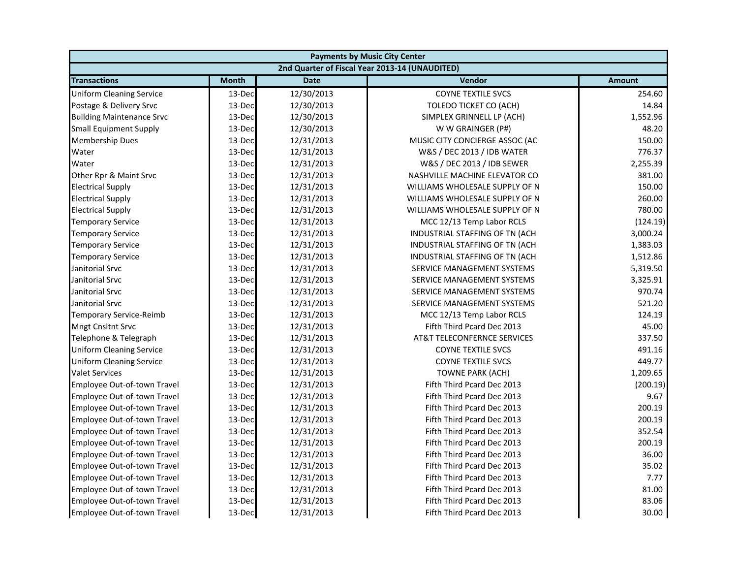| <b>Payments by Music City Center</b>           |              |             |                                        |               |  |
|------------------------------------------------|--------------|-------------|----------------------------------------|---------------|--|
| 2nd Quarter of Fiscal Year 2013-14 (UNAUDITED) |              |             |                                        |               |  |
| <b>Transactions</b>                            | <b>Month</b> | <b>Date</b> | Vendor                                 | <b>Amount</b> |  |
| <b>Uniform Cleaning Service</b>                | 13-Dec       | 12/30/2013  | <b>COYNE TEXTILE SVCS</b>              | 254.60        |  |
| Postage & Delivery Srvc                        | 13-Dec       | 12/30/2013  | TOLEDO TICKET CO (ACH)                 | 14.84         |  |
| <b>Building Maintenance Srvc</b>               | 13-Dec       | 12/30/2013  | SIMPLEX GRINNELL LP (ACH)              | 1,552.96      |  |
| <b>Small Equipment Supply</b>                  | 13-Dec       | 12/30/2013  | W W GRAINGER (P#)                      | 48.20         |  |
| <b>Membership Dues</b>                         | 13-Dec       | 12/31/2013  | MUSIC CITY CONCIERGE ASSOC (AC         | 150.00        |  |
| Water                                          | 13-Dec       | 12/31/2013  | W&S / DEC 2013 / IDB WATER             | 776.37        |  |
| Water                                          | 13-Dec       | 12/31/2013  | W&S / DEC 2013 / IDB SEWER             | 2,255.39      |  |
| Other Rpr & Maint Srvc                         | 13-Dec       | 12/31/2013  | NASHVILLE MACHINE ELEVATOR CO          | 381.00        |  |
| <b>Electrical Supply</b>                       | 13-Dec       | 12/31/2013  | WILLIAMS WHOLESALE SUPPLY OF N         | 150.00        |  |
| <b>Electrical Supply</b>                       | 13-Dec       | 12/31/2013  | WILLIAMS WHOLESALE SUPPLY OF N         | 260.00        |  |
| <b>Electrical Supply</b>                       | 13-Dec       | 12/31/2013  | WILLIAMS WHOLESALE SUPPLY OF N         | 780.00        |  |
| <b>Temporary Service</b>                       | 13-Dec       | 12/31/2013  | MCC 12/13 Temp Labor RCLS              | (124.19)      |  |
| <b>Temporary Service</b>                       | 13-Dec       | 12/31/2013  | INDUSTRIAL STAFFING OF TN (ACH         | 3,000.24      |  |
| <b>Temporary Service</b>                       | 13-Dec       | 12/31/2013  | INDUSTRIAL STAFFING OF TN (ACH         | 1,383.03      |  |
| <b>Temporary Service</b>                       | 13-Dec       | 12/31/2013  | INDUSTRIAL STAFFING OF TN (ACH         | 1,512.86      |  |
| Janitorial Srvc                                | 13-Dec       | 12/31/2013  | SERVICE MANAGEMENT SYSTEMS             | 5,319.50      |  |
| Janitorial Srvc                                | 13-Dec       | 12/31/2013  | SERVICE MANAGEMENT SYSTEMS             | 3,325.91      |  |
| Janitorial Srvc                                | 13-Dec       | 12/31/2013  | SERVICE MANAGEMENT SYSTEMS             | 970.74        |  |
| Janitorial Srvc                                | 13-Dec       | 12/31/2013  | SERVICE MANAGEMENT SYSTEMS             | 521.20        |  |
| <b>Temporary Service-Reimb</b>                 | 13-Dec       | 12/31/2013  | MCC 12/13 Temp Labor RCLS              | 124.19        |  |
| <b>Mngt Cnsltnt Srvc</b>                       | 13-Dec       | 12/31/2013  | Fifth Third Pcard Dec 2013             | 45.00         |  |
| Telephone & Telegraph                          | 13-Dec       | 12/31/2013  | <b>AT&amp;T TELECONFERNCE SERVICES</b> | 337.50        |  |
| <b>Uniform Cleaning Service</b>                | 13-Dec       | 12/31/2013  | <b>COYNE TEXTILE SVCS</b>              | 491.16        |  |
| <b>Uniform Cleaning Service</b>                | 13-Dec       | 12/31/2013  | <b>COYNE TEXTILE SVCS</b>              | 449.77        |  |
| <b>Valet Services</b>                          | 13-Dec       | 12/31/2013  | <b>TOWNE PARK (ACH)</b>                | 1,209.65      |  |
| Employee Out-of-town Travel                    | 13-Dec       | 12/31/2013  | Fifth Third Pcard Dec 2013             | (200.19)      |  |
| Employee Out-of-town Travel                    | 13-Dec       | 12/31/2013  | Fifth Third Pcard Dec 2013             | 9.67          |  |
| Employee Out-of-town Travel                    | 13-Dec       | 12/31/2013  | Fifth Third Pcard Dec 2013             | 200.19        |  |
| Employee Out-of-town Travel                    | 13-Dec       | 12/31/2013  | Fifth Third Pcard Dec 2013             | 200.19        |  |
| Employee Out-of-town Travel                    | 13-Dec       | 12/31/2013  | Fifth Third Pcard Dec 2013             | 352.54        |  |
| Employee Out-of-town Travel                    | 13-Dec       | 12/31/2013  | Fifth Third Pcard Dec 2013             | 200.19        |  |
| Employee Out-of-town Travel                    | 13-Dec       | 12/31/2013  | Fifth Third Pcard Dec 2013             | 36.00         |  |
| Employee Out-of-town Travel                    | 13-Dec       | 12/31/2013  | Fifth Third Pcard Dec 2013             | 35.02         |  |
| Employee Out-of-town Travel                    | 13-Dec       | 12/31/2013  | Fifth Third Pcard Dec 2013             | 7.77          |  |
| Employee Out-of-town Travel                    | 13-Dec       | 12/31/2013  | Fifth Third Pcard Dec 2013             | 81.00         |  |
| Employee Out-of-town Travel                    | 13-Dec       | 12/31/2013  | Fifth Third Pcard Dec 2013             | 83.06         |  |
| Employee Out-of-town Travel                    | 13-Dec       | 12/31/2013  | Fifth Third Pcard Dec 2013             | 30.00         |  |